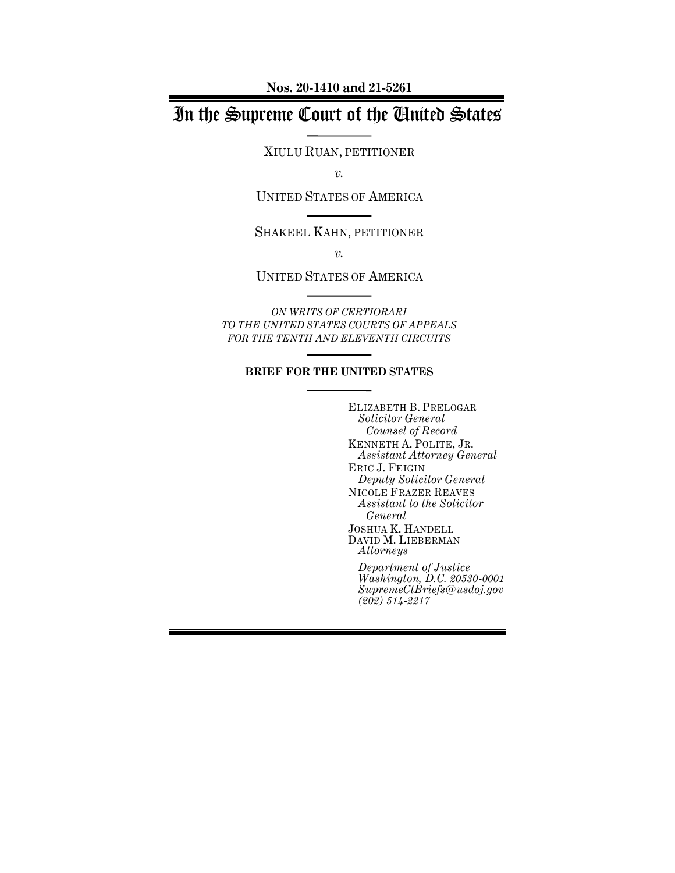**Nos. 20-1410 and 21-5261**

## In the Supreme Court of the United States

XIULU RUAN, PETITIONER

*v.*

UNITED STATES OF AMERICA

SHAKEEL KAHN, PETITIONER

*v.*

UNITED STATES OF AMERICA

*ON WRITS OF CERTIORARI TO THE UNITED STATES COURTS OF APPEALS FOR THE TENTH AND ELEVENTH CIRCUITS*

#### **BRIEF FOR THE UNITED STATES**

ELIZABETH B. PRELOGAR *Solicitor General Counsel of Record* KENNETH A. POLITE, JR. *Assistant Attorney General* ERIC J. FEIGIN *Deputy Solicitor General* NICOLE FRAZER REAVES *Assistant to the Solicitor General* JOSHUA K. HANDELL DAVID M. LIEBERMAN *Attorneys Department of Justice*

*Washington, D.C. 20530-0001 SupremeCtBriefs@usdoj.gov (202) 514-2217*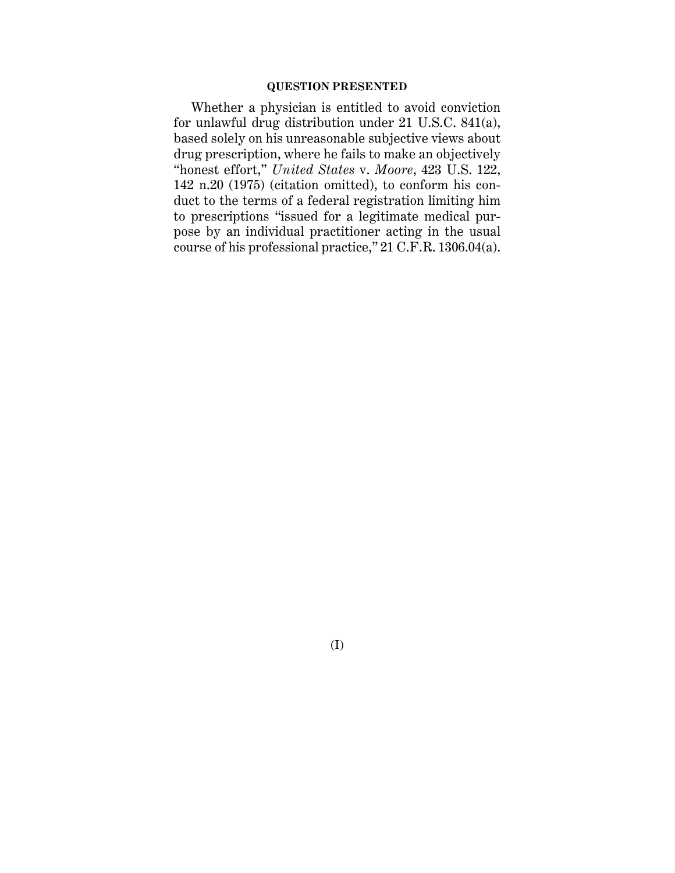## **QUESTION PRESENTED**

Whether a physician is entitled to avoid conviction for unlawful drug distribution under 21 U.S.C. 841(a), based solely on his unreasonable subjective views about drug prescription, where he fails to make an objectively "honest effort," *United States* v. *Moore*, 423 U.S. 122, 142 n.20 (1975) (citation omitted), to conform his conduct to the terms of a federal registration limiting him to prescriptions "issued for a legitimate medical purpose by an individual practitioner acting in the usual course of his professional practice," 21 C.F.R. 1306.04(a).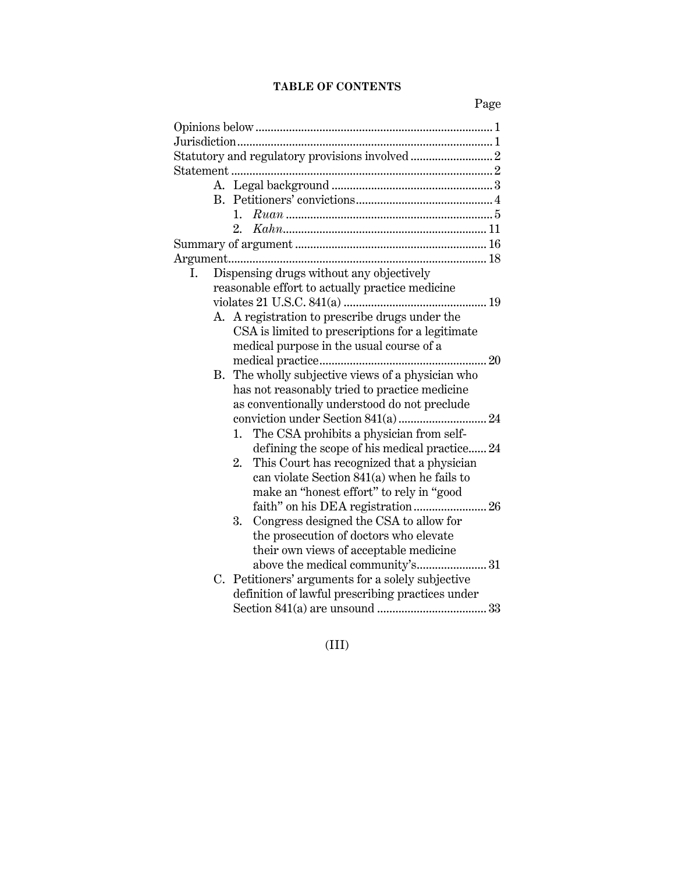## **TABLE OF CONTENTS**

| Dispensing drugs without any objectively<br>Ι.    |
|---------------------------------------------------|
| reasonable effort to actually practice medicine   |
|                                                   |
| A. A registration to prescribe drugs under the    |
| CSA is limited to prescriptions for a legitimate  |
| medical purpose in the usual course of a          |
|                                                   |
| B. The wholly subjective views of a physician who |
| has not reasonably tried to practice medicine     |
| as conventionally understood do not preclude      |
|                                                   |
| The CSA prohibits a physician from self-<br>1.    |
| defining the scope of his medical practice 24     |
| This Court has recognized that a physician<br>2.  |
| can violate Section 841(a) when he fails to       |
| make an "honest effort" to rely in "good          |
|                                                   |
| Congress designed the CSA to allow for<br>3.      |
| the prosecution of doctors who elevate            |
| their own views of acceptable medicine            |
| above the medical community's31                   |
| C. Petitioners' arguments for a solely subjective |
| definition of lawful prescribing practices under  |
|                                                   |
|                                                   |

(III)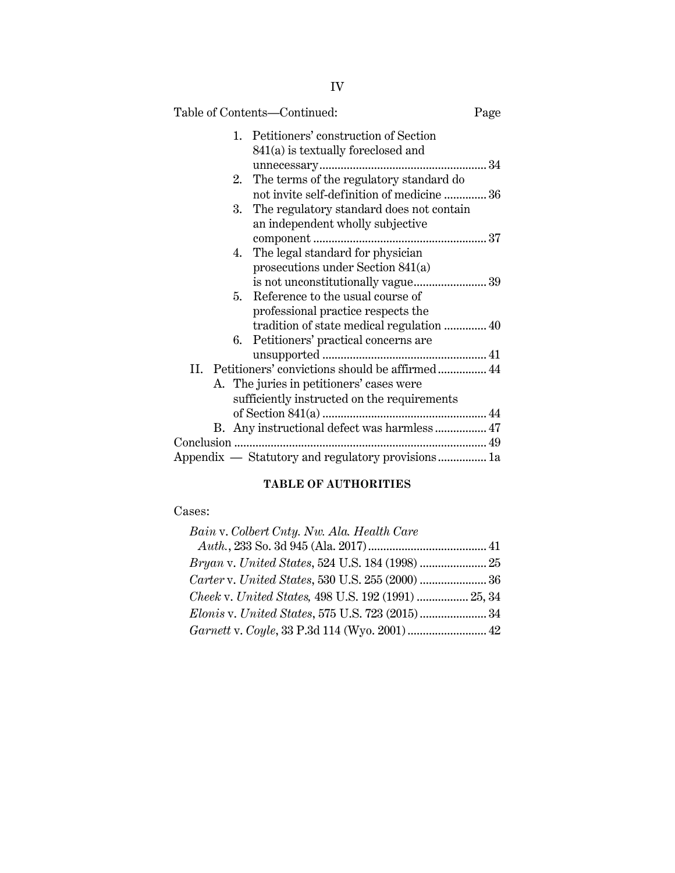| Table of Contents-Continued:                        | Page |
|-----------------------------------------------------|------|
| Petitioners' construction of Section<br>$1_{\cdot}$ |      |
| 841(a) is textually foreclosed and                  |      |
|                                                     |      |
| The terms of the regulatory standard do<br>2.       |      |
| not invite self-definition of medicine  36          |      |
| The regulatory standard does not contain<br>3.      |      |
| an independent wholly subjective                    |      |
|                                                     |      |
| The legal standard for physician<br>4.              |      |
| prosecutions under Section 841(a)                   |      |
|                                                     |      |
| Reference to the usual course of<br>5.              |      |
| professional practice respects the                  |      |
| tradition of state medical regulation  40           |      |
| Petitioners' practical concerns are<br>6.           |      |
|                                                     |      |
|                                                     |      |
| A. The juries in petitioners' cases were            |      |
| sufficiently instructed on the requirements         |      |
|                                                     |      |
|                                                     |      |
|                                                     |      |
| Appendix — Statutory and regulatory provisions 1a   |      |

## **TABLE OF AUTHORITIES**

## Cases:

| Bain v. Colbert Cnty. Nw. Ala. Health Care          |  |
|-----------------------------------------------------|--|
|                                                     |  |
|                                                     |  |
|                                                     |  |
| Cheek v. United States, 498 U.S. 192 (1991)  25, 34 |  |
| Elonis v. United States, 575 U.S. 723 (2015) 34     |  |
| Garnett v. Coyle, 33 P.3d 114 (Wyo. 2001)  42       |  |
|                                                     |  |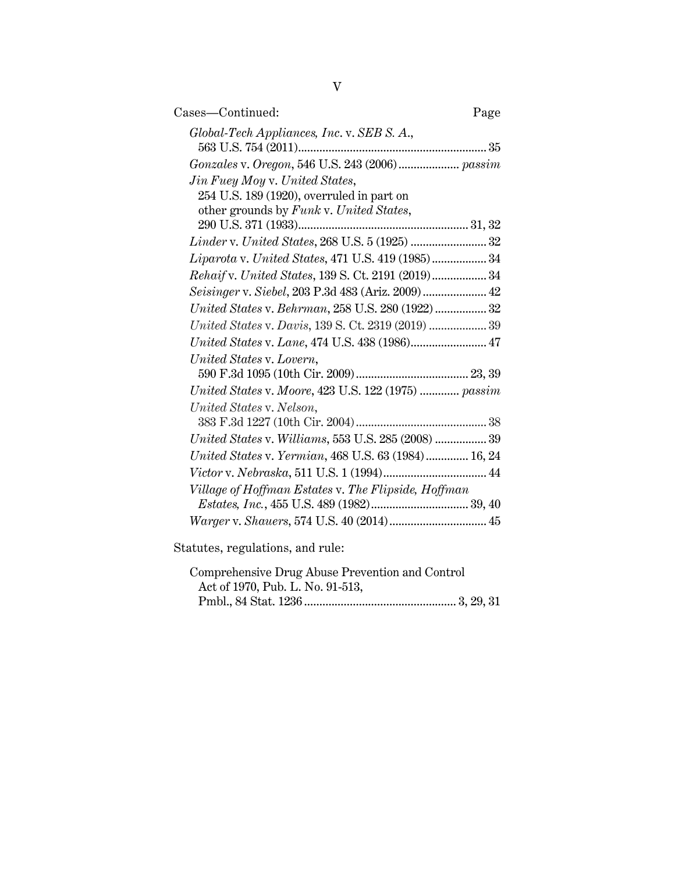| Cases—Continued:                                                                                                       | Page |
|------------------------------------------------------------------------------------------------------------------------|------|
| Global-Tech Appliances, Inc. v. SEB S. A.,                                                                             |      |
|                                                                                                                        |      |
| Jin Fuey Moy v. United States,<br>254 U.S. 189 (1920), overruled in part on<br>other grounds by Funk v. United States, |      |
| <i>Linder v. United States, 268 U.S. 5 (1925) </i> 32                                                                  |      |
| Liparota v. United States, 471 U.S. 419 (1985) 34                                                                      |      |
| Rehaif v. United States, 139 S. Ct. 2191 (2019) 34                                                                     |      |
| Seisinger v. Siebel, 203 P.3d 483 (Ariz. 2009) 42                                                                      |      |
| United States v. Behrman, 258 U.S. 280 (1922) 32                                                                       |      |
| United States v. Davis, 139 S. Ct. 2319 (2019)  39                                                                     |      |
| United States v. Lane, 474 U.S. 438 (1986) 47                                                                          |      |
| United States v. Lovern,                                                                                               |      |
|                                                                                                                        |      |
| United States v. Moore, 423 U.S. 122 (1975)  passim                                                                    |      |
| United States v. Nelson,                                                                                               |      |
|                                                                                                                        |      |
| United States v. Williams, 553 U.S. 285 (2008)  39                                                                     |      |
| United States v. Yermian, 468 U.S. 63 (1984) 16, 24                                                                    |      |
|                                                                                                                        |      |
| Village of Hoffman Estates v. The Flipside, Hoffman                                                                    |      |
|                                                                                                                        |      |
|                                                                                                                        |      |
|                                                                                                                        |      |

Statutes, regulations, and rule:

| Comprehensive Drug Abuse Prevention and Control |  |
|-------------------------------------------------|--|
| Act of 1970, Pub. L. No. 91-513,                |  |
|                                                 |  |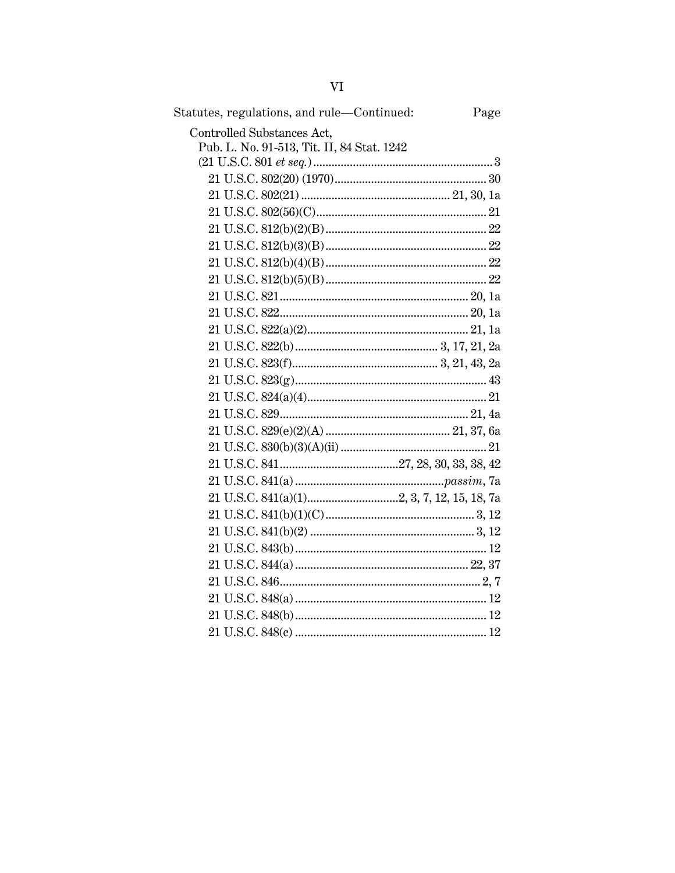| Statutes, regulations, and rule-Continued:<br>Page |  |
|----------------------------------------------------|--|
| Controlled Substances Act,                         |  |
| Pub. L. No. 91-513, Tit. II, 84 Stat. 1242         |  |
|                                                    |  |
|                                                    |  |
|                                                    |  |
|                                                    |  |
|                                                    |  |
|                                                    |  |
|                                                    |  |
|                                                    |  |
|                                                    |  |
|                                                    |  |
|                                                    |  |
|                                                    |  |
|                                                    |  |
|                                                    |  |
|                                                    |  |
|                                                    |  |
|                                                    |  |
|                                                    |  |
|                                                    |  |
|                                                    |  |
|                                                    |  |
|                                                    |  |
|                                                    |  |
|                                                    |  |
|                                                    |  |
|                                                    |  |
|                                                    |  |
|                                                    |  |
|                                                    |  |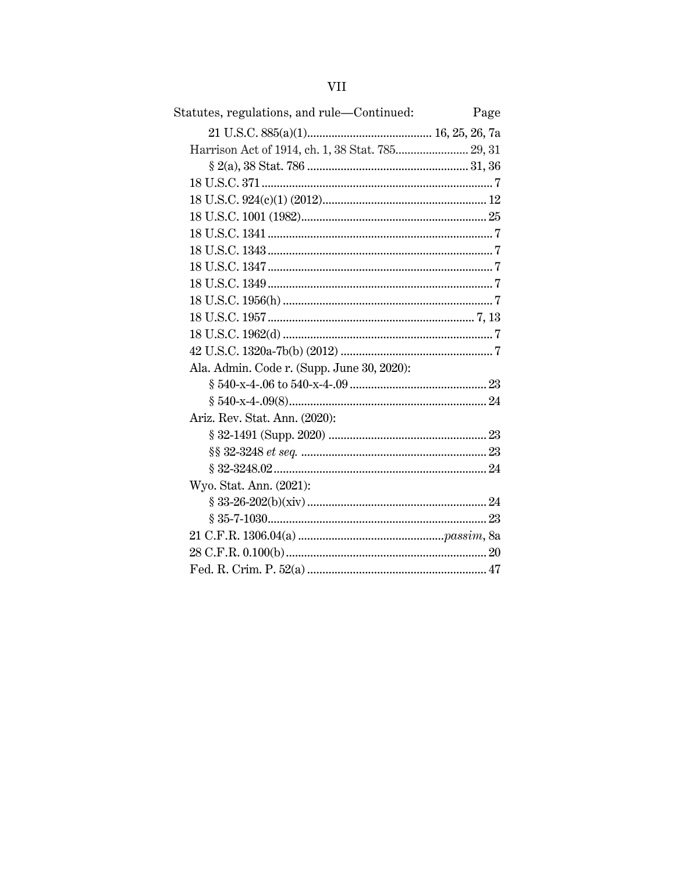| Statutes, regulations, and rule—Continued:       | Page |
|--------------------------------------------------|------|
|                                                  |      |
| Harrison Act of 1914, ch. 1, 38 Stat. 785 29, 31 |      |
|                                                  |      |
|                                                  |      |
|                                                  |      |
|                                                  |      |
|                                                  |      |
|                                                  |      |
|                                                  |      |
|                                                  |      |
|                                                  |      |
|                                                  |      |
|                                                  |      |
|                                                  |      |
| Ala. Admin. Code r. (Supp. June 30, 2020):       |      |
|                                                  |      |
|                                                  |      |
| Ariz. Rev. Stat. Ann. (2020):                    |      |
|                                                  |      |
|                                                  |      |
|                                                  |      |
| Wyo. Stat. Ann. (2021):                          |      |
|                                                  |      |
|                                                  |      |
|                                                  |      |
|                                                  |      |
|                                                  |      |

# **VII**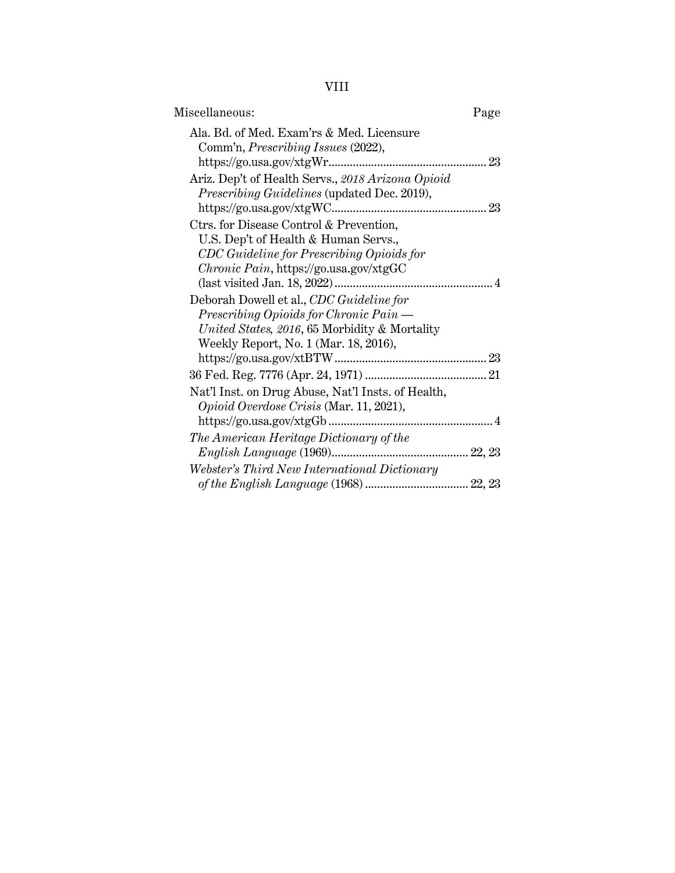VIII

| Miscellaneous:                                     | Page |
|----------------------------------------------------|------|
| Ala, Bd. of Med. Exam'rs & Med. Licensure          |      |
| Comm'n, Prescribing Issues (2022),                 |      |
|                                                    |      |
| Ariz. Dep't of Health Servs., 2018 Arizona Opioid  |      |
| Prescribing Guidelines (updated Dec. 2019),        |      |
|                                                    |      |
| Ctrs. for Disease Control & Prevention,            |      |
| U.S. Dep't of Health & Human Servs.,               |      |
| CDC Guideline for Prescribing Opioids for          |      |
| Chronic Pain, https://go.usa.gov/xtgGC             |      |
|                                                    |      |
| Deborah Dowell et al., CDC Guideline for           |      |
| Prescribing Opioids for Chronic Pain —             |      |
| United States, 2016, 65 Morbidity & Mortality      |      |
| Weekly Report, No. 1 (Mar. 18, 2016),              |      |
|                                                    |      |
|                                                    |      |
| Nat'l Inst. on Drug Abuse, Nat'l Insts. of Health, |      |
| Opioid Overdose Crisis (Mar. 11, 2021),            |      |
|                                                    |      |
| The American Heritage Dictionary of the            |      |
|                                                    |      |
| Webster's Third New International Dictionary       |      |
|                                                    |      |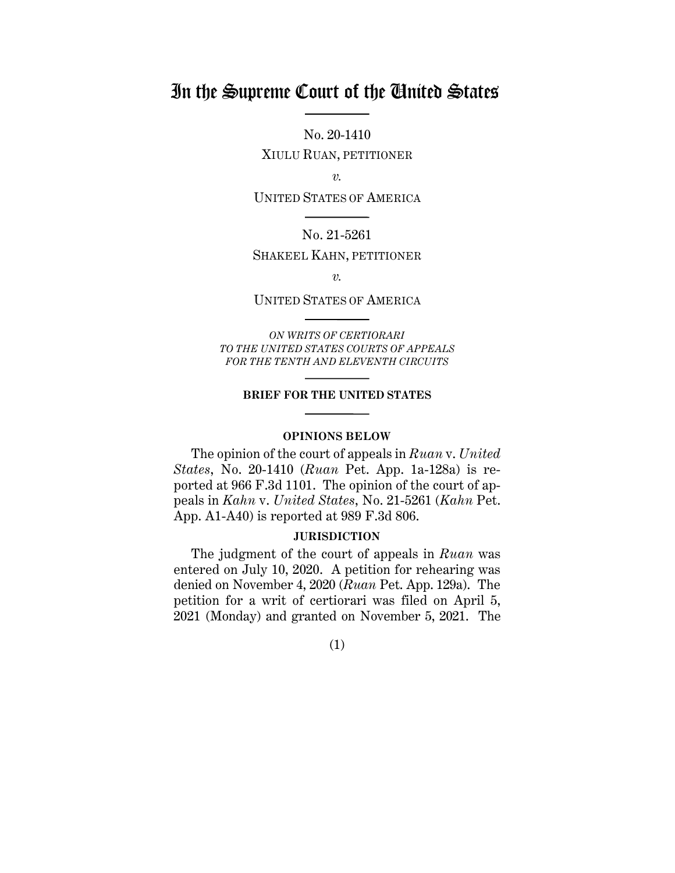## In the Supreme Court of the United States

No. 20-1410

XIULU RUAN, PETITIONER

*v.*

UNITED STATES OF AMERICA

### No. 21-5261

## SHAKEEL KAHN, PETITIONER

*v.*

#### UNITED STATES OF AMERICA

*ON WRITS OF CERTIORARI TO THE UNITED STATES COURTS OF APPEALS FOR THE TENTH AND ELEVENTH CIRCUITS* 

#### **BRIEF FOR THE UNITED STATES**

#### **OPINIONS BELOW**

The opinion of the court of appeals in *Ruan* v. *United States*, No. 20-1410 (*Ruan* Pet. App. 1a-128a) is reported at 966 F.3d 1101. The opinion of the court of appeals in *Kahn* v. *United States*, No. 21-5261 (*Kahn* Pet. App. A1-A40) is reported at 989 F.3d 806.

#### **JURISDICTION**

The judgment of the court of appeals in *Ruan* was entered on July 10, 2020. A petition for rehearing was denied on November 4, 2020 (*Ruan* Pet. App. 129a). The petition for a writ of certiorari was filed on April 5, 2021 (Monday) and granted on November 5, 2021. The

(1)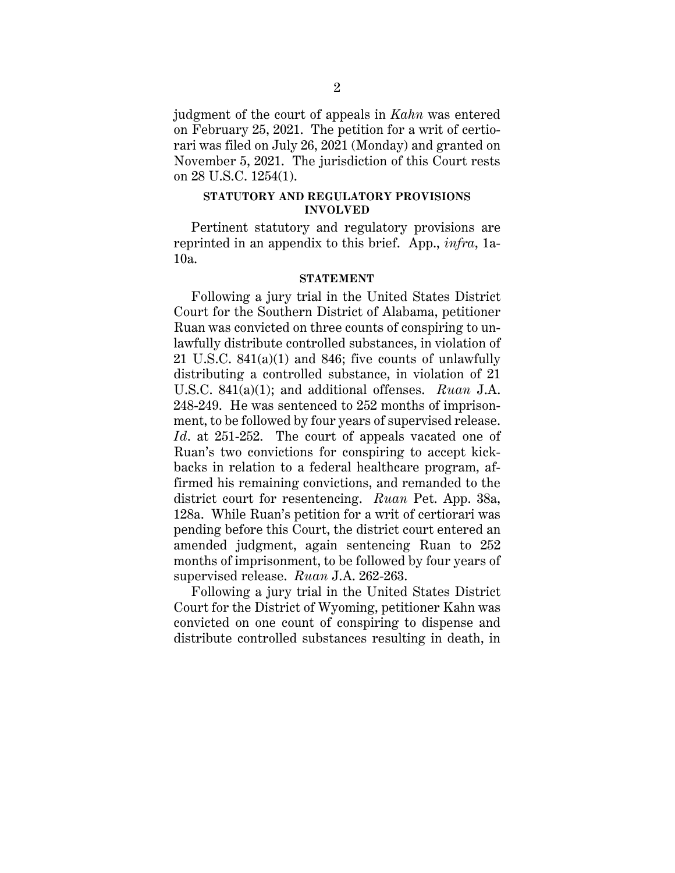judgment of the court of appeals in *Kahn* was entered on February 25, 2021. The petition for a writ of certiorari was filed on July 26, 2021 (Monday) and granted on November 5, 2021. The jurisdiction of this Court rests on 28 U.S.C. 1254(1).

#### **STATUTORY AND REGULATORY PROVISIONS INVOLVED**

Pertinent statutory and regulatory provisions are reprinted in an appendix to this brief. App., *infra*, 1a-10a.

#### **STATEMENT**

Following a jury trial in the United States District Court for the Southern District of Alabama, petitioner Ruan was convicted on three counts of conspiring to unlawfully distribute controlled substances, in violation of 21 U.S.C. 841(a)(1) and 846; five counts of unlawfully distributing a controlled substance, in violation of 21 U.S.C. 841(a)(1); and additional offenses. *Ruan* J.A. 248-249. He was sentenced to 252 months of imprisonment, to be followed by four years of supervised release. *Id*. at 251-252. The court of appeals vacated one of Ruan's two convictions for conspiring to accept kickbacks in relation to a federal healthcare program, affirmed his remaining convictions, and remanded to the district court for resentencing. *Ruan* Pet. App. 38a, 128a. While Ruan's petition for a writ of certiorari was pending before this Court, the district court entered an amended judgment, again sentencing Ruan to 252 months of imprisonment, to be followed by four years of supervised release. *Ruan* J.A. 262-263.

Following a jury trial in the United States District Court for the District of Wyoming, petitioner Kahn was convicted on one count of conspiring to dispense and distribute controlled substances resulting in death, in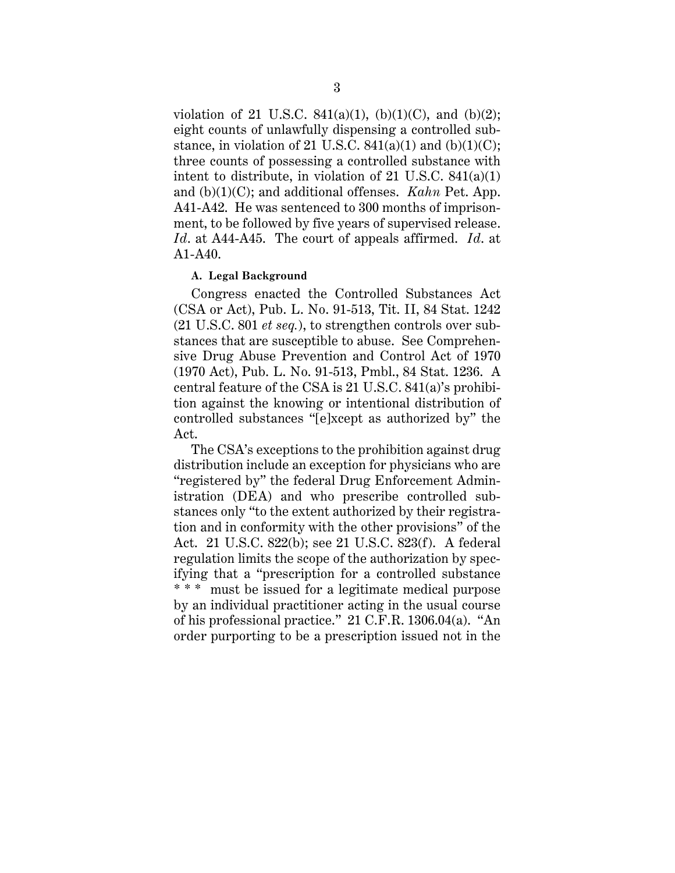violation of 21 U.S.C. 841(a)(1), (b)(1)(C), and (b)(2); eight counts of unlawfully dispensing a controlled substance, in violation of 21 U.S.C.  $841(a)(1)$  and  $(b)(1)(C)$ ; three counts of possessing a controlled substance with intent to distribute, in violation of 21 U.S.C. 841(a)(1) and (b)(1)(C); and additional offenses. *Kahn* Pet. App. A41-A42. He was sentenced to 300 months of imprisonment, to be followed by five years of supervised release. *Id*. at A44-A45. The court of appeals affirmed. *Id*. at A1-A40.

## **A. Legal Background**

Congress enacted the Controlled Substances Act (CSA or Act), Pub. L. No. 91-513, Tit. II, 84 Stat. 1242 (21 U.S.C. 801 *et seq.*), to strengthen controls over substances that are susceptible to abuse. See Comprehensive Drug Abuse Prevention and Control Act of 1970 (1970 Act), Pub. L. No. 91-513, Pmbl., 84 Stat. 1236. A central feature of the CSA is 21 U.S.C. 841(a)'s prohibition against the knowing or intentional distribution of controlled substances "[e]xcept as authorized by" the Act.

The CSA's exceptions to the prohibition against drug distribution include an exception for physicians who are "registered by" the federal Drug Enforcement Administration (DEA) and who prescribe controlled substances only "to the extent authorized by their registration and in conformity with the other provisions" of the Act. 21 U.S.C. 822(b); see 21 U.S.C. 823(f). A federal regulation limits the scope of the authorization by specifying that a "prescription for a controlled substance \* \* \* must be issued for a legitimate medical purpose by an individual practitioner acting in the usual course of his professional practice." 21 C.F.R. 1306.04(a). "An order purporting to be a prescription issued not in the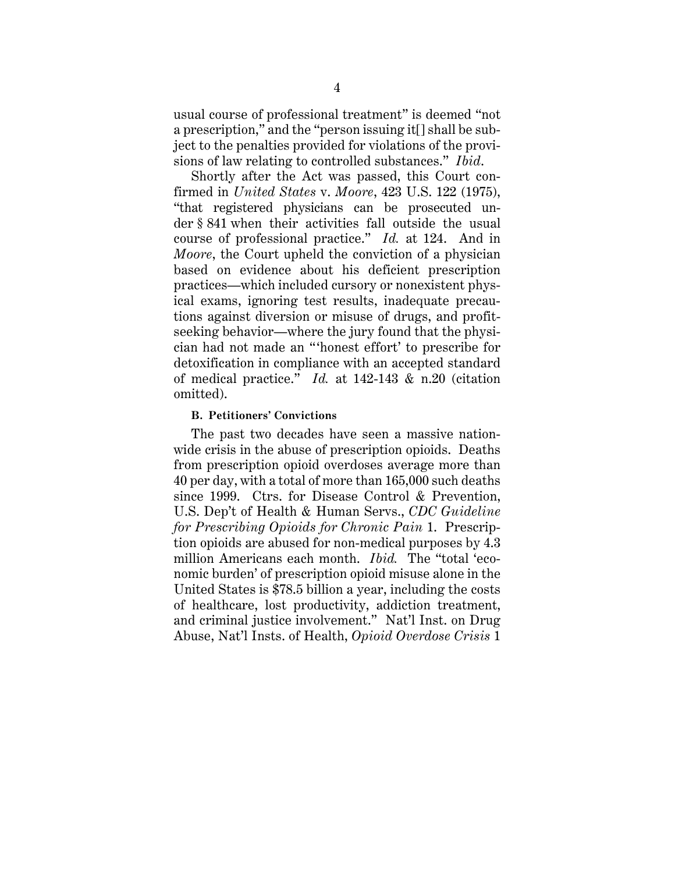usual course of professional treatment" is deemed "not a prescription," and the "person issuing it[] shall be subject to the penalties provided for violations of the provisions of law relating to controlled substances." *Ibid*.

Shortly after the Act was passed, this Court confirmed in *United States* v. *Moore*, 423 U.S. 122 (1975), "that registered physicians can be prosecuted under § 841 when their activities fall outside the usual course of professional practice." *Id.* at 124. And in *Moore*, the Court upheld the conviction of a physician based on evidence about his deficient prescription practices—which included cursory or nonexistent physical exams, ignoring test results, inadequate precautions against diversion or misuse of drugs, and profitseeking behavior—where the jury found that the physician had not made an " 'honest effort' to prescribe for detoxification in compliance with an accepted standard of medical practice." *Id.* at 142-143 & n.20 (citation omitted).

#### **B. Petitioners' Convictions**

The past two decades have seen a massive nationwide crisis in the abuse of prescription opioids. Deaths from prescription opioid overdoses average more than 40 per day, with a total of more than 165,000 such deaths since 1999. Ctrs. for Disease Control & Prevention, U.S. Dep't of Health & Human Servs., *CDC Guideline for Prescribing Opioids for Chronic Pain* 1. Prescription opioids are abused for non-medical purposes by 4.3 million Americans each month. *Ibid.* The "total 'economic burden' of prescription opioid misuse alone in the United States is \$78.5 billion a year, including the costs of healthcare, lost productivity, addiction treatment, and criminal justice involvement." Nat'l Inst. on Drug Abuse, Nat'l Insts. of Health, *Opioid Overdose Crisis* 1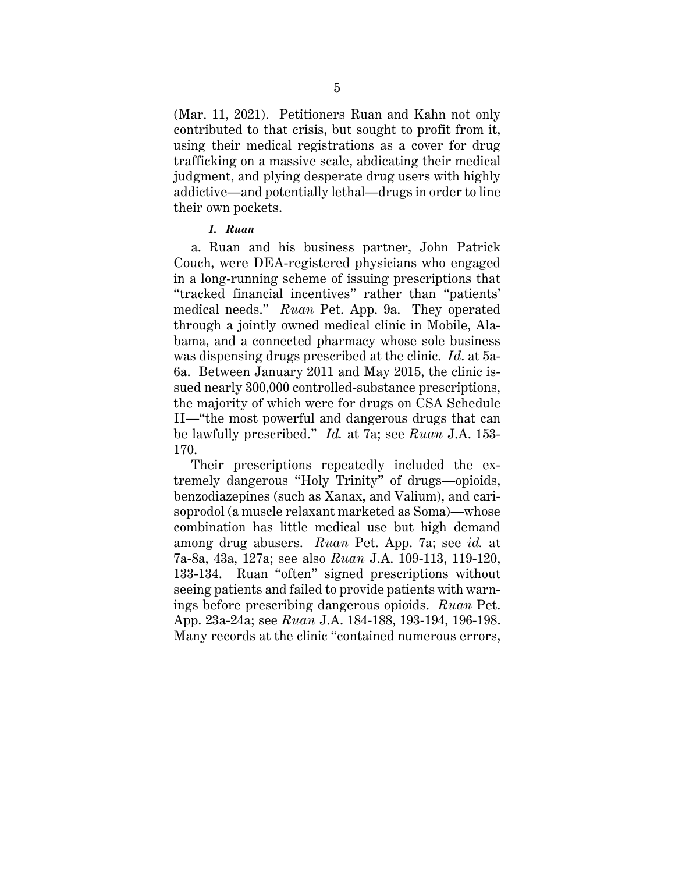(Mar. 11, 2021). Petitioners Ruan and Kahn not only contributed to that crisis, but sought to profit from it, using their medical registrations as a cover for drug trafficking on a massive scale, abdicating their medical judgment, and plying desperate drug users with highly addictive—and potentially lethal—drugs in order to line their own pockets.

#### *1. Ruan*

 a. Ruan and his business partner, John Patrick Couch, were DEA-registered physicians who engaged in a long-running scheme of issuing prescriptions that "tracked financial incentives" rather than "patients' medical needs." *Ruan* Pet. App. 9a. They operated through a jointly owned medical clinic in Mobile, Alabama, and a connected pharmacy whose sole business was dispensing drugs prescribed at the clinic. *Id*. at 5a-6a. Between January 2011 and May 2015, the clinic issued nearly 300,000 controlled-substance prescriptions, the majority of which were for drugs on CSA Schedule II—"the most powerful and dangerous drugs that can be lawfully prescribed." *Id.* at 7a; see *Ruan* J.A. 153- 170.

 Their prescriptions repeatedly included the extremely dangerous "Holy Trinity" of drugs—opioids, benzodiazepines (such as Xanax, and Valium), and carisoprodol (a muscle relaxant marketed as Soma)—whose combination has little medical use but high demand among drug abusers. *Ruan* Pet. App. 7a; see *id.* at 7a-8a, 43a, 127a; see also *Ruan* J.A. 109-113, 119-120, 133-134. Ruan "often" signed prescriptions without seeing patients and failed to provide patients with warnings before prescribing dangerous opioids. *Ruan* Pet. App. 23a-24a; see *Ruan* J.A. 184-188, 193-194, 196-198. Many records at the clinic "contained numerous errors,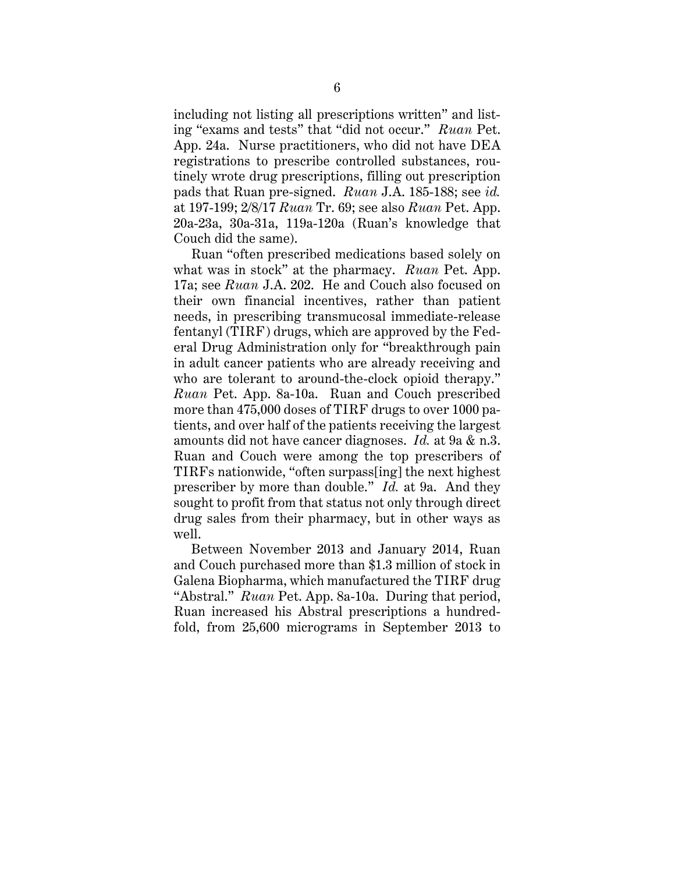including not listing all prescriptions written" and listing "exams and tests" that "did not occur." *Ruan* Pet. App. 24a. Nurse practitioners, who did not have DEA registrations to prescribe controlled substances, routinely wrote drug prescriptions, filling out prescription pads that Ruan pre-signed. *Ruan* J.A. 185-188; see *id.* at 197-199; 2/8/17 *Ruan* Tr. 69; see also *Ruan* Pet. App. 20a-23a, 30a-31a, 119a-120a (Ruan's knowledge that Couch did the same).

Ruan "often prescribed medications based solely on what was in stock" at the pharmacy. *Ruan* Pet. App. 17a; see *Ruan* J.A. 202. He and Couch also focused on their own financial incentives, rather than patient needs, in prescribing transmucosal immediate-release fentanyl (TIRF) drugs, which are approved by the Federal Drug Administration only for "breakthrough pain in adult cancer patients who are already receiving and who are tolerant to around-the-clock opioid therapy." *Ruan* Pet. App. 8a-10a. Ruan and Couch prescribed more than 475,000 doses of TIRF drugs to over 1000 patients, and over half of the patients receiving the largest amounts did not have cancer diagnoses. *Id.* at 9a & n.3. Ruan and Couch were among the top prescribers of TIRFs nationwide, "often surpass[ing] the next highest prescriber by more than double." *Id.* at 9a. And they sought to profit from that status not only through direct drug sales from their pharmacy, but in other ways as well.

 Between November 2013 and January 2014, Ruan and Couch purchased more than \$1.3 million of stock in Galena Biopharma, which manufactured the TIRF drug "Abstral." *Ruan* Pet. App. 8a-10a. During that period, Ruan increased his Abstral prescriptions a hundredfold, from 25,600 micrograms in September 2013 to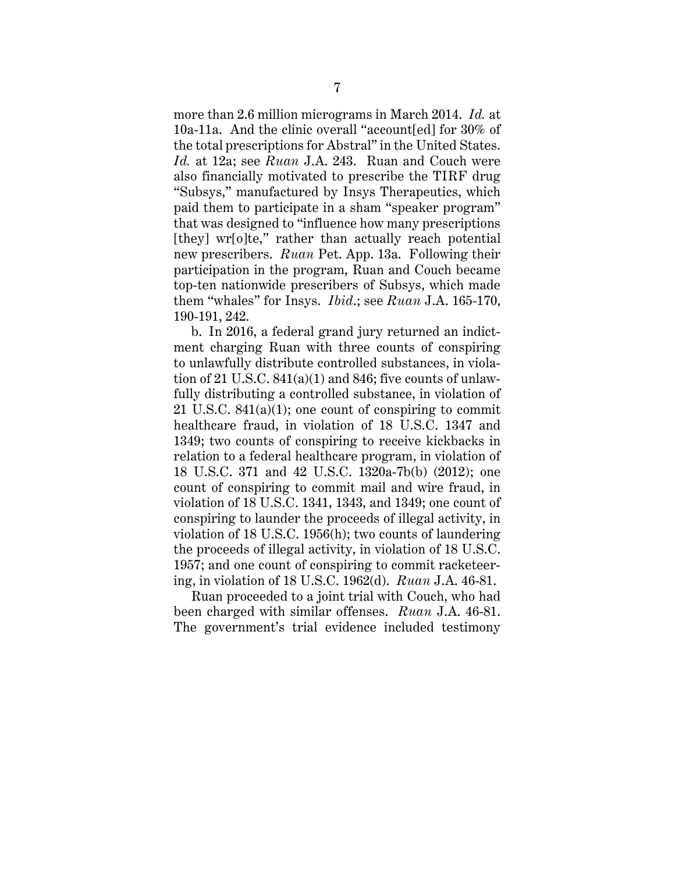more than 2.6 million micrograms in March 2014. *Id.* at 10a-11a. And the clinic overall "account[ed] for 30% of the total prescriptions for Abstral" in the United States. *Id.* at 12a; see *Ruan* J.A. 243. Ruan and Couch were also financially motivated to prescribe the TIRF drug "Subsys," manufactured by Insys Therapeutics, which paid them to participate in a sham "speaker program" that was designed to "influence how many prescriptions [they] wr[o]te," rather than actually reach potential new prescribers. *Ruan* Pet. App. 13a. Following their participation in the program, Ruan and Couch became top-ten nationwide prescribers of Subsys, which made them "whales" for Insys. *Ibid*.; see *Ruan* J.A. 165-170, 190-191, 242.

b. In 2016, a federal grand jury returned an indictment charging Ruan with three counts of conspiring to unlawfully distribute controlled substances, in violation of 21 U.S.C. 841(a)(1) and 846; five counts of unlawfully distributing a controlled substance, in violation of 21 U.S.C. 841(a)(1); one count of conspiring to commit healthcare fraud, in violation of 18 U.S.C. 1347 and 1349; two counts of conspiring to receive kickbacks in relation to a federal healthcare program, in violation of 18 U.S.C. 371 and 42 U.S.C. 1320a-7b(b) (2012); one count of conspiring to commit mail and wire fraud, in violation of 18 U.S.C. 1341, 1343, and 1349; one count of conspiring to launder the proceeds of illegal activity, in violation of 18 U.S.C. 1956(h); two counts of laundering the proceeds of illegal activity, in violation of 18 U.S.C. 1957; and one count of conspiring to commit racketeering, in violation of 18 U.S.C. 1962(d). *Ruan* J.A. 46-81.

Ruan proceeded to a joint trial with Couch, who had been charged with similar offenses. *Ruan* J.A. 46-81. The government's trial evidence included testimony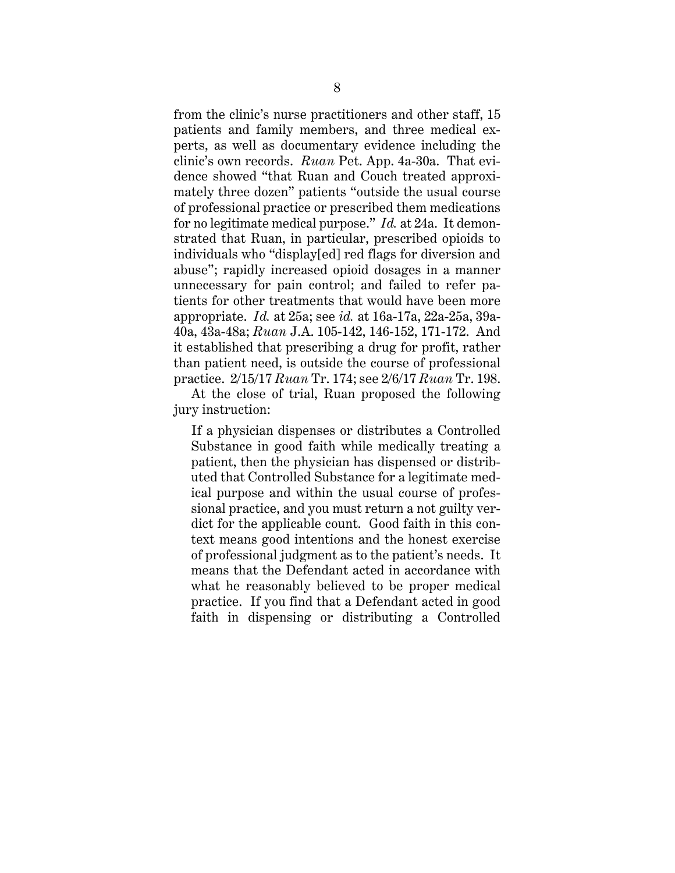from the clinic's nurse practitioners and other staff, 15 patients and family members, and three medical experts, as well as documentary evidence including the clinic's own records. *Ruan* Pet. App. 4a-30a. That evidence showed "that Ruan and Couch treated approximately three dozen" patients "outside the usual course of professional practice or prescribed them medications for no legitimate medical purpose." *Id.* at 24a. It demonstrated that Ruan, in particular, prescribed opioids to individuals who "display[ed] red flags for diversion and abuse"; rapidly increased opioid dosages in a manner unnecessary for pain control; and failed to refer patients for other treatments that would have been more appropriate. *Id.* at 25a; see *id.* at 16a-17a, 22a-25a, 39a-40a, 43a-48a; *Ruan* J.A. 105-142, 146-152, 171-172. And it established that prescribing a drug for profit, rather than patient need, is outside the course of professional practice. 2/15/17 *Ruan* Tr. 174; see 2/6/17 *Ruan* Tr. 198.

At the close of trial, Ruan proposed the following jury instruction:

If a physician dispenses or distributes a Controlled Substance in good faith while medically treating a patient, then the physician has dispensed or distributed that Controlled Substance for a legitimate medical purpose and within the usual course of professional practice, and you must return a not guilty verdict for the applicable count. Good faith in this context means good intentions and the honest exercise of professional judgment as to the patient's needs. It means that the Defendant acted in accordance with what he reasonably believed to be proper medical practice. If you find that a Defendant acted in good faith in dispensing or distributing a Controlled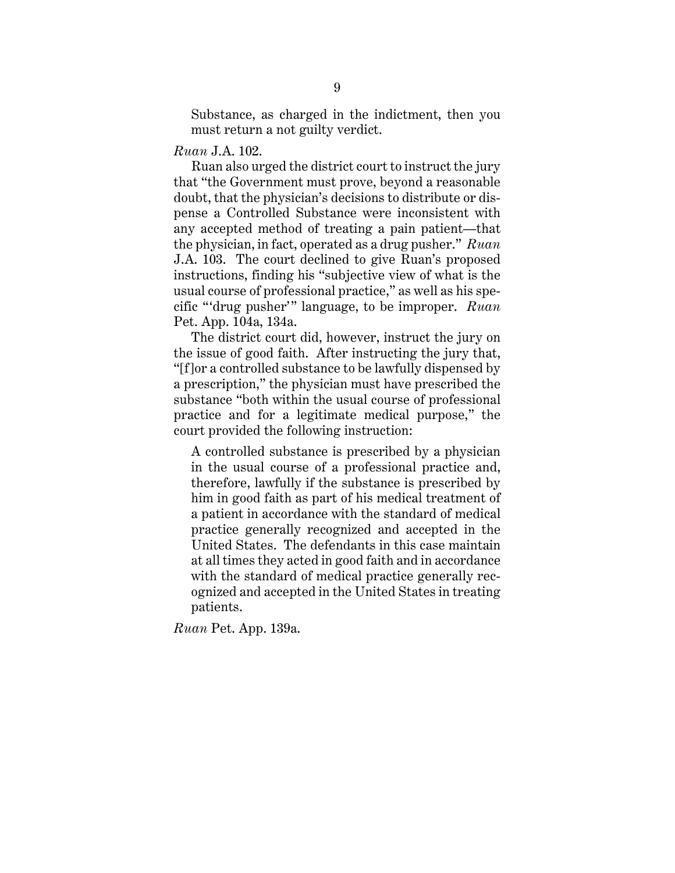Substance, as charged in the indictment, then you must return a not guilty verdict.

#### *Ruan* J.A. 102.

Ruan also urged the district court to instruct the jury that "the Government must prove, beyond a reasonable doubt, that the physician's decisions to distribute or dispense a Controlled Substance were inconsistent with any accepted method of treating a pain patient—that the physician, in fact, operated as a drug pusher." *Ruan*  J.A. 103. The court declined to give Ruan's proposed instructions, finding his "subjective view of what is the usual course of professional practice," as well as his specific "'drug pusher'" language, to be improper. *Ruan*  Pet. App. 104a, 134a.

The district court did, however, instruct the jury on the issue of good faith. After instructing the jury that, "[f]or a controlled substance to be lawfully dispensed by a prescription," the physician must have prescribed the substance "both within the usual course of professional practice and for a legitimate medical purpose," the court provided the following instruction:

A controlled substance is prescribed by a physician in the usual course of a professional practice and, therefore, lawfully if the substance is prescribed by him in good faith as part of his medical treatment of a patient in accordance with the standard of medical practice generally recognized and accepted in the United States. The defendants in this case maintain at all times they acted in good faith and in accordance with the standard of medical practice generally recognized and accepted in the United States in treating patients.

*Ruan* Pet. App. 139a.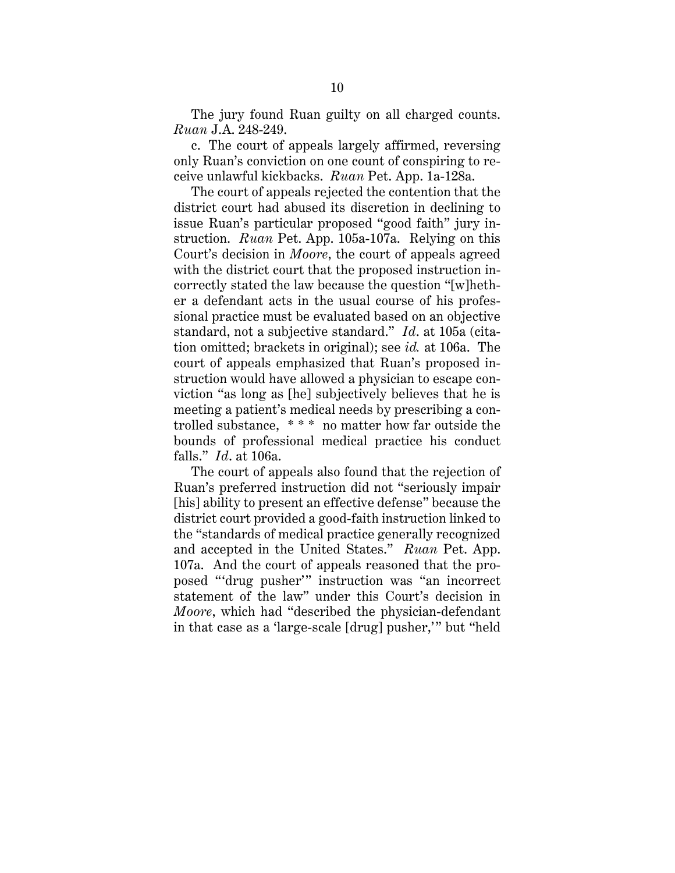The jury found Ruan guilty on all charged counts. *Ruan* J.A. 248-249.

c. The court of appeals largely affirmed, reversing only Ruan's conviction on one count of conspiring to receive unlawful kickbacks. *Ruan* Pet. App. 1a-128a.

The court of appeals rejected the contention that the district court had abused its discretion in declining to issue Ruan's particular proposed "good faith" jury instruction. *Ruan* Pet. App. 105a-107a. Relying on this Court's decision in *Moore*, the court of appeals agreed with the district court that the proposed instruction incorrectly stated the law because the question "[w]hether a defendant acts in the usual course of his professional practice must be evaluated based on an objective standard, not a subjective standard." *Id*. at 105a (citation omitted; brackets in original); see *id.* at 106a. The court of appeals emphasized that Ruan's proposed instruction would have allowed a physician to escape conviction "as long as [he] subjectively believes that he is meeting a patient's medical needs by prescribing a controlled substance, \* \* \* no matter how far outside the bounds of professional medical practice his conduct falls." *Id*. at 106a.

The court of appeals also found that the rejection of Ruan's preferred instruction did not "seriously impair [his] ability to present an effective defense" because the district court provided a good-faith instruction linked to the "standards of medical practice generally recognized and accepted in the United States." *Ruan* Pet. App. 107a. And the court of appeals reasoned that the proposed "'drug pusher'" instruction was "an incorrect statement of the law" under this Court's decision in *Moore*, which had "described the physician-defendant in that case as a 'large-scale [drug] pusher,'" but "held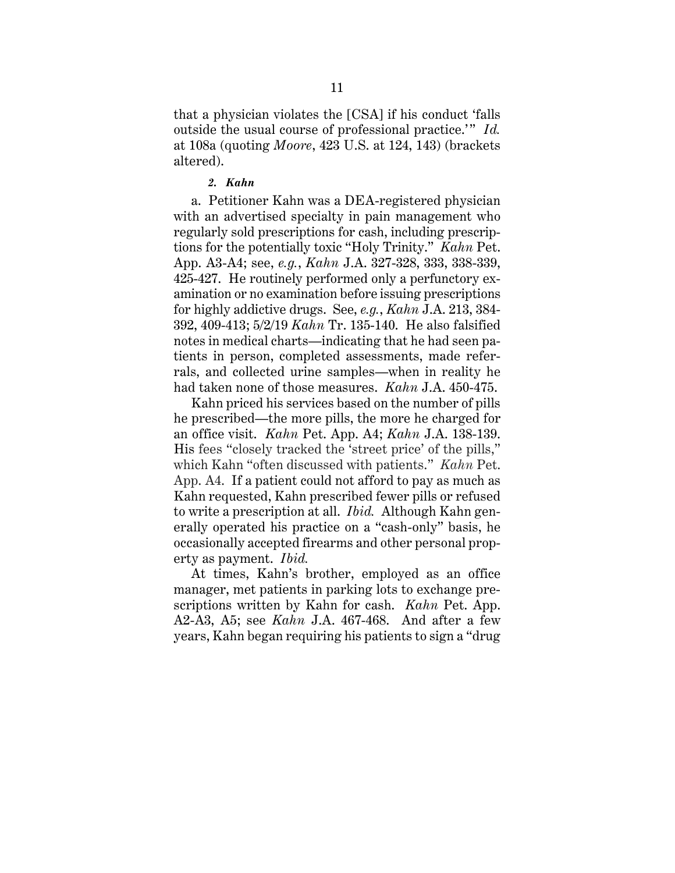that a physician violates the [CSA] if his conduct 'falls outside the usual course of professional practice.'" *Id.* at 108a (quoting *Moore*, 423 U.S. at 124, 143) (brackets altered).

#### *2. Kahn*

a. Petitioner Kahn was a DEA-registered physician with an advertised specialty in pain management who regularly sold prescriptions for cash, including prescriptions for the potentially toxic "Holy Trinity." *Kahn* Pet. App. A3-A4; see, *e.g.*, *Kahn* J.A. 327-328, 333, 338-339, 425-427. He routinely performed only a perfunctory examination or no examination before issuing prescriptions for highly addictive drugs. See, *e.g.*, *Kahn* J.A. 213, 384- 392, 409-413; 5/2/19 *Kahn* Tr. 135-140. He also falsified notes in medical charts—indicating that he had seen patients in person, completed assessments, made referrals, and collected urine samples—when in reality he had taken none of those measures. *Kahn* J.A. 450-475.

Kahn priced his services based on the number of pills he prescribed—the more pills, the more he charged for an office visit. *Kahn* Pet. App. A4; *Kahn* J.A. 138-139. His fees "closely tracked the 'street price' of the pills," which Kahn "often discussed with patients." *Kahn* Pet. App. A4. If a patient could not afford to pay as much as Kahn requested, Kahn prescribed fewer pills or refused to write a prescription at all. *Ibid.* Although Kahn generally operated his practice on a "cash-only" basis, he occasionally accepted firearms and other personal property as payment. *Ibid.*

At times, Kahn's brother, employed as an office manager, met patients in parking lots to exchange prescriptions written by Kahn for cash. *Kahn* Pet. App. A2-A3, A5; see *Kahn* J.A. 467-468. And after a few years, Kahn began requiring his patients to sign a "drug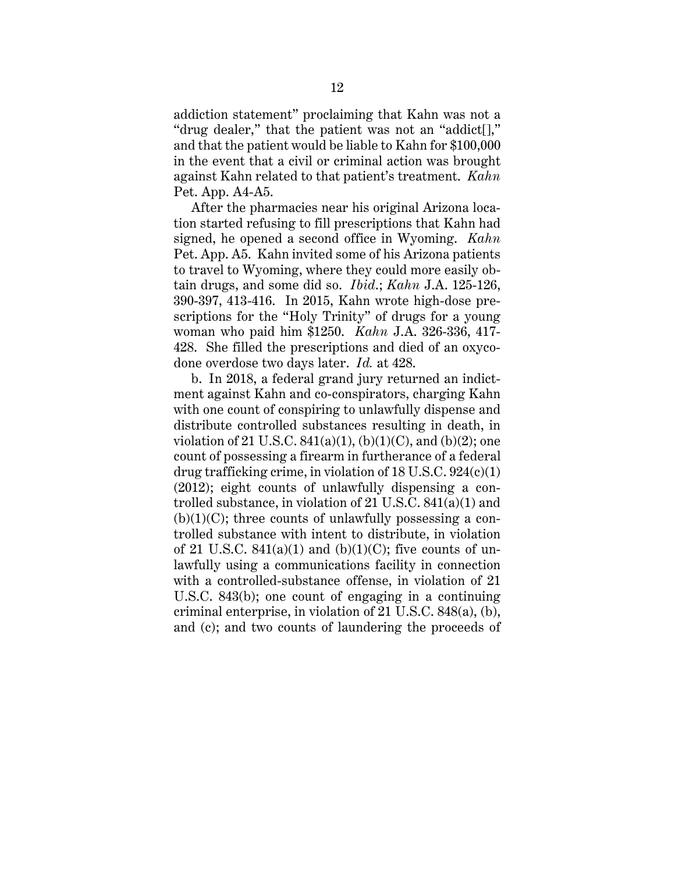addiction statement" proclaiming that Kahn was not a "drug dealer," that the patient was not an "addict[]," and that the patient would be liable to Kahn for \$100,000 in the event that a civil or criminal action was brought against Kahn related to that patient's treatment. *Kahn* Pet. App. A4-A5.

After the pharmacies near his original Arizona location started refusing to fill prescriptions that Kahn had signed, he opened a second office in Wyoming. *Kahn* Pet. App. A5. Kahn invited some of his Arizona patients to travel to Wyoming, where they could more easily obtain drugs, and some did so. *Ibid*.; *Kahn* J.A. 125-126, 390-397, 413-416. In 2015, Kahn wrote high-dose prescriptions for the "Holy Trinity" of drugs for a young woman who paid him \$1250. *Kahn* J.A. 326-336, 417- 428. She filled the prescriptions and died of an oxycodone overdose two days later. *Id.* at 428.

b. In 2018, a federal grand jury returned an indictment against Kahn and co-conspirators, charging Kahn with one count of conspiring to unlawfully dispense and distribute controlled substances resulting in death, in violation of 21 U.S.C.  $841(a)(1)$ , (b)(1)(C), and (b)(2); one count of possessing a firearm in furtherance of a federal drug trafficking crime, in violation of 18 U.S.C. 924(c)(1) (2012); eight counts of unlawfully dispensing a controlled substance, in violation of 21 U.S.C. 841(a)(1) and  $(b)(1)(C)$ ; three counts of unlawfully possessing a controlled substance with intent to distribute, in violation of 21 U.S.C.  $841(a)(1)$  and  $(b)(1)(C)$ ; five counts of unlawfully using a communications facility in connection with a controlled-substance offense, in violation of 21 U.S.C. 843(b); one count of engaging in a continuing criminal enterprise, in violation of 21 U.S.C. 848(a), (b), and (c); and two counts of laundering the proceeds of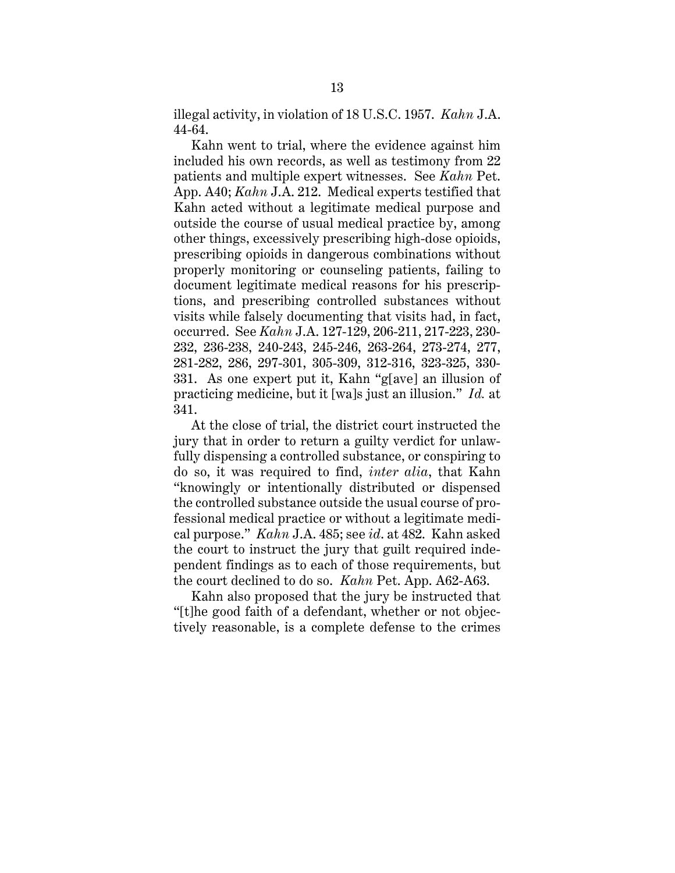illegal activity, in violation of 18 U.S.C. 1957. *Kahn* J.A. 44-64.

Kahn went to trial, where the evidence against him included his own records, as well as testimony from 22 patients and multiple expert witnesses. See *Kahn* Pet. App. A40; *Kahn* J.A. 212. Medical experts testified that Kahn acted without a legitimate medical purpose and outside the course of usual medical practice by, among other things, excessively prescribing high-dose opioids, prescribing opioids in dangerous combinations without properly monitoring or counseling patients, failing to document legitimate medical reasons for his prescriptions, and prescribing controlled substances without visits while falsely documenting that visits had, in fact, occurred. See *Kahn* J.A. 127-129, 206-211, 217-223, 230- 232, 236-238, 240-243, 245-246, 263-264, 273-274, 277, 281-282, 286, 297-301, 305-309, 312-316, 323-325, 330- 331. As one expert put it, Kahn "g[ave] an illusion of practicing medicine, but it [wa]s just an illusion." *Id.* at 341.

At the close of trial, the district court instructed the jury that in order to return a guilty verdict for unlawfully dispensing a controlled substance, or conspiring to do so, it was required to find, *inter alia*, that Kahn "knowingly or intentionally distributed or dispensed the controlled substance outside the usual course of professional medical practice or without a legitimate medical purpose." *Kahn* J.A. 485; see *id*. at 482. Kahn asked the court to instruct the jury that guilt required independent findings as to each of those requirements, but the court declined to do so. *Kahn* Pet. App. A62-A63.

Kahn also proposed that the jury be instructed that "[t]he good faith of a defendant, whether or not objectively reasonable, is a complete defense to the crimes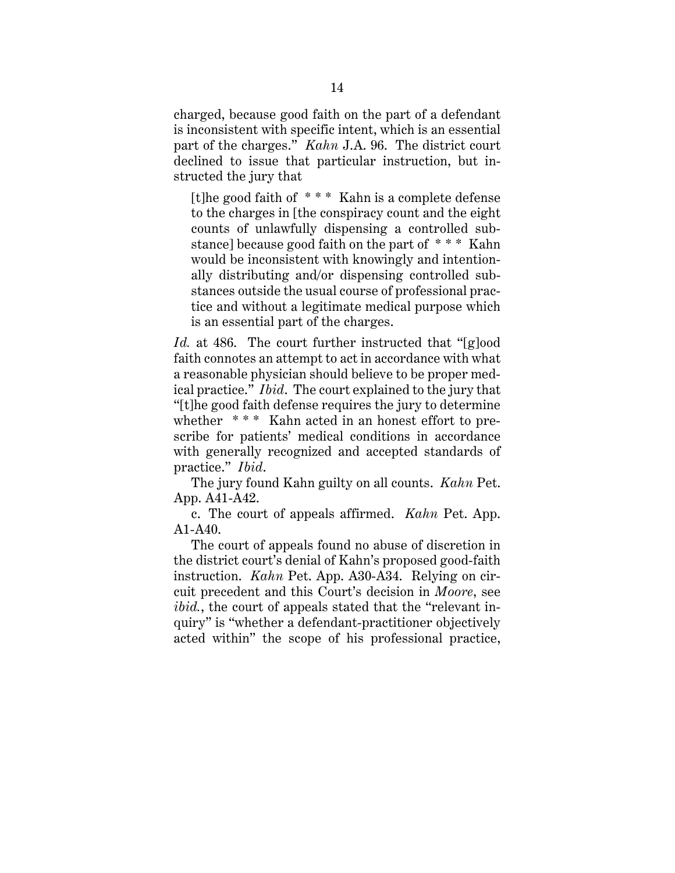charged, because good faith on the part of a defendant is inconsistent with specific intent, which is an essential part of the charges." *Kahn* J.A. 96. The district court declined to issue that particular instruction, but instructed the jury that

[t]he good faith of \* \* \* Kahn is a complete defense to the charges in [the conspiracy count and the eight counts of unlawfully dispensing a controlled substance] because good faith on the part of \* \* \* Kahn would be inconsistent with knowingly and intentionally distributing and/or dispensing controlled substances outside the usual course of professional practice and without a legitimate medical purpose which is an essential part of the charges.

*Id.* at 486. The court further instructed that "[g]ood faith connotes an attempt to act in accordance with what a reasonable physician should believe to be proper medical practice." *Ibid*. The court explained to the jury that "[t]he good faith defense requires the jury to determine whether  $***$  Kahn acted in an honest effort to prescribe for patients' medical conditions in accordance with generally recognized and accepted standards of practice." *Ibid*.

The jury found Kahn guilty on all counts. *Kahn* Pet. App. A41-A42.

c. The court of appeals affirmed. *Kahn* Pet. App. A1-A40.

The court of appeals found no abuse of discretion in the district court's denial of Kahn's proposed good-faith instruction. *Kahn* Pet. App. A30-A34. Relying on circuit precedent and this Court's decision in *Moore*, see *ibid.*, the court of appeals stated that the "relevant inquiry" is "whether a defendant-practitioner objectively acted within" the scope of his professional practice,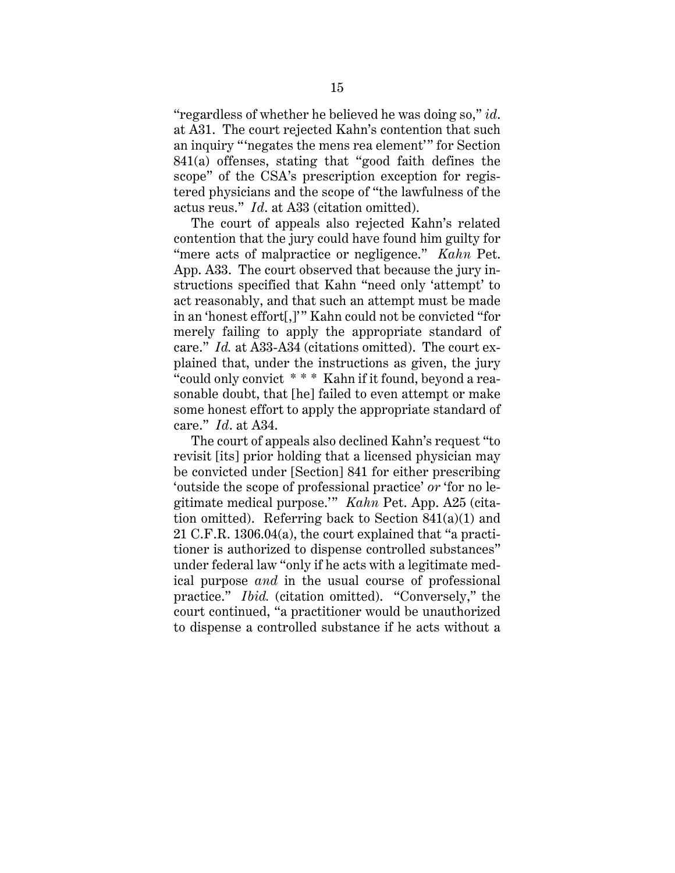"regardless of whether he believed he was doing so," *id*. at A31. The court rejected Kahn's contention that such an inquiry "'negates the mens rea element'" for Section 841(a) offenses, stating that "good faith defines the scope" of the CSA's prescription exception for registered physicians and the scope of "the lawfulness of the actus reus." *Id*. at A33 (citation omitted).

The court of appeals also rejected Kahn's related contention that the jury could have found him guilty for "mere acts of malpractice or negligence." *Kahn* Pet. App. A33. The court observed that because the jury instructions specified that Kahn "need only 'attempt' to act reasonably, and that such an attempt must be made in an 'honest effort[,]'" Kahn could not be convicted "for merely failing to apply the appropriate standard of care." *Id.* at A33-A34 (citations omitted). The court explained that, under the instructions as given, the jury "could only convict \* \* \* Kahn if it found, beyond a reasonable doubt, that [he] failed to even attempt or make some honest effort to apply the appropriate standard of care." *Id*. at A34.

The court of appeals also declined Kahn's request "to revisit [its] prior holding that a licensed physician may be convicted under [Section] 841 for either prescribing 'outside the scope of professional practice' *or* 'for no legitimate medical purpose.'" *Kahn* Pet. App. A25 (citation omitted). Referring back to Section 841(a)(1) and 21 C.F.R. 1306.04(a), the court explained that "a practitioner is authorized to dispense controlled substances" under federal law "only if he acts with a legitimate medical purpose *and* in the usual course of professional practice." *Ibid.* (citation omitted). "Conversely," the court continued, "a practitioner would be unauthorized to dispense a controlled substance if he acts without a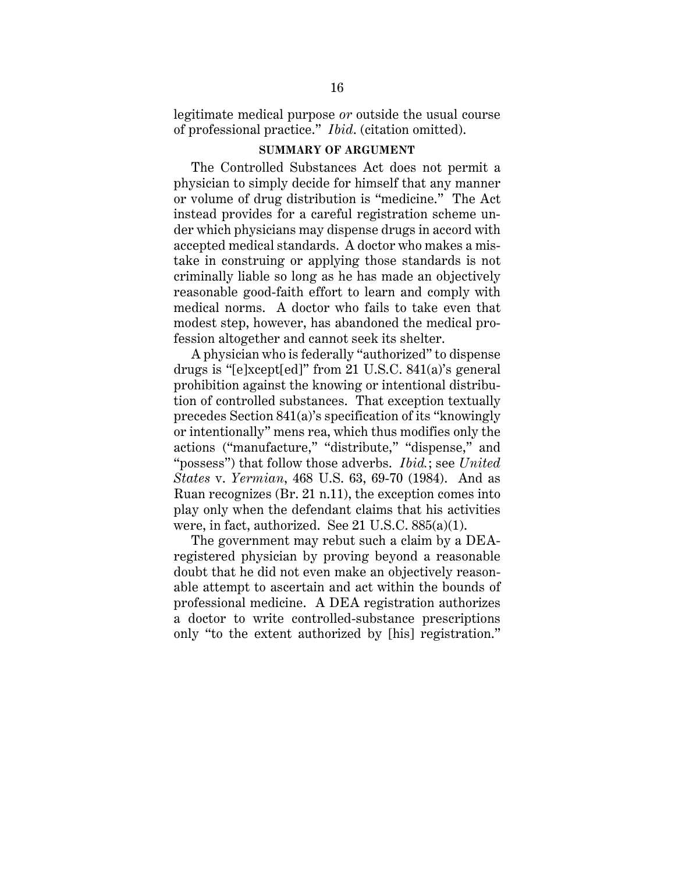legitimate medical purpose *or* outside the usual course of professional practice." *Ibid*. (citation omitted).

#### **SUMMARY OF ARGUMENT**

The Controlled Substances Act does not permit a physician to simply decide for himself that any manner or volume of drug distribution is "medicine." The Act instead provides for a careful registration scheme under which physicians may dispense drugs in accord with accepted medical standards. A doctor who makes a mistake in construing or applying those standards is not criminally liable so long as he has made an objectively reasonable good-faith effort to learn and comply with medical norms. A doctor who fails to take even that modest step, however, has abandoned the medical profession altogether and cannot seek its shelter.

A physician who is federally "authorized" to dispense drugs is "[e]xcept[ed]" from 21 U.S.C. 841(a)'s general prohibition against the knowing or intentional distribution of controlled substances. That exception textually precedes Section 841(a)'s specification of its "knowingly or intentionally" mens rea, which thus modifies only the actions ("manufacture," "distribute," "dispense," and "possess") that follow those adverbs. *Ibid.*; see *United States* v. *Yermian*, 468 U.S. 63, 69-70 (1984). And as Ruan recognizes (Br. 21 n.11), the exception comes into play only when the defendant claims that his activities were, in fact, authorized. See 21 U.S.C. 885(a)(1).

The government may rebut such a claim by a DEAregistered physician by proving beyond a reasonable doubt that he did not even make an objectively reasonable attempt to ascertain and act within the bounds of professional medicine. A DEA registration authorizes a doctor to write controlled-substance prescriptions only "to the extent authorized by [his] registration."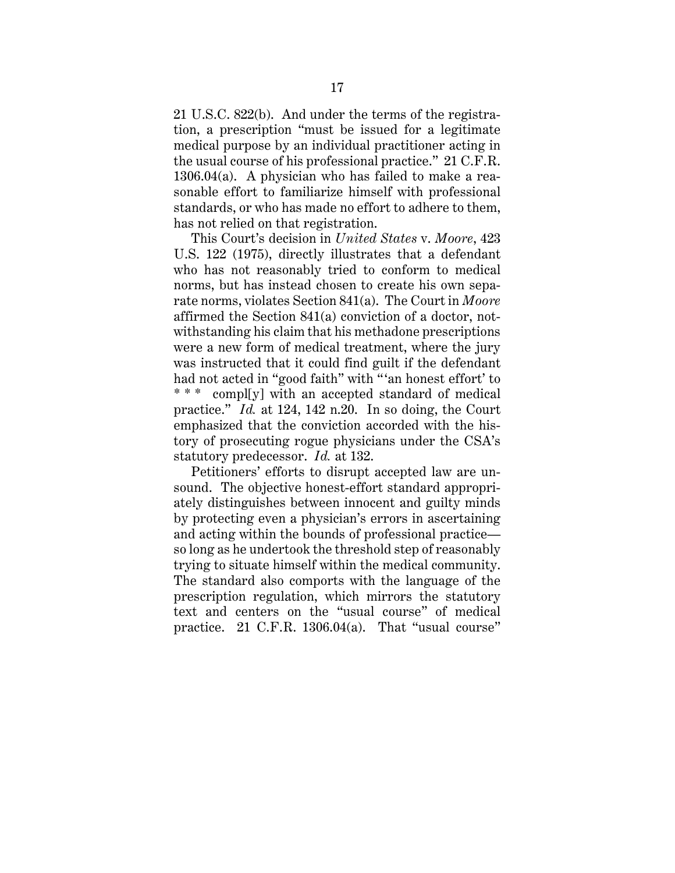21 U.S.C. 822(b). And under the terms of the registration, a prescription "must be issued for a legitimate medical purpose by an individual practitioner acting in the usual course of his professional practice." 21 C.F.R. 1306.04(a). A physician who has failed to make a reasonable effort to familiarize himself with professional standards, or who has made no effort to adhere to them, has not relied on that registration.

This Court's decision in *United States* v. *Moore*, 423 U.S. 122 (1975), directly illustrates that a defendant who has not reasonably tried to conform to medical norms, but has instead chosen to create his own separate norms, violates Section 841(a). The Court in *Moore* affirmed the Section 841(a) conviction of a doctor, notwithstanding his claim that his methadone prescriptions were a new form of medical treatment, where the jury was instructed that it could find guilt if the defendant had not acted in "good faith" with "'an honest effort' to \* \* \* compl[y] with an accepted standard of medical practice." *Id.* at 124, 142 n.20. In so doing, the Court emphasized that the conviction accorded with the history of prosecuting rogue physicians under the CSA's statutory predecessor. *Id.* at 132.

Petitioners' efforts to disrupt accepted law are unsound. The objective honest-effort standard appropriately distinguishes between innocent and guilty minds by protecting even a physician's errors in ascertaining and acting within the bounds of professional practice so long as he undertook the threshold step of reasonably trying to situate himself within the medical community. The standard also comports with the language of the prescription regulation, which mirrors the statutory text and centers on the "usual course" of medical practice. 21 C.F.R. 1306.04(a). That "usual course"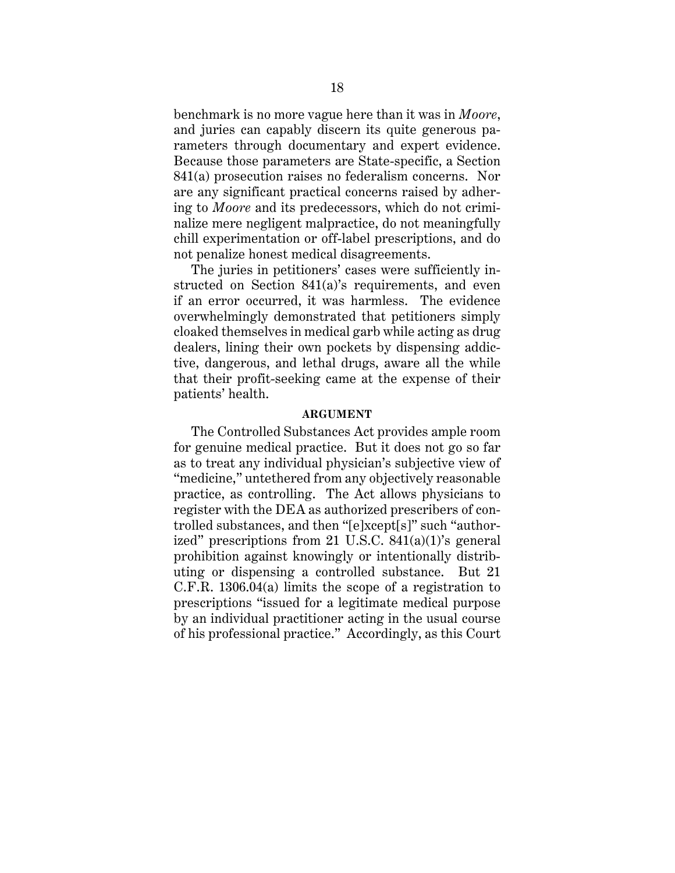benchmark is no more vague here than it was in *Moore*, and juries can capably discern its quite generous parameters through documentary and expert evidence. Because those parameters are State-specific, a Section 841(a) prosecution raises no federalism concerns. Nor are any significant practical concerns raised by adhering to *Moore* and its predecessors, which do not criminalize mere negligent malpractice, do not meaningfully chill experimentation or off-label prescriptions, and do not penalize honest medical disagreements.

The juries in petitioners' cases were sufficiently instructed on Section 841(a)'s requirements, and even if an error occurred, it was harmless. The evidence overwhelmingly demonstrated that petitioners simply cloaked themselves in medical garb while acting as drug dealers, lining their own pockets by dispensing addictive, dangerous, and lethal drugs, aware all the while that their profit-seeking came at the expense of their patients' health.

#### **ARGUMENT**

The Controlled Substances Act provides ample room for genuine medical practice. But it does not go so far as to treat any individual physician's subjective view of "medicine," untethered from any objectively reasonable practice, as controlling. The Act allows physicians to register with the DEA as authorized prescribers of controlled substances, and then "[e]xcept[s]" such "authorized" prescriptions from 21 U.S.C. 841(a)(1)'s general prohibition against knowingly or intentionally distributing or dispensing a controlled substance. But 21 C.F.R. 1306.04(a) limits the scope of a registration to prescriptions "issued for a legitimate medical purpose by an individual practitioner acting in the usual course of his professional practice." Accordingly, as this Court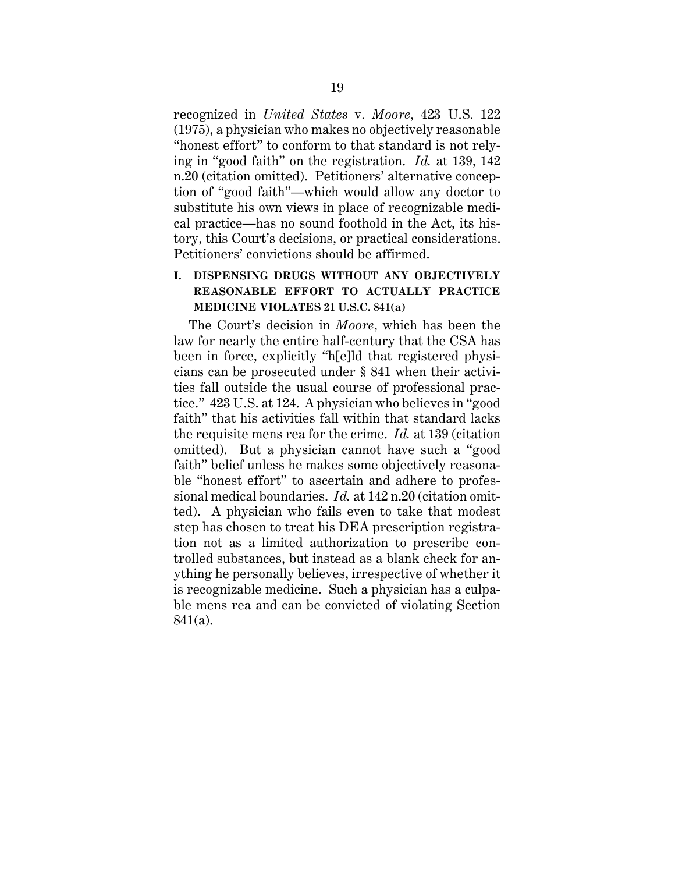recognized in *United States* v. *Moore*, 423 U.S. 122 (1975), a physician who makes no objectively reasonable "honest effort" to conform to that standard is not relying in "good faith" on the registration. *Id.* at 139, 142 n.20 (citation omitted). Petitioners' alternative conception of "good faith"—which would allow any doctor to substitute his own views in place of recognizable medical practice—has no sound foothold in the Act, its history, this Court's decisions, or practical considerations. Petitioners' convictions should be affirmed.

## **I. DISPENSING DRUGS WITHOUT ANY OBJECTIVELY REASONABLE EFFORT TO ACTUALLY PRACTICE MEDICINE VIOLATES 21 U.S.C. 841(a)**

The Court's decision in *Moore*, which has been the law for nearly the entire half-century that the CSA has been in force, explicitly "h[e]ld that registered physicians can be prosecuted under § 841 when their activities fall outside the usual course of professional practice." 423 U.S. at 124. A physician who believes in "good faith" that his activities fall within that standard lacks the requisite mens rea for the crime. *Id.* at 139 (citation omitted). But a physician cannot have such a "good faith" belief unless he makes some objectively reasonable "honest effort" to ascertain and adhere to professional medical boundaries. *Id.* at 142 n.20 (citation omitted). A physician who fails even to take that modest step has chosen to treat his DEA prescription registration not as a limited authorization to prescribe controlled substances, but instead as a blank check for anything he personally believes, irrespective of whether it is recognizable medicine. Such a physician has a culpable mens rea and can be convicted of violating Section 841(a).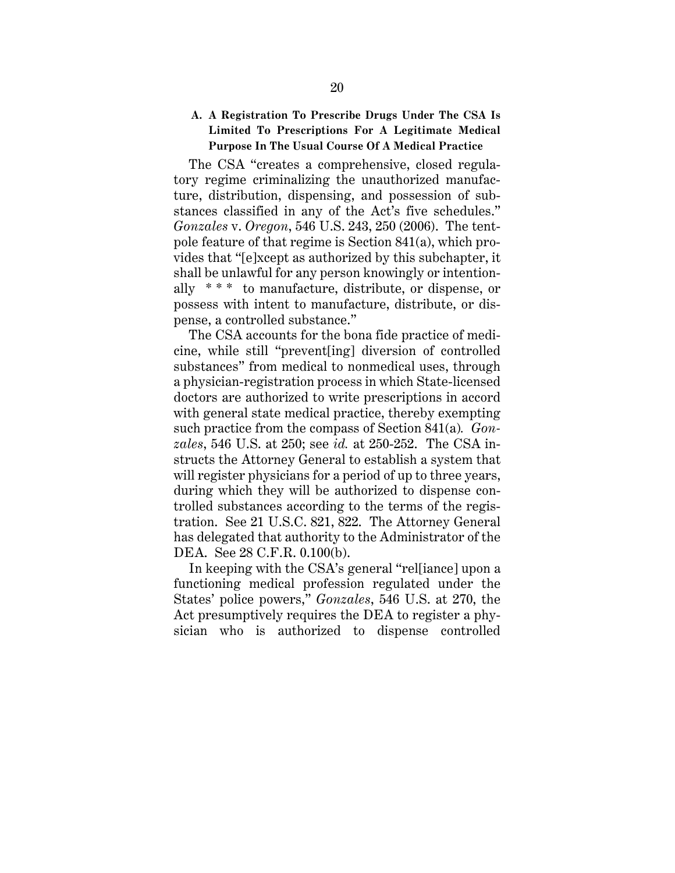## **A. A Registration To Prescribe Drugs Under The CSA Is Limited To Prescriptions For A Legitimate Medical Purpose In The Usual Course Of A Medical Practice**

The CSA "creates a comprehensive, closed regulatory regime criminalizing the unauthorized manufacture, distribution, dispensing, and possession of substances classified in any of the Act's five schedules." *Gonzales* v. *Oregon*, 546 U.S. 243, 250 (2006). The tentpole feature of that regime is Section 841(a), which provides that "[e]xcept as authorized by this subchapter, it shall be unlawful for any person knowingly or intentionally \* \* \* to manufacture, distribute, or dispense, or possess with intent to manufacture, distribute, or dispense, a controlled substance."

The CSA accounts for the bona fide practice of medicine, while still "prevent[ing] diversion of controlled substances" from medical to nonmedical uses, through a physician-registration process in which State-licensed doctors are authorized to write prescriptions in accord with general state medical practice, thereby exempting such practice from the compass of Section 841(a)*. Gonzales*, 546 U.S. at 250; see *id.* at 250-252. The CSA instructs the Attorney General to establish a system that will register physicians for a period of up to three years, during which they will be authorized to dispense controlled substances according to the terms of the registration. See 21 U.S.C. 821, 822. The Attorney General has delegated that authority to the Administrator of the DEA. See 28 C.F.R. 0.100(b).

In keeping with the CSA's general "rel[iance] upon a functioning medical profession regulated under the States' police powers," *Gonzales*, 546 U.S. at 270, the Act presumptively requires the DEA to register a physician who is authorized to dispense controlled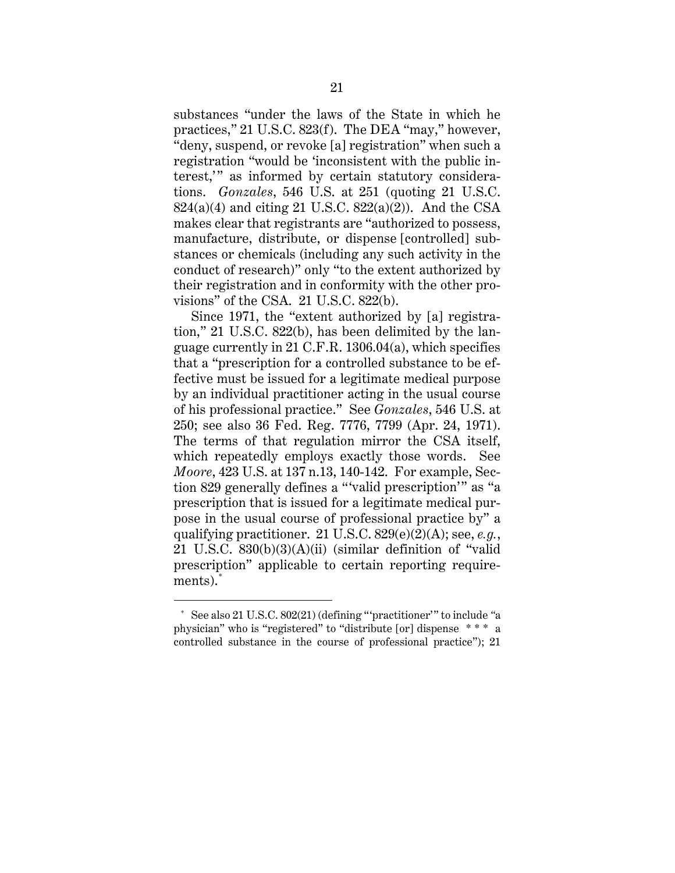substances "under the laws of the State in which he practices," 21 U.S.C. 823(f). The DEA "may," however, "deny, suspend, or revoke [a] registration" when such a registration "would be 'inconsistent with the public interest," as informed by certain statutory considerations. *Gonzales*, 546 U.S. at 251 (quoting 21 U.S.C.  $824(a)(4)$  and citing 21 U.S.C.  $822(a)(2)$ ). And the CSA makes clear that registrants are "authorized to possess, manufacture, distribute, or dispense [controlled] substances or chemicals (including any such activity in the conduct of research)" only "to the extent authorized by their registration and in conformity with the other provisions" of the CSA. 21 U.S.C. 822(b).

Since 1971, the "extent authorized by [a] registration," 21 U.S.C. 822(b), has been delimited by the language currently in 21 C.F.R. 1306.04(a), which specifies that a "prescription for a controlled substance to be effective must be issued for a legitimate medical purpose by an individual practitioner acting in the usual course of his professional practice." See *Gonzales*, 546 U.S. at 250; see also 36 Fed. Reg. 7776, 7799 (Apr. 24, 1971). The terms of that regulation mirror the CSA itself, which repeatedly employs exactly those words. See *Moore*, 423 U.S. at 137 n.13, 140-142. For example, Section 829 generally defines a "'valid prescription'" as "a prescription that is issued for a legitimate medical purpose in the usual course of professional practice by" a qualifying practitioner. 21 U.S.C. 829(e)(2)(A); see, *e.g.*, 21 U.S.C.  $830(b)(3)(A)(ii)$  (similar definition of "valid" prescription" applicable to certain reporting requirements). \*

<sup>\*</sup> See also 21 U.S.C. 802(21) (defining "'practitioner'" to include *"*a physician" who is "registered" to "distribute [or] dispense \* \* \* a controlled substance in the course of professional practice"); 21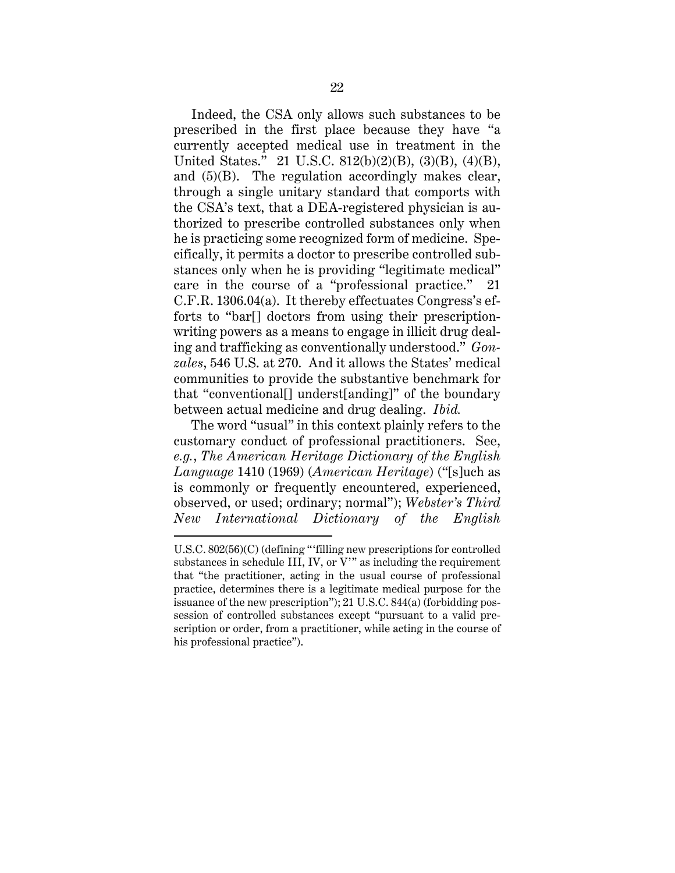Indeed, the CSA only allows such substances to be prescribed in the first place because they have "a currently accepted medical use in treatment in the United States." 21 U.S.C. 812(b)(2)(B), (3)(B), (4)(B), and (5)(B). The regulation accordingly makes clear, through a single unitary standard that comports with the CSA's text, that a DEA-registered physician is authorized to prescribe controlled substances only when he is practicing some recognized form of medicine. Specifically, it permits a doctor to prescribe controlled substances only when he is providing "legitimate medical" care in the course of a "professional practice." 21 C.F.R. 1306.04(a). It thereby effectuates Congress's efforts to "bar[] doctors from using their prescriptionwriting powers as a means to engage in illicit drug dealing and trafficking as conventionally understood." *Gonzales*, 546 U.S. at 270. And it allows the States' medical communities to provide the substantive benchmark for that "conventional[] underst[anding]" of the boundary between actual medicine and drug dealing. *Ibid.*

The word "usual" in this context plainly refers to the customary conduct of professional practitioners. See, *e.g.*, *The American Heritage Dictionary of the English Language* 1410 (1969) (*American Heritage*) ("[s]uch as is commonly or frequently encountered, experienced, observed, or used; ordinary; normal"); *Webster's Third New International Dictionary of the English* 

U.S.C. 802(56)(C) (defining "'filling new prescriptions for controlled substances in schedule III, IV, or V'" as including the requirement that "the practitioner, acting in the usual course of professional practice, determines there is a legitimate medical purpose for the issuance of the new prescription"); 21 U.S.C. 844(a) (forbidding possession of controlled substances except "pursuant to a valid prescription or order, from a practitioner, while acting in the course of his professional practice").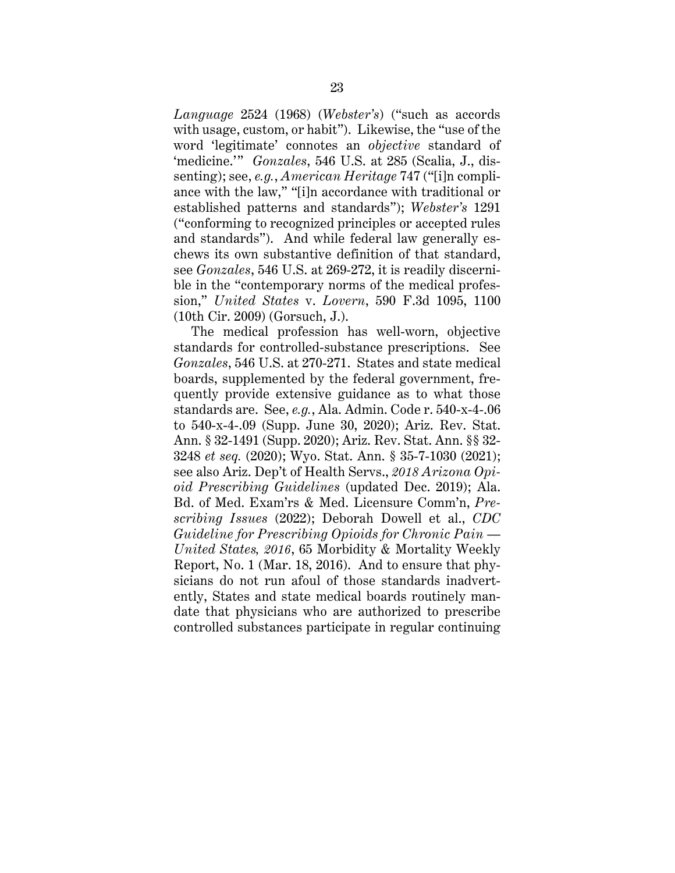*Language* 2524 (1968) (*Webster's*) ("such as accords with usage, custom, or habit"). Likewise, the "use of the word 'legitimate' connotes an *objective* standard of 'medicine.'" *Gonzales*, 546 U.S. at 285 (Scalia, J., dissenting); see, *e.g.*, *American Heritage* 747 ("[i]n compliance with the law," "[i]n accordance with traditional or established patterns and standards"); *Webster's* 1291 ("conforming to recognized principles or accepted rules and standards"). And while federal law generally eschews its own substantive definition of that standard, see *Gonzales*, 546 U.S. at 269-272, it is readily discernible in the "contemporary norms of the medical profession," *United States* v. *Lovern*, 590 F.3d 1095, 1100 (10th Cir. 2009) (Gorsuch, J.).

The medical profession has well-worn, objective standards for controlled-substance prescriptions. See *Gonzales*, 546 U.S. at 270-271. States and state medical boards, supplemented by the federal government, frequently provide extensive guidance as to what those standards are. See, *e.g.*, Ala. Admin. Code r. 540-x-4-.06 to 540-x-4-.09 (Supp. June 30, 2020); Ariz. Rev. Stat. Ann. § 32-1491 (Supp. 2020); Ariz. Rev. Stat. Ann. §§ 32- 3248 *et seq.* (2020); Wyo. Stat. Ann. § 35-7-1030 (2021); see also Ariz. Dep't of Health Servs., *2018 Arizona Opioid Prescribing Guidelines* (updated Dec. 2019); Ala. Bd. of Med. Exam'rs & Med. Licensure Comm'n, *Prescribing Issues* (2022); Deborah Dowell et al., *CDC Guideline for Prescribing Opioids for Chronic Pain — United States, 2016*, 65 Morbidity & Mortality Weekly Report, No. 1 (Mar. 18, 2016). And to ensure that physicians do not run afoul of those standards inadvertently, States and state medical boards routinely mandate that physicians who are authorized to prescribe controlled substances participate in regular continuing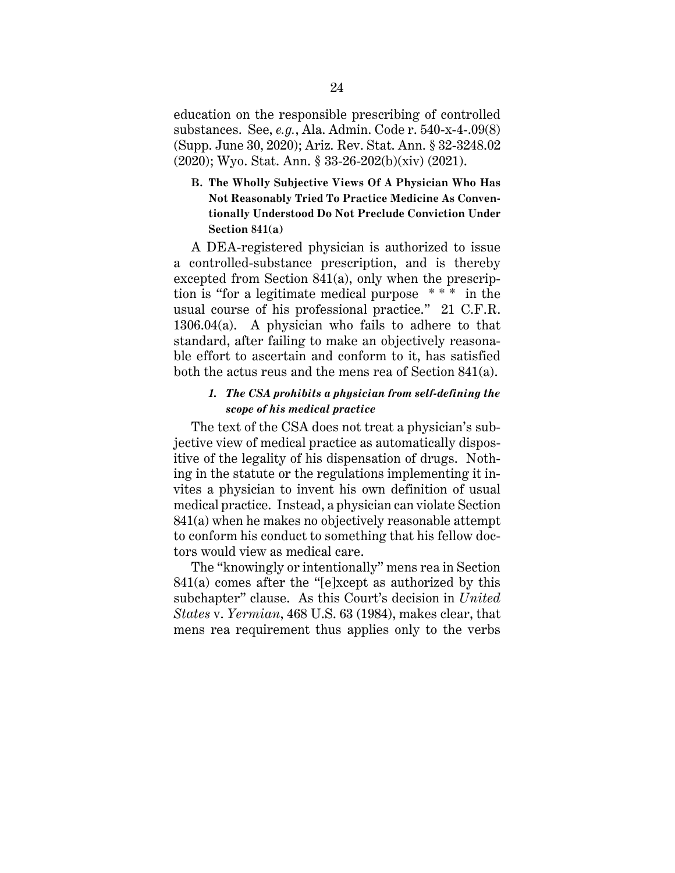education on the responsible prescribing of controlled substances. See, *e.g.*, Ala. Admin. Code r. 540-x-4-.09(8) (Supp. June 30, 2020); Ariz. Rev. Stat. Ann. § 32-3248.02 (2020); Wyo. Stat. Ann. § 33-26-202(b)(xiv) (2021).

**B. The Wholly Subjective Views Of A Physician Who Has Not Reasonably Tried To Practice Medicine As Conventionally Understood Do Not Preclude Conviction Under Section 841(a)**

A DEA-registered physician is authorized to issue a controlled-substance prescription, and is thereby excepted from Section 841(a), only when the prescription is "for a legitimate medical purpose \* \* \* in the usual course of his professional practice." 21 C.F.R. 1306.04(a). A physician who fails to adhere to that standard, after failing to make an objectively reasonable effort to ascertain and conform to it, has satisfied both the actus reus and the mens rea of Section 841(a).

## *1. The CSA prohibits a physician from self-defining the scope of his medical practice*

The text of the CSA does not treat a physician's subjective view of medical practice as automatically dispositive of the legality of his dispensation of drugs. Nothing in the statute or the regulations implementing it invites a physician to invent his own definition of usual medical practice. Instead, a physician can violate Section 841(a) when he makes no objectively reasonable attempt to conform his conduct to something that his fellow doctors would view as medical care.

The "knowingly or intentionally" mens rea in Section 841(a) comes after the "[e]xcept as authorized by this subchapter" clause. As this Court's decision in *United States* v. *Yermian*, 468 U.S. 63 (1984), makes clear, that mens rea requirement thus applies only to the verbs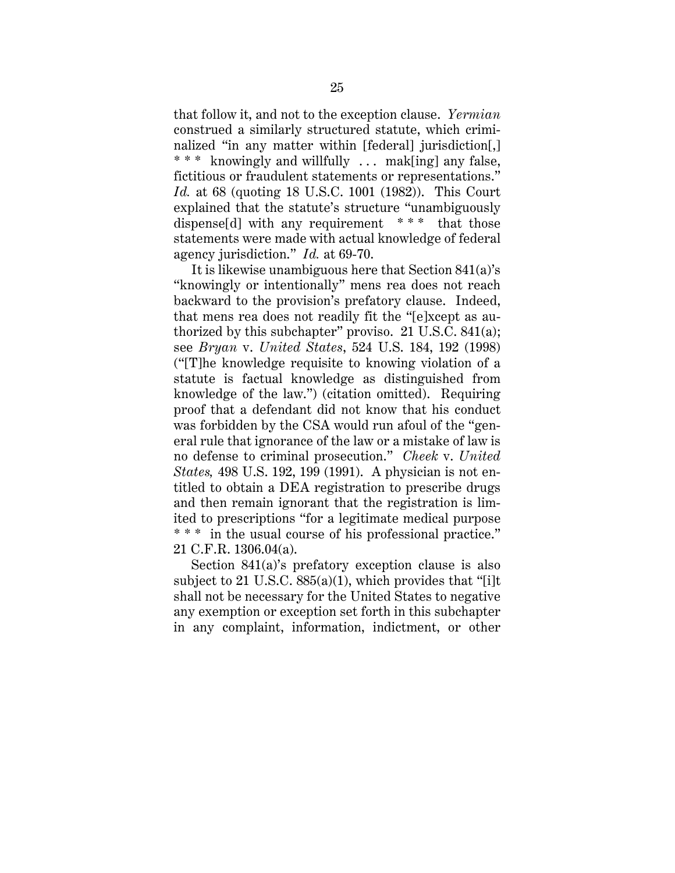that follow it, and not to the exception clause. *Yermian*  construed a similarly structured statute, which criminalized "in any matter within [federal] jurisdiction[,] \* \* \* knowingly and willfully ... mak[ing] any false, fictitious or fraudulent statements or representations." *Id.* at 68 (quoting 18 U.S.C. 1001 (1982)). This Court explained that the statute's structure "unambiguously dispense<sup>[d]</sup> with any requirement \*\*\* that those statements were made with actual knowledge of federal agency jurisdiction." *Id.* at 69-70.

It is likewise unambiguous here that Section 841(a)'s "knowingly or intentionally" mens rea does not reach backward to the provision's prefatory clause. Indeed, that mens rea does not readily fit the "[e]xcept as authorized by this subchapter" proviso. 21 U.S.C. 841(a); see *Bryan* v. *United States*, 524 U.S. 184, 192 (1998) ("[T]he knowledge requisite to knowing violation of a statute is factual knowledge as distinguished from knowledge of the law.") (citation omitted). Requiring proof that a defendant did not know that his conduct was forbidden by the CSA would run afoul of the "general rule that ignorance of the law or a mistake of law is no defense to criminal prosecution." *Cheek* v. *United States,* 498 U.S. 192, 199 (1991). A physician is not entitled to obtain a DEA registration to prescribe drugs and then remain ignorant that the registration is limited to prescriptions "for a legitimate medical purpose \*\*\* in the usual course of his professional practice." 21 C.F.R. 1306.04(a).

Section 841(a)'s prefatory exception clause is also subject to 21 U.S.C.  $885(a)(1)$ , which provides that "[i]t shall not be necessary for the United States to negative any exemption or exception set forth in this subchapter in any complaint, information, indictment, or other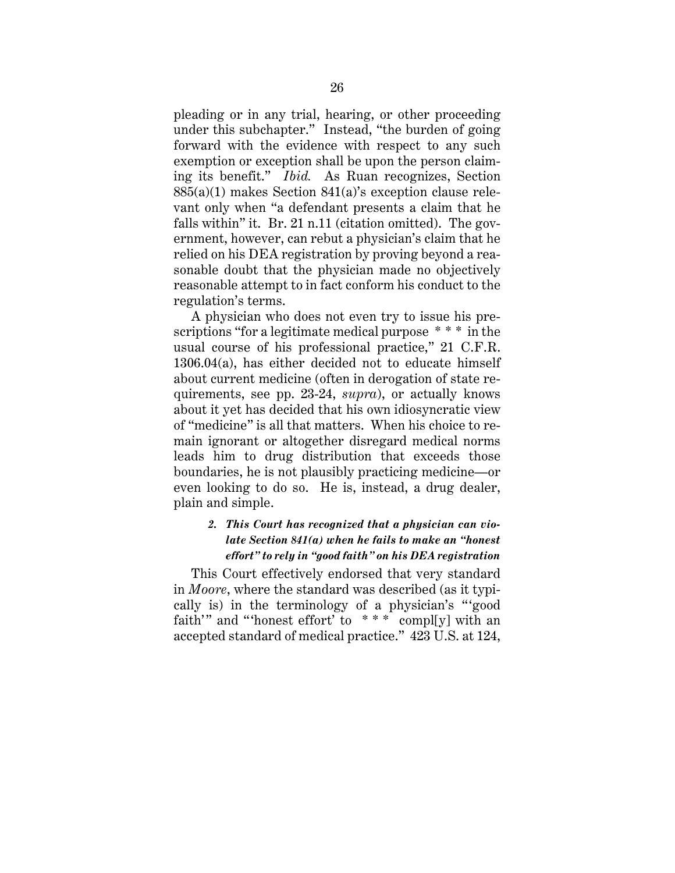pleading or in any trial, hearing, or other proceeding under this subchapter." Instead, "the burden of going forward with the evidence with respect to any such exemption or exception shall be upon the person claiming its benefit." *Ibid.* As Ruan recognizes, Section 885(a)(1) makes Section 841(a)'s exception clause relevant only when "a defendant presents a claim that he falls within" it. Br. 21 n.11 (citation omitted). The government, however, can rebut a physician's claim that he relied on his DEA registration by proving beyond a reasonable doubt that the physician made no objectively reasonable attempt to in fact conform his conduct to the regulation's terms.

A physician who does not even try to issue his prescriptions "for a legitimate medical purpose \* \* \* in the usual course of his professional practice," 21 C.F.R. 1306.04(a), has either decided not to educate himself about current medicine (often in derogation of state requirements, see pp. 23-24, *supra*), or actually knows about it yet has decided that his own idiosyncratic view of "medicine" is all that matters. When his choice to remain ignorant or altogether disregard medical norms leads him to drug distribution that exceeds those boundaries, he is not plausibly practicing medicine—or even looking to do so. He is, instead, a drug dealer, plain and simple.

## *2. This Court has recognized that a physician can violate Section 841(a) when he fails to make an "honest effort" to rely in "good faith" on his DEA registration*

This Court effectively endorsed that very standard in *Moore*, where the standard was described (as it typically is) in the terminology of a physician's " 'good faith'" and "'honest effort' to  $***$  compl[y] with an accepted standard of medical practice." 423 U.S. at 124,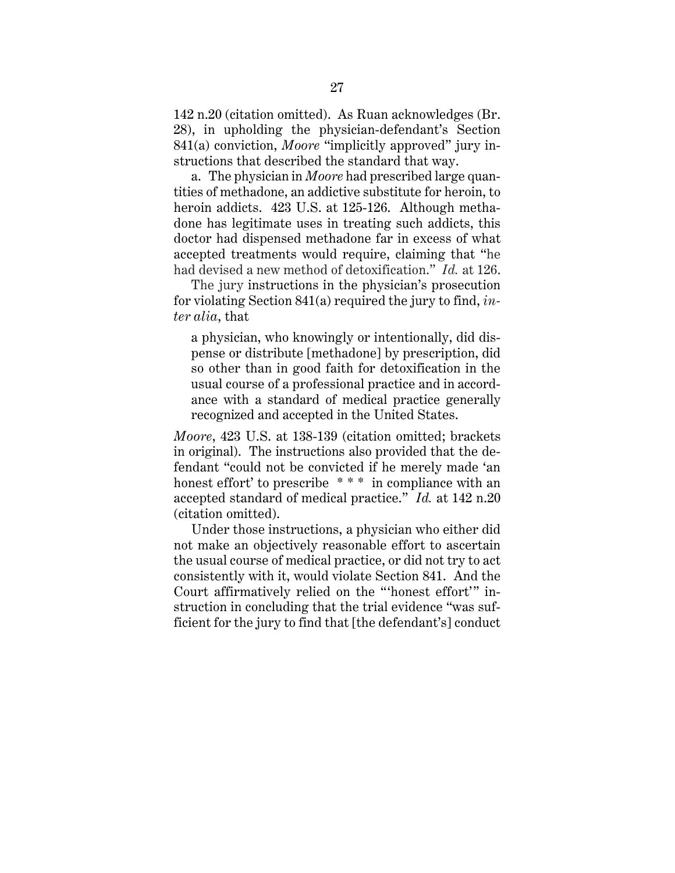142 n.20 (citation omitted). As Ruan acknowledges (Br. 28), in upholding the physician-defendant's Section 841(a) conviction, *Moore* "implicitly approved" jury instructions that described the standard that way.

a. The physician in *Moore* had prescribed large quantities of methadone, an addictive substitute for heroin, to heroin addicts. 423 U.S. at 125-126. Although methadone has legitimate uses in treating such addicts, this doctor had dispensed methadone far in excess of what accepted treatments would require, claiming that "he had devised a new method of detoxification." *Id.* at 126.

The jury instructions in the physician's prosecution for violating Section 841(a) required the jury to find, *inter alia*, that

a physician, who knowingly or intentionally, did dispense or distribute [methadone] by prescription, did so other than in good faith for detoxification in the usual course of a professional practice and in accordance with a standard of medical practice generally recognized and accepted in the United States.

*Moore*, 423 U.S. at 138-139 (citation omitted; brackets in original). The instructions also provided that the defendant "could not be convicted if he merely made 'an honest effort' to prescribe \*\*\* in compliance with an accepted standard of medical practice." *Id.* at 142 n.20 (citation omitted).

Under those instructions, a physician who either did not make an objectively reasonable effort to ascertain the usual course of medical practice, or did not try to act consistently with it, would violate Section 841. And the Court affirmatively relied on the "'honest effort'" instruction in concluding that the trial evidence "was sufficient for the jury to find that [the defendant's] conduct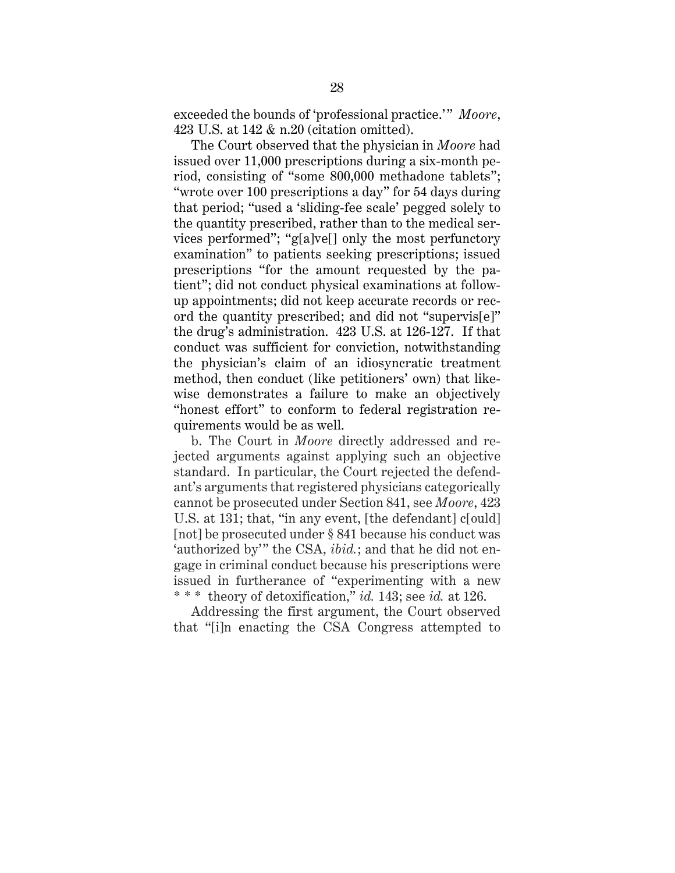exceeded the bounds of 'professional practice.'" Moore, 423 U.S. at 142 & n.20 (citation omitted).

The Court observed that the physician in *Moore* had issued over 11,000 prescriptions during a six-month period, consisting of "some 800,000 methadone tablets"; "wrote over 100 prescriptions a day" for 54 days during that period; "used a 'sliding-fee scale' pegged solely to the quantity prescribed, rather than to the medical services performed"; "g[a]ve[] only the most perfunctory examination" to patients seeking prescriptions; issued prescriptions "for the amount requested by the patient"; did not conduct physical examinations at followup appointments; did not keep accurate records or record the quantity prescribed; and did not "supervis[e]" the drug's administration. 423 U.S. at 126-127. If that conduct was sufficient for conviction, notwithstanding the physician's claim of an idiosyncratic treatment method, then conduct (like petitioners' own) that likewise demonstrates a failure to make an objectively "honest effort" to conform to federal registration requirements would be as well.

b. The Court in *Moore* directly addressed and rejected arguments against applying such an objective standard. In particular, the Court rejected the defendant's arguments that registered physicians categorically cannot be prosecuted under Section 841, see *Moore*, 423 U.S. at 131; that, "in any event, [the defendant] c[ould] [not] be prosecuted under § 841 because his conduct was 'authorized by'" the CSA, *ibid.*; and that he did not engage in criminal conduct because his prescriptions were issued in furtherance of "experimenting with a new \* \* \* theory of detoxification," *id.* 143; see *id.* at 126.

Addressing the first argument, the Court observed that "[i]n enacting the CSA Congress attempted to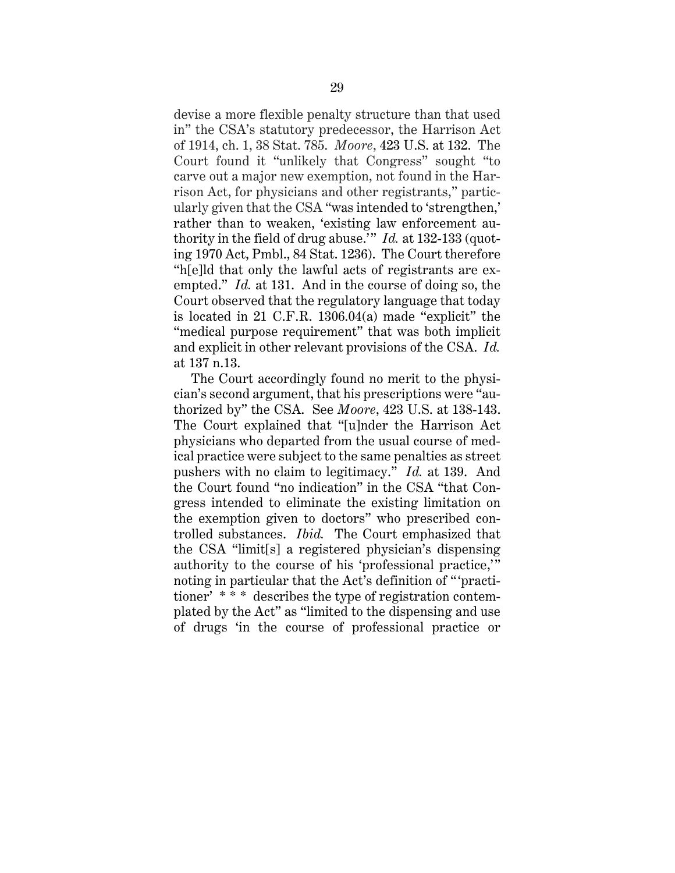devise a more flexible penalty structure than that used in" the CSA's statutory predecessor, the Harrison Act of 1914, ch. 1, 38 Stat. 785. *Moore*, 423 U.S. at 132. The Court found it "unlikely that Congress" sought "to carve out a major new exemption, not found in the Harrison Act, for physicians and other registrants," particularly given that the CSA "was intended to 'strengthen,' rather than to weaken, 'existing law enforcement authority in the field of drug abuse.'" *Id.* at 132-133 (quoting 1970 Act, Pmbl., 84 Stat. 1236). The Court therefore "h[e]ld that only the lawful acts of registrants are exempted." *Id.* at 131. And in the course of doing so, the Court observed that the regulatory language that today is located in 21 C.F.R. 1306.04(a) made "explicit" the "medical purpose requirement" that was both implicit and explicit in other relevant provisions of the CSA. *Id.* at 137 n.13.

The Court accordingly found no merit to the physician's second argument, that his prescriptions were "authorized by" the CSA. See *Moore*, 423 U.S. at 138-143. The Court explained that "[u]nder the Harrison Act physicians who departed from the usual course of medical practice were subject to the same penalties as street pushers with no claim to legitimacy." *Id.* at 139. And the Court found "no indication" in the CSA "that Congress intended to eliminate the existing limitation on the exemption given to doctors" who prescribed controlled substances. *Ibid.* The Court emphasized that the CSA "limit[s] a registered physician's dispensing authority to the course of his 'professional practice,'" noting in particular that the Act's definition of " 'practitioner' \* \* \* describes the type of registration contemplated by the Act" as "limited to the dispensing and use of drugs 'in the course of professional practice or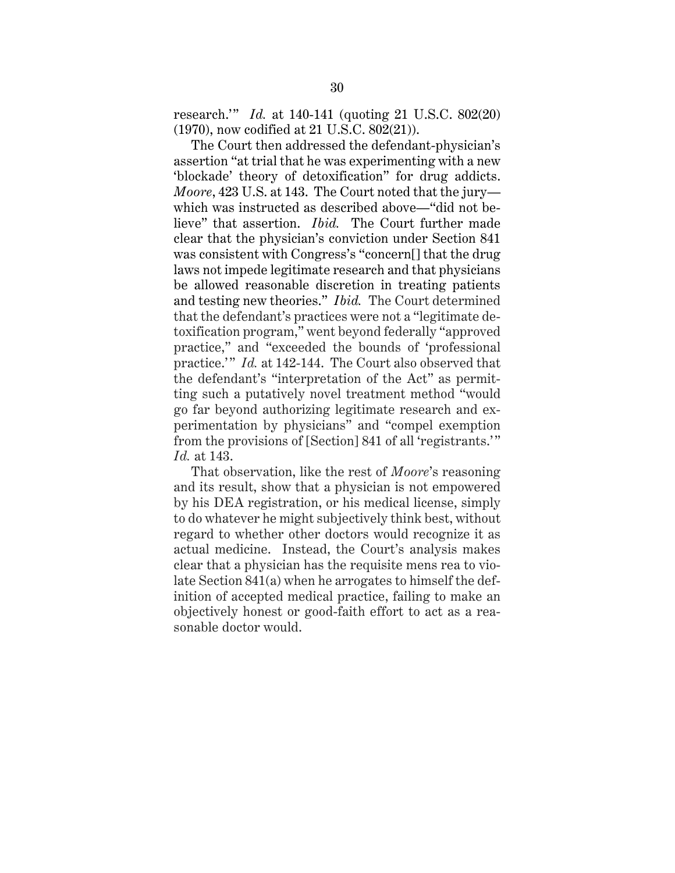research.'" *Id.* at 140-141 (quoting 21 U.S.C. 802(20) (1970), now codified at 21 U.S.C. 802(21)).

The Court then addressed the defendant-physician's assertion "at trial that he was experimenting with a new 'blockade' theory of detoxification" for drug addicts. *Moore*, 423 U.S. at 143. The Court noted that the jury which was instructed as described above—"did not believe" that assertion. *Ibid.* The Court further made clear that the physician's conviction under Section 841 was consistent with Congress's "concern[] that the drug laws not impede legitimate research and that physicians be allowed reasonable discretion in treating patients and testing new theories." *Ibid.* The Court determined that the defendant's practices were not a "legitimate detoxification program," went beyond federally "approved practice," and "exceeded the bounds of 'professional practice.'" *Id.* at 142-144. The Court also observed that the defendant's "interpretation of the Act" as permitting such a putatively novel treatment method "would go far beyond authorizing legitimate research and experimentation by physicians" and "compel exemption from the provisions of [Section] 841 of all 'registrants.'" *Id.* at 143.

That observation, like the rest of *Moore*'s reasoning and its result, show that a physician is not empowered by his DEA registration, or his medical license, simply to do whatever he might subjectively think best, without regard to whether other doctors would recognize it as actual medicine. Instead, the Court's analysis makes clear that a physician has the requisite mens rea to violate Section 841(a) when he arrogates to himself the definition of accepted medical practice, failing to make an objectively honest or good-faith effort to act as a reasonable doctor would.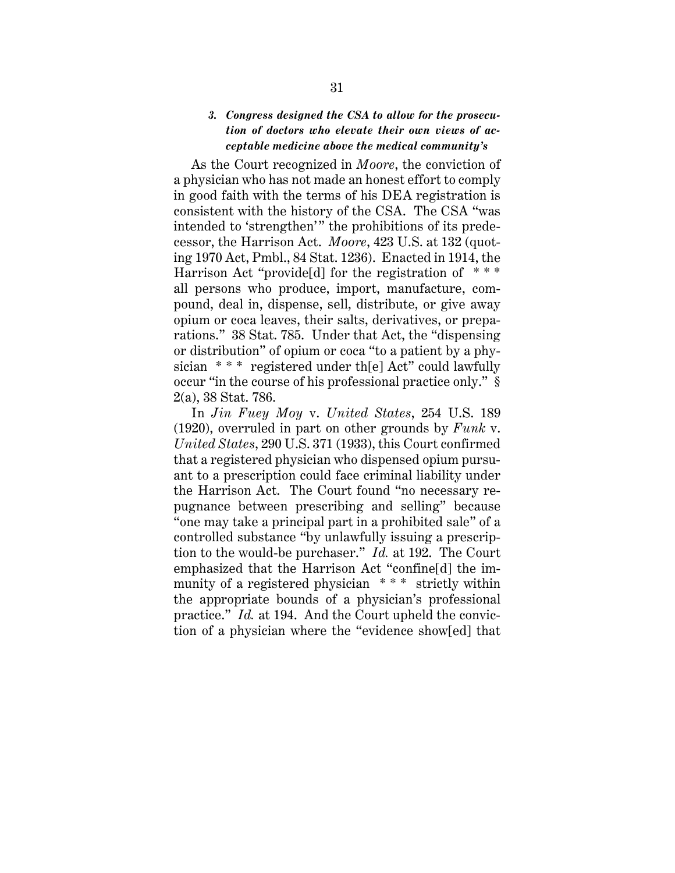## *3. Congress designed the CSA to allow for the prosecution of doctors who elevate their own views of acceptable medicine above the medical community's*

As the Court recognized in *Moore*, the conviction of a physician who has not made an honest effort to comply in good faith with the terms of his DEA registration is consistent with the history of the CSA. The CSA "was intended to 'strengthen'" the prohibitions of its predecessor, the Harrison Act. *Moore*, 423 U.S. at 132 (quoting 1970 Act, Pmbl., 84 Stat. 1236). Enacted in 1914, the Harrison Act "provide[d] for the registration of  $***$ all persons who produce, import, manufacture, compound, deal in, dispense, sell, distribute, or give away opium or coca leaves, their salts, derivatives, or preparations." 38 Stat. 785. Under that Act, the "dispensing or distribution" of opium or coca "to a patient by a physician  $***$  registered under the Act" could lawfully occur "in the course of his professional practice only." § 2(a), 38 Stat. 786.

In *Jin Fuey Moy* v. *United States*, 254 U.S. 189 (1920), overruled in part on other grounds by *Funk* v. *United States*, 290 U.S. 371 (1933), this Court confirmed that a registered physician who dispensed opium pursuant to a prescription could face criminal liability under the Harrison Act. The Court found "no necessary repugnance between prescribing and selling" because "one may take a principal part in a prohibited sale" of a controlled substance "by unlawfully issuing a prescription to the would-be purchaser." *Id.* at 192. The Court emphasized that the Harrison Act "confine[d] the immunity of a registered physician \* \* \* strictly within the appropriate bounds of a physician's professional practice." *Id.* at 194. And the Court upheld the conviction of a physician where the "evidence show[ed] that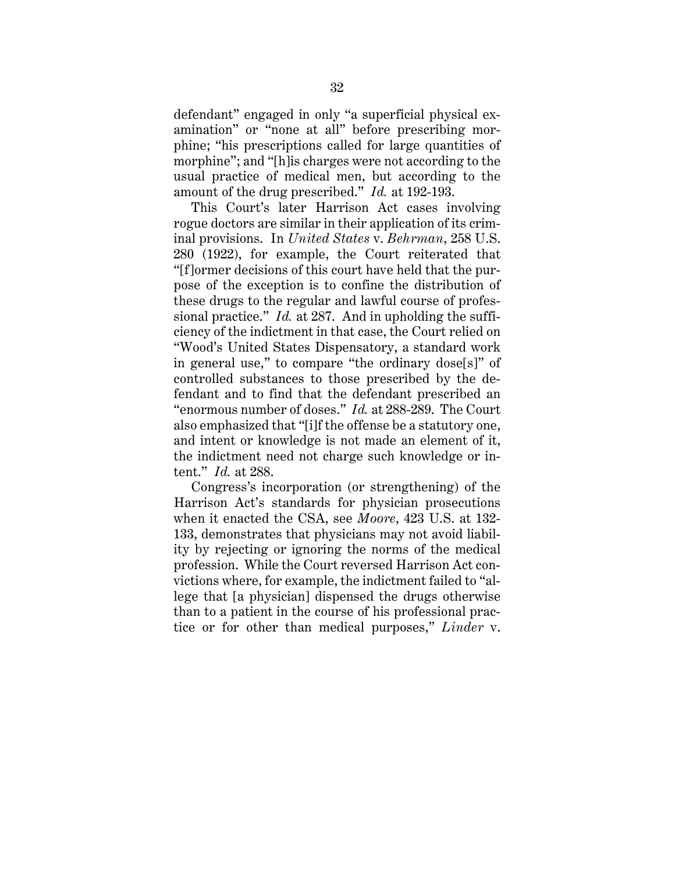defendant" engaged in only "a superficial physical examination" or "none at all" before prescribing morphine; "his prescriptions called for large quantities of morphine"; and "[h]is charges were not according to the usual practice of medical men, but according to the amount of the drug prescribed." *Id.* at 192-193.

This Court's later Harrison Act cases involving rogue doctors are similar in their application of its criminal provisions. In *United States* v. *Behrman*, 258 U.S. 280 (1922), for example, the Court reiterated that "[f]ormer decisions of this court have held that the purpose of the exception is to confine the distribution of these drugs to the regular and lawful course of professional practice." *Id.* at 287. And in upholding the sufficiency of the indictment in that case, the Court relied on "Wood's United States Dispensatory, a standard work in general use," to compare "the ordinary dose[s]" of controlled substances to those prescribed by the defendant and to find that the defendant prescribed an "enormous number of doses." *Id.* at 288-289. The Court also emphasized that "[i]f the offense be a statutory one, and intent or knowledge is not made an element of it, the indictment need not charge such knowledge or intent." *Id.* at 288.

Congress's incorporation (or strengthening) of the Harrison Act's standards for physician prosecutions when it enacted the CSA, see *Moore*, 423 U.S. at 132- 133, demonstrates that physicians may not avoid liability by rejecting or ignoring the norms of the medical profession. While the Court reversed Harrison Act convictions where, for example, the indictment failed to "allege that [a physician] dispensed the drugs otherwise than to a patient in the course of his professional practice or for other than medical purposes," *Linder* v.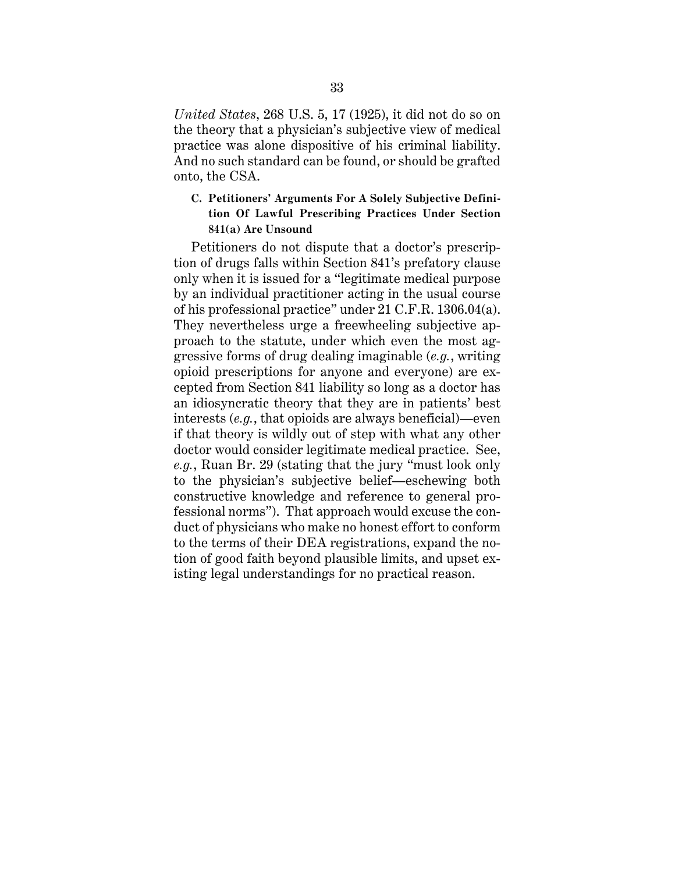*United States*, 268 U.S. 5, 17 (1925), it did not do so on the theory that a physician's subjective view of medical practice was alone dispositive of his criminal liability. And no such standard can be found, or should be grafted onto, the CSA.

## **C. Petitioners' Arguments For A Solely Subjective Definition Of Lawful Prescribing Practices Under Section 841(a) Are Unsound**

Petitioners do not dispute that a doctor's prescription of drugs falls within Section 841's prefatory clause only when it is issued for a "legitimate medical purpose by an individual practitioner acting in the usual course of his professional practice" under 21 C.F.R. 1306.04(a). They nevertheless urge a freewheeling subjective approach to the statute, under which even the most aggressive forms of drug dealing imaginable (*e.g.*, writing opioid prescriptions for anyone and everyone) are excepted from Section 841 liability so long as a doctor has an idiosyncratic theory that they are in patients' best interests (*e.g.*, that opioids are always beneficial)—even if that theory is wildly out of step with what any other doctor would consider legitimate medical practice. See, *e.g.*, Ruan Br. 29 (stating that the jury "must look only to the physician's subjective belief—eschewing both constructive knowledge and reference to general professional norms"). That approach would excuse the conduct of physicians who make no honest effort to conform to the terms of their DEA registrations, expand the notion of good faith beyond plausible limits, and upset existing legal understandings for no practical reason.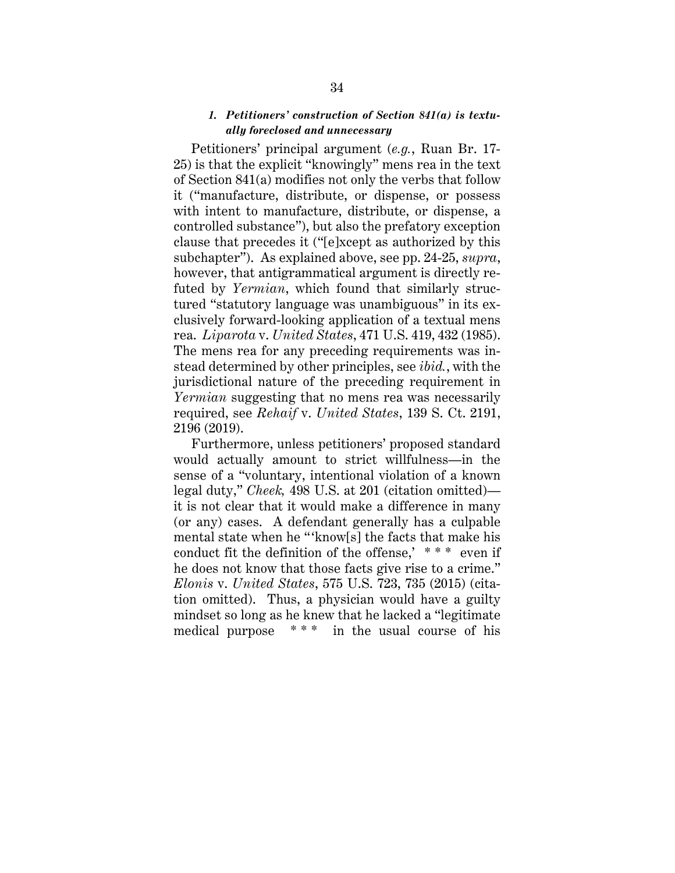## *1. Petitioners' construction of Section 841(a) is textually foreclosed and unnecessary*

Petitioners' principal argument (*e.g.*, Ruan Br. 17- 25) is that the explicit "knowingly" mens rea in the text of Section 841(a) modifies not only the verbs that follow it ("manufacture, distribute, or dispense, or possess with intent to manufacture, distribute, or dispense, a controlled substance"), but also the prefatory exception clause that precedes it ("[e]xcept as authorized by this subchapter"). As explained above, see pp. 24-25, *supra*, however, that antigrammatical argument is directly refuted by *Yermian*, which found that similarly structured "statutory language was unambiguous" in its exclusively forward-looking application of a textual mens rea. *Liparota* v. *United States*, 471 U.S. 419, 432 (1985). The mens rea for any preceding requirements was instead determined by other principles, see *ibid.*, with the jurisdictional nature of the preceding requirement in *Yermian* suggesting that no mens rea was necessarily required, see *Rehaif* v. *United States*, 139 S. Ct. 2191, 2196 (2019).

Furthermore, unless petitioners' proposed standard would actually amount to strict willfulness—in the sense of a "voluntary, intentional violation of a known legal duty," *Cheek,* 498 U.S. at 201 (citation omitted) it is not clear that it would make a difference in many (or any) cases. A defendant generally has a culpable mental state when he "'know[s] the facts that make his conduct fit the definition of the offense,' \* \* \* even if he does not know that those facts give rise to a crime." *Elonis* v. *United States*, 575 U.S. 723, 735 (2015) (citation omitted). Thus, a physician would have a guilty mindset so long as he knew that he lacked a "legitimate medical purpose \* \* \* in the usual course of his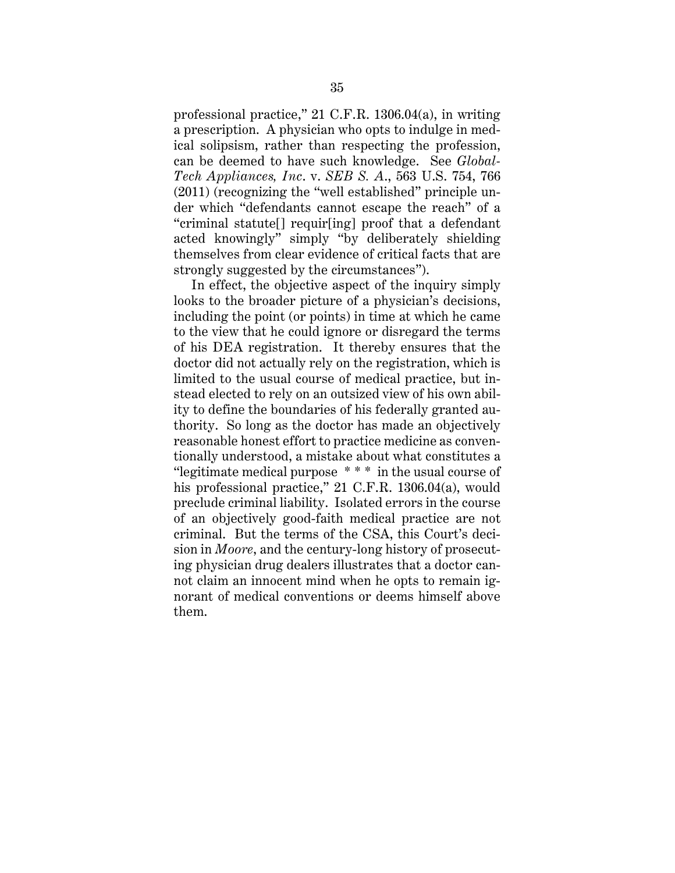professional practice," 21 C.F.R. 1306.04(a), in writing a prescription. A physician who opts to indulge in medical solipsism, rather than respecting the profession, can be deemed to have such knowledge. See *Global-Tech Appliances, Inc*. v. *SEB S. A*., 563 U.S. 754, 766 (2011) (recognizing the "well established" principle under which "defendants cannot escape the reach" of a "criminal statute[] requir[ing] proof that a defendant acted knowingly" simply "by deliberately shielding themselves from clear evidence of critical facts that are strongly suggested by the circumstances").

In effect, the objective aspect of the inquiry simply looks to the broader picture of a physician's decisions, including the point (or points) in time at which he came to the view that he could ignore or disregard the terms of his DEA registration. It thereby ensures that the doctor did not actually rely on the registration, which is limited to the usual course of medical practice, but instead elected to rely on an outsized view of his own ability to define the boundaries of his federally granted authority. So long as the doctor has made an objectively reasonable honest effort to practice medicine as conventionally understood, a mistake about what constitutes a "legitimate medical purpose \* \* \* in the usual course of his professional practice," 21 C.F.R. 1306.04(a), would preclude criminal liability. Isolated errors in the course of an objectively good-faith medical practice are not criminal. But the terms of the CSA, this Court's decision in *Moore*, and the century-long history of prosecuting physician drug dealers illustrates that a doctor cannot claim an innocent mind when he opts to remain ignorant of medical conventions or deems himself above them.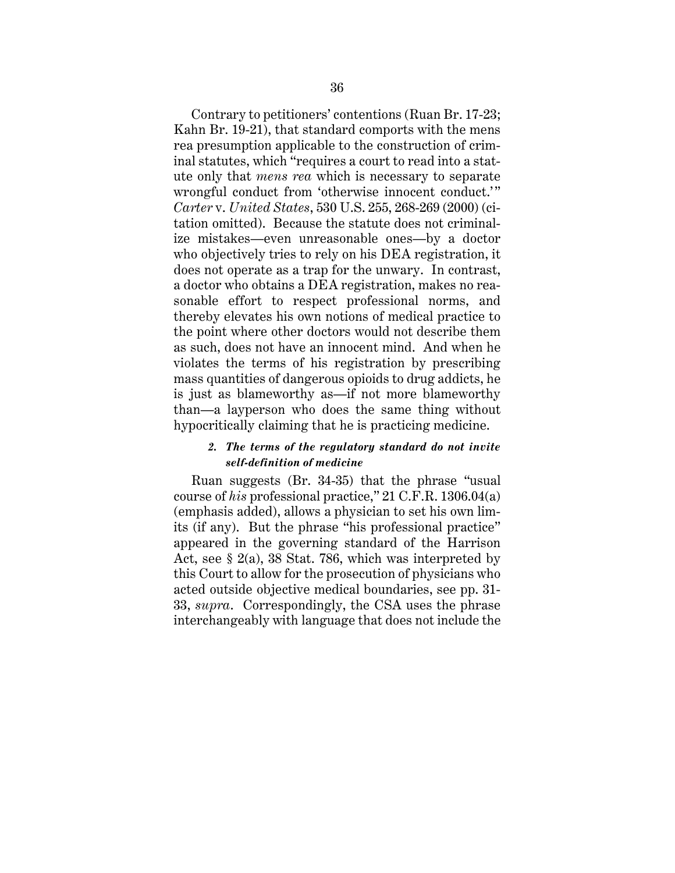Contrary to petitioners' contentions (Ruan Br. 17-23; Kahn Br. 19-21), that standard comports with the mens rea presumption applicable to the construction of criminal statutes, which "requires a court to read into a statute only that *mens rea* which is necessary to separate wrongful conduct from 'otherwise innocent conduct.'" *Carter* v. *United States*, 530 U.S. 255, 268-269 (2000) (citation omitted). Because the statute does not criminalize mistakes—even unreasonable ones—by a doctor who objectively tries to rely on his DEA registration, it does not operate as a trap for the unwary. In contrast, a doctor who obtains a DEA registration, makes no reasonable effort to respect professional norms, and thereby elevates his own notions of medical practice to the point where other doctors would not describe them as such, does not have an innocent mind. And when he violates the terms of his registration by prescribing mass quantities of dangerous opioids to drug addicts, he is just as blameworthy as—if not more blameworthy than—a layperson who does the same thing without hypocritically claiming that he is practicing medicine.

## *2. The terms of the regulatory standard do not invite self-definition of medicine*

Ruan suggests (Br. 34-35) that the phrase "usual course of *his* professional practice," 21 C.F.R. 1306.04(a) (emphasis added), allows a physician to set his own limits (if any). But the phrase "his professional practice" appeared in the governing standard of the Harrison Act, see § 2(a), 38 Stat. 786, which was interpreted by this Court to allow for the prosecution of physicians who acted outside objective medical boundaries, see pp. 31- 33, *supra*. Correspondingly, the CSA uses the phrase interchangeably with language that does not include the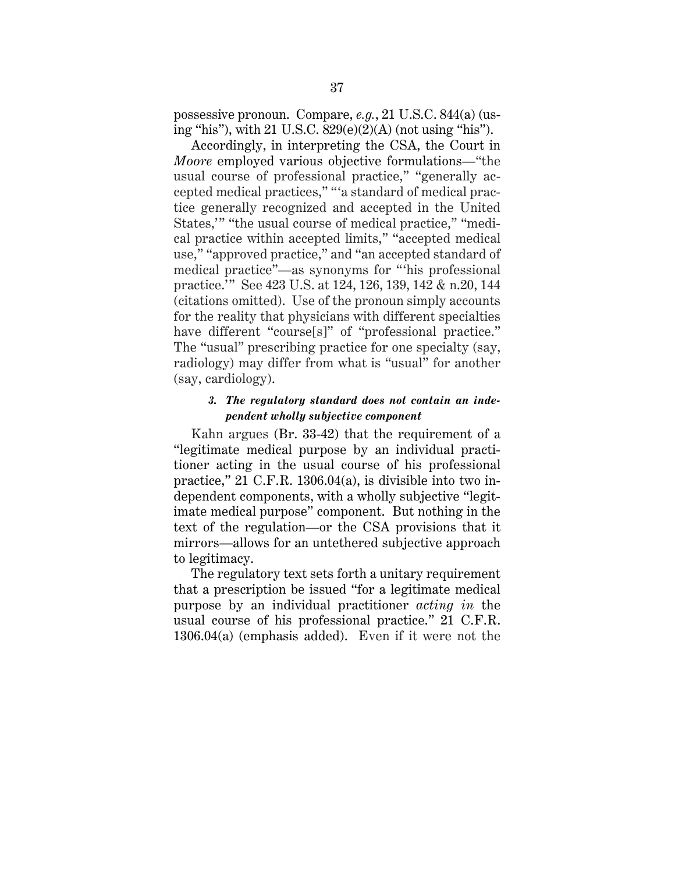possessive pronoun. Compare, *e.g.*, 21 U.S.C. 844(a) (using "his"), with 21 U.S.C. 829(e)(2)(A) (not using "his").

Accordingly, in interpreting the CSA, the Court in *Moore* employed various objective formulations—"the usual course of professional practice," "generally accepted medical practices," "'a standard of medical practice generally recognized and accepted in the United States,'" "the usual course of medical practice," "medical practice within accepted limits," "accepted medical use," "approved practice," and "an accepted standard of medical practice"—as synonyms for "'his professional practice.'" See 423 U.S. at 124, 126, 139, 142 & n.20, 144 (citations omitted). Use of the pronoun simply accounts for the reality that physicians with different specialties have different "course[s]" of "professional practice." The "usual" prescribing practice for one specialty (say, radiology) may differ from what is "usual" for another (say, cardiology).

## *3. The regulatory standard does not contain an independent wholly subjective component*

Kahn argues (Br. 33-42) that the requirement of a "legitimate medical purpose by an individual practitioner acting in the usual course of his professional practice," 21 C.F.R. 1306.04(a), is divisible into two independent components, with a wholly subjective "legitimate medical purpose" component. But nothing in the text of the regulation—or the CSA provisions that it mirrors—allows for an untethered subjective approach to legitimacy.

The regulatory text sets forth a unitary requirement that a prescription be issued "for a legitimate medical purpose by an individual practitioner *acting in* the usual course of his professional practice." 21 C.F.R. 1306.04(a) (emphasis added). Even if it were not the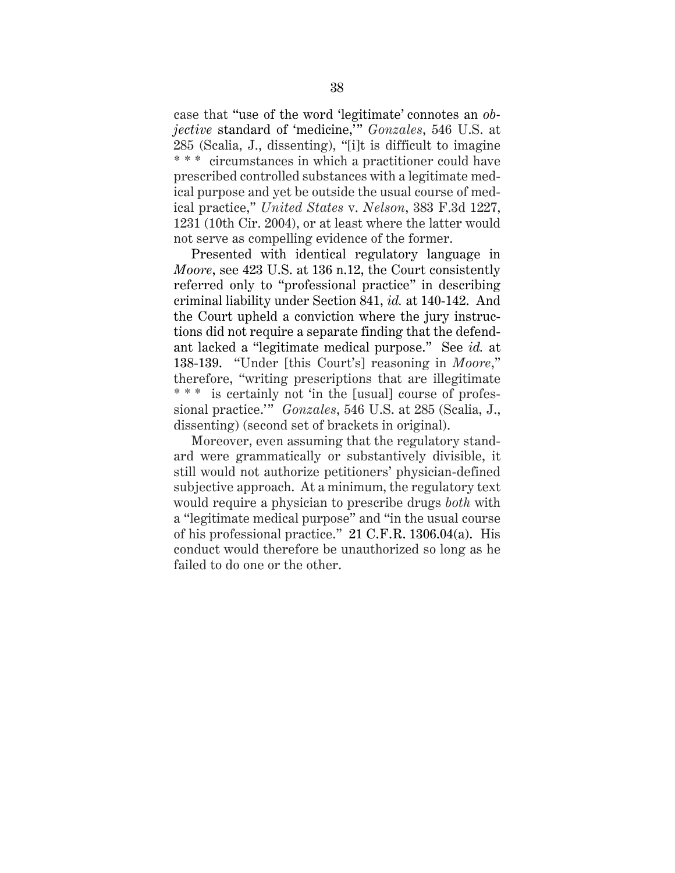case that "use of the word 'legitimate' connotes an *objective* standard of 'medicine,'" *Gonzales*, 546 U.S. at 285 (Scalia, J., dissenting), "[i]t is difficult to imagine \* \* \* circumstances in which a practitioner could have prescribed controlled substances with a legitimate medical purpose and yet be outside the usual course of medical practice," *United States* v. *Nelson*, 383 F.3d 1227, 1231 (10th Cir. 2004), or at least where the latter would not serve as compelling evidence of the former.

Presented with identical regulatory language in *Moore*, see 423 U.S. at 136 n.12, the Court consistently referred only to "professional practice" in describing criminal liability under Section 841, *id.* at 140-142. And the Court upheld a conviction where the jury instructions did not require a separate finding that the defendant lacked a "legitimate medical purpose." See *id.* at 138-139. "Under [this Court's] reasoning in *Moore*," therefore, "writing prescriptions that are illegitimate \* \* \* is certainly not 'in the [usual] course of professional practice.'" *Gonzales*, 546 U.S. at 285 (Scalia, J., dissenting) (second set of brackets in original).

Moreover, even assuming that the regulatory standard were grammatically or substantively divisible, it still would not authorize petitioners' physician-defined subjective approach. At a minimum, the regulatory text would require a physician to prescribe drugs *both* with a "legitimate medical purpose" and "in the usual course of his professional practice." 21 C.F.R. 1306.04(a). His conduct would therefore be unauthorized so long as he failed to do one or the other.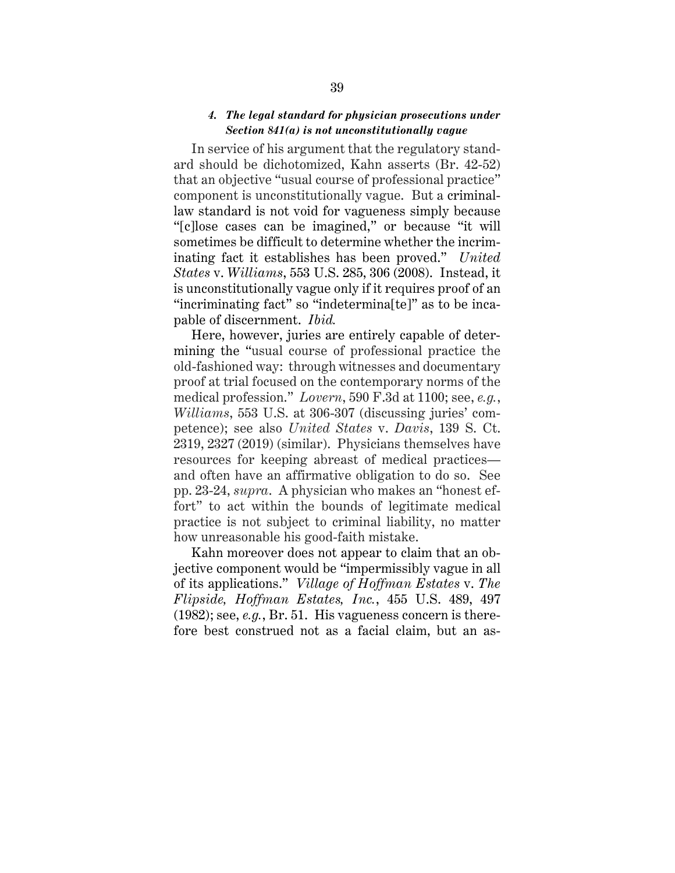#### *4. The legal standard for physician prosecutions under Section 841(a) is not unconstitutionally vague*

In service of his argument that the regulatory standard should be dichotomized, Kahn asserts (Br. 42-52) that an objective "usual course of professional practice" component is unconstitutionally vague. But a criminallaw standard is not void for vagueness simply because "[c]lose cases can be imagined," or because "it will sometimes be difficult to determine whether the incriminating fact it establishes has been proved." *United States* v. *Williams*, 553 U.S. 285, 306 (2008). Instead, it is unconstitutionally vague only if it requires proof of an "incriminating fact" so "indetermina[te]" as to be incapable of discernment. *Ibid.*

Here, however, juries are entirely capable of determining the "usual course of professional practice the old-fashioned way: through witnesses and documentary proof at trial focused on the contemporary norms of the medical profession." *Lovern*, 590 F.3d at 1100; see, *e.g.*, *Williams*, 553 U.S. at 306-307 (discussing juries' competence); see also *United States* v. *Davis*, 139 S. Ct. 2319, 2327 (2019) (similar). Physicians themselves have resources for keeping abreast of medical practices and often have an affirmative obligation to do so. See pp. 23-24, *supra*. A physician who makes an "honest effort" to act within the bounds of legitimate medical practice is not subject to criminal liability, no matter how unreasonable his good-faith mistake.

Kahn moreover does not appear to claim that an objective component would be "impermissibly vague in all of its applications." *Village of Hoffman Estates* v. *The Flipside, Hoffman Estates, Inc.*, 455 U.S. 489, 497 (1982); see, *e.g.*, Br. 51. His vagueness concern is therefore best construed not as a facial claim, but an as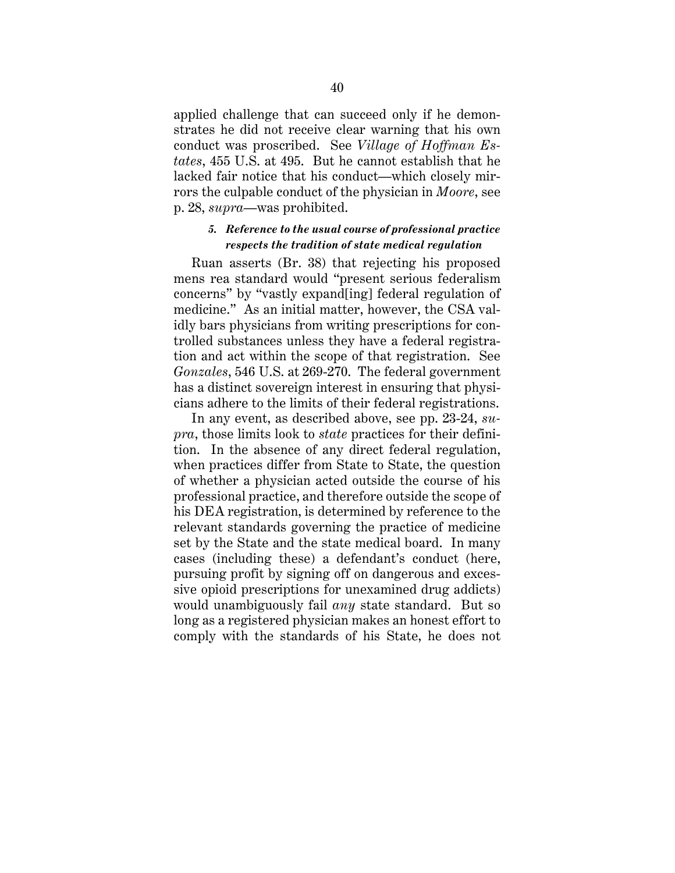applied challenge that can succeed only if he demonstrates he did not receive clear warning that his own conduct was proscribed. See *Village of Hoffman Estates*, 455 U.S. at 495. But he cannot establish that he lacked fair notice that his conduct—which closely mirrors the culpable conduct of the physician in *Moore*, see p. 28, *supra*—was prohibited.

### *5. Reference to the usual course of professional practice respects the tradition of state medical regulation*

Ruan asserts (Br. 38) that rejecting his proposed mens rea standard would "present serious federalism concerns" by "vastly expand[ing] federal regulation of medicine." As an initial matter, however, the CSA validly bars physicians from writing prescriptions for controlled substances unless they have a federal registration and act within the scope of that registration. See *Gonzales*, 546 U.S. at 269-270. The federal government has a distinct sovereign interest in ensuring that physicians adhere to the limits of their federal registrations.

In any event, as described above, see pp. 23-24, *supra*, those limits look to *state* practices for their definition. In the absence of any direct federal regulation, when practices differ from State to State, the question of whether a physician acted outside the course of his professional practice, and therefore outside the scope of his DEA registration, is determined by reference to the relevant standards governing the practice of medicine set by the State and the state medical board. In many cases (including these) a defendant's conduct (here, pursuing profit by signing off on dangerous and excessive opioid prescriptions for unexamined drug addicts) would unambiguously fail *any* state standard. But so long as a registered physician makes an honest effort to comply with the standards of his State, he does not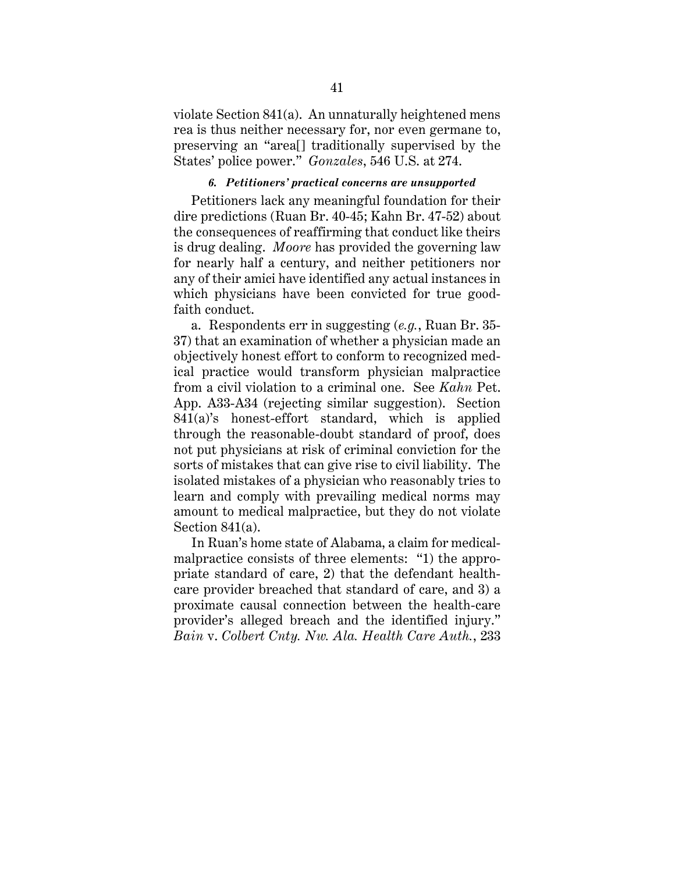violate Section 841(a). An unnaturally heightened mens rea is thus neither necessary for, nor even germane to, preserving an "area[] traditionally supervised by the States' police power." *Gonzales*, 546 U.S. at 274.

## *6. Petitioners' practical concerns are unsupported*

Petitioners lack any meaningful foundation for their dire predictions (Ruan Br. 40-45; Kahn Br. 47-52) about the consequences of reaffirming that conduct like theirs is drug dealing. *Moore* has provided the governing law for nearly half a century, and neither petitioners nor any of their amici have identified any actual instances in which physicians have been convicted for true goodfaith conduct.

 a. Respondents err in suggesting (*e.g.*, Ruan Br. 35- 37) that an examination of whether a physician made an objectively honest effort to conform to recognized medical practice would transform physician malpractice from a civil violation to a criminal one. See *Kahn* Pet. App. A33-A34 (rejecting similar suggestion). Section 841(a)'s honest-effort standard, which is applied through the reasonable-doubt standard of proof, does not put physicians at risk of criminal conviction for the sorts of mistakes that can give rise to civil liability. The isolated mistakes of a physician who reasonably tries to learn and comply with prevailing medical norms may amount to medical malpractice, but they do not violate Section 841(a).

In Ruan's home state of Alabama, a claim for medicalmalpractice consists of three elements: "1) the appropriate standard of care, 2) that the defendant healthcare provider breached that standard of care, and 3) a proximate causal connection between the health-care provider's alleged breach and the identified injury." *Bain* v. *Colbert Cnty. Nw. Ala. Health Care Auth.*, 233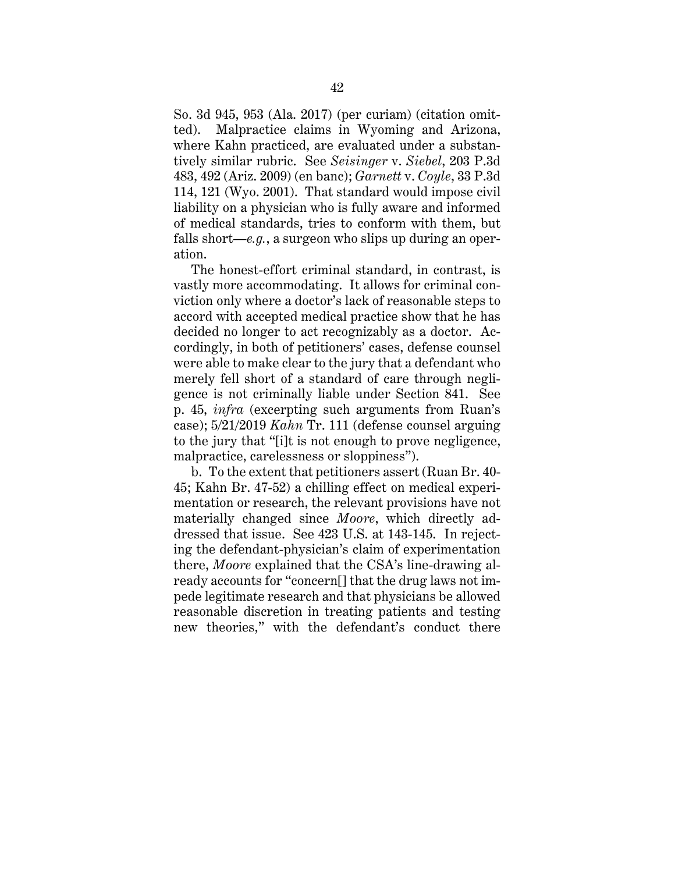So. 3d 945, 953 (Ala. 2017) (per curiam) (citation omitted). Malpractice claims in Wyoming and Arizona, where Kahn practiced, are evaluated under a substantively similar rubric. See *Seisinger* v. *Siebel*, 203 P.3d 483, 492 (Ariz. 2009) (en banc); *Garnett* v. *Coyle*, 33 P.3d 114, 121 (Wyo. 2001). That standard would impose civil liability on a physician who is fully aware and informed of medical standards, tries to conform with them, but falls short—*e.g.*, a surgeon who slips up during an operation.

The honest-effort criminal standard, in contrast, is vastly more accommodating. It allows for criminal conviction only where a doctor's lack of reasonable steps to accord with accepted medical practice show that he has decided no longer to act recognizably as a doctor. Accordingly, in both of petitioners' cases, defense counsel were able to make clear to the jury that a defendant who merely fell short of a standard of care through negligence is not criminally liable under Section 841. See p. 45, *infra* (excerpting such arguments from Ruan's case); 5/21/2019 *Kahn* Tr. 111 (defense counsel arguing to the jury that "[i]t is not enough to prove negligence, malpractice, carelessness or sloppiness").

b. To the extent that petitioners assert (Ruan Br. 40- 45; Kahn Br. 47-52) a chilling effect on medical experimentation or research, the relevant provisions have not materially changed since *Moore*, which directly addressed that issue. See 423 U.S. at 143-145. In rejecting the defendant-physician's claim of experimentation there, *Moore* explained that the CSA's line-drawing already accounts for "concern[] that the drug laws not impede legitimate research and that physicians be allowed reasonable discretion in treating patients and testing new theories," with the defendant's conduct there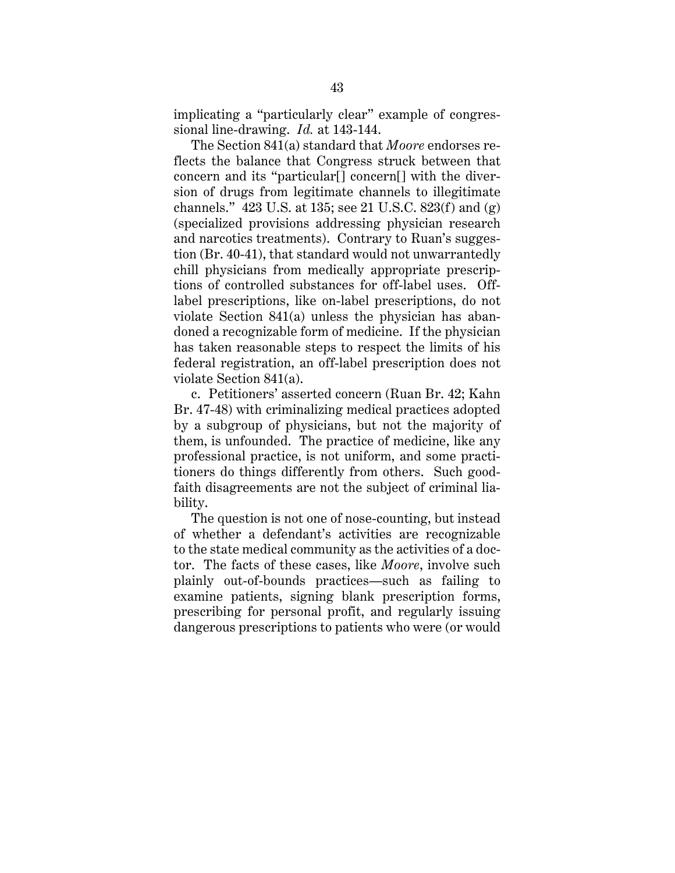implicating a "particularly clear" example of congressional line-drawing. *Id.* at 143-144.

The Section 841(a) standard that *Moore* endorses reflects the balance that Congress struck between that concern and its "particular[] concern[] with the diversion of drugs from legitimate channels to illegitimate channels." 423 U.S. at 135; see 21 U.S.C. 823(f) and  $(g)$ (specialized provisions addressing physician research and narcotics treatments). Contrary to Ruan's suggestion (Br. 40-41), that standard would not unwarrantedly chill physicians from medically appropriate prescriptions of controlled substances for off-label uses. Offlabel prescriptions, like on-label prescriptions, do not violate Section 841(a) unless the physician has abandoned a recognizable form of medicine. If the physician has taken reasonable steps to respect the limits of his federal registration, an off-label prescription does not violate Section 841(a).

c. Petitioners' asserted concern (Ruan Br. 42; Kahn Br. 47-48) with criminalizing medical practices adopted by a subgroup of physicians, but not the majority of them, is unfounded. The practice of medicine, like any professional practice, is not uniform, and some practitioners do things differently from others. Such goodfaith disagreements are not the subject of criminal liability.

The question is not one of nose-counting, but instead of whether a defendant's activities are recognizable to the state medical community as the activities of a doctor. The facts of these cases, like *Moore*, involve such plainly out-of-bounds practices—such as failing to examine patients, signing blank prescription forms, prescribing for personal profit, and regularly issuing dangerous prescriptions to patients who were (or would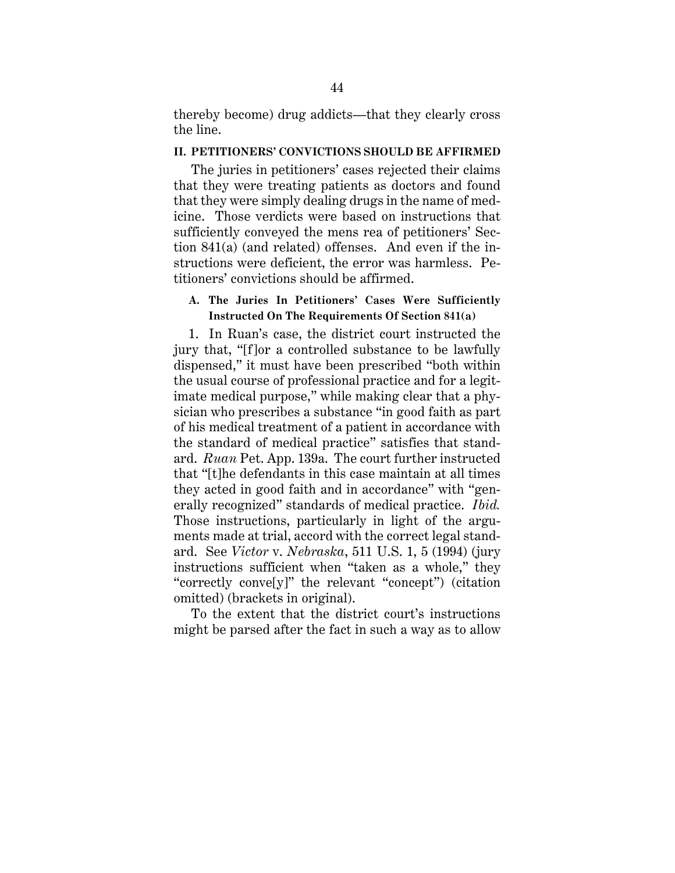thereby become) drug addicts—that they clearly cross the line.

#### **II. PETITIONERS' CONVICTIONS SHOULD BE AFFIRMED**

The juries in petitioners' cases rejected their claims that they were treating patients as doctors and found that they were simply dealing drugs in the name of medicine. Those verdicts were based on instructions that sufficiently conveyed the mens rea of petitioners' Section 841(a) (and related) offenses. And even if the instructions were deficient, the error was harmless. Petitioners' convictions should be affirmed.

## **A. The Juries In Petitioners' Cases Were Sufficiently Instructed On The Requirements Of Section 841(a)**

1. In Ruan's case, the district court instructed the jury that, "[f]or a controlled substance to be lawfully dispensed," it must have been prescribed "both within the usual course of professional practice and for a legitimate medical purpose," while making clear that a physician who prescribes a substance "in good faith as part of his medical treatment of a patient in accordance with the standard of medical practice" satisfies that standard. *Ruan* Pet. App. 139a. The court further instructed that "[t]he defendants in this case maintain at all times they acted in good faith and in accordance" with "generally recognized" standards of medical practice. *Ibid.* Those instructions, particularly in light of the arguments made at trial, accord with the correct legal standard. See *Victor* v. *Nebraska*, 511 U.S. 1, 5 (1994) (jury instructions sufficient when "taken as a whole," they "correctly conve[y]" the relevant "concept") (citation omitted) (brackets in original).

To the extent that the district court's instructions might be parsed after the fact in such a way as to allow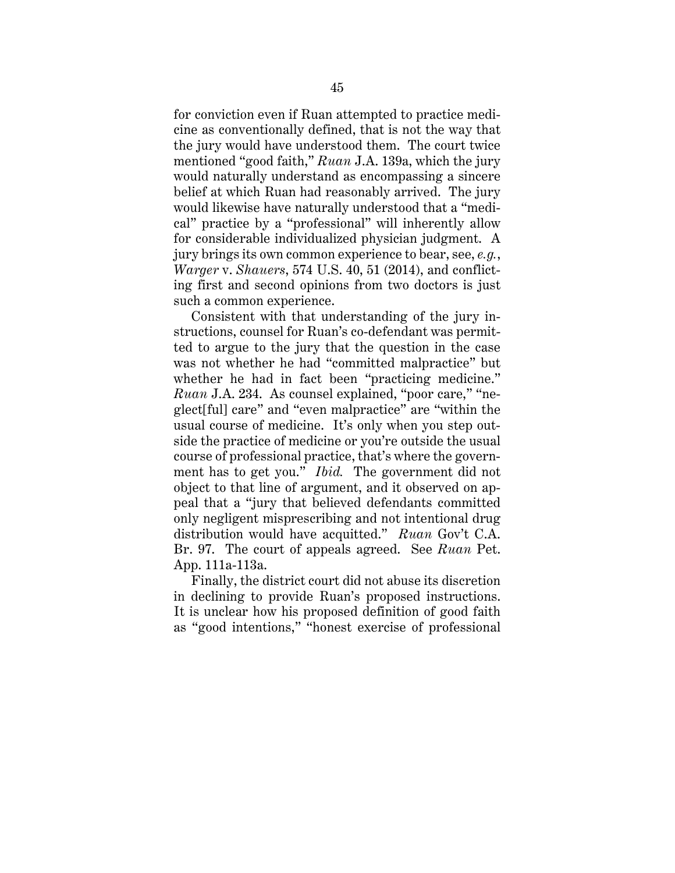for conviction even if Ruan attempted to practice medicine as conventionally defined, that is not the way that the jury would have understood them. The court twice mentioned "good faith," *Ruan* J.A. 139a, which the jury would naturally understand as encompassing a sincere belief at which Ruan had reasonably arrived. The jury would likewise have naturally understood that a "medical" practice by a "professional" will inherently allow for considerable individualized physician judgment. A jury brings its own common experience to bear, see, *e.g.*, *Warger* v. *Shauers*, 574 U.S. 40, 51 (2014), and conflicting first and second opinions from two doctors is just such a common experience.

Consistent with that understanding of the jury instructions, counsel for Ruan's co-defendant was permitted to argue to the jury that the question in the case was not whether he had "committed malpractice" but whether he had in fact been "practicing medicine." *Ruan* J.A. 234. As counsel explained, "poor care," "neglect[ful] care" and "even malpractice" are "within the usual course of medicine. It's only when you step outside the practice of medicine or you're outside the usual course of professional practice, that's where the government has to get you." *Ibid.* The government did not object to that line of argument, and it observed on appeal that a "jury that believed defendants committed only negligent misprescribing and not intentional drug distribution would have acquitted." *Ruan* Gov't C.A. Br. 97. The court of appeals agreed. See *Ruan* Pet. App. 111a-113a.

Finally, the district court did not abuse its discretion in declining to provide Ruan's proposed instructions. It is unclear how his proposed definition of good faith as "good intentions," "honest exercise of professional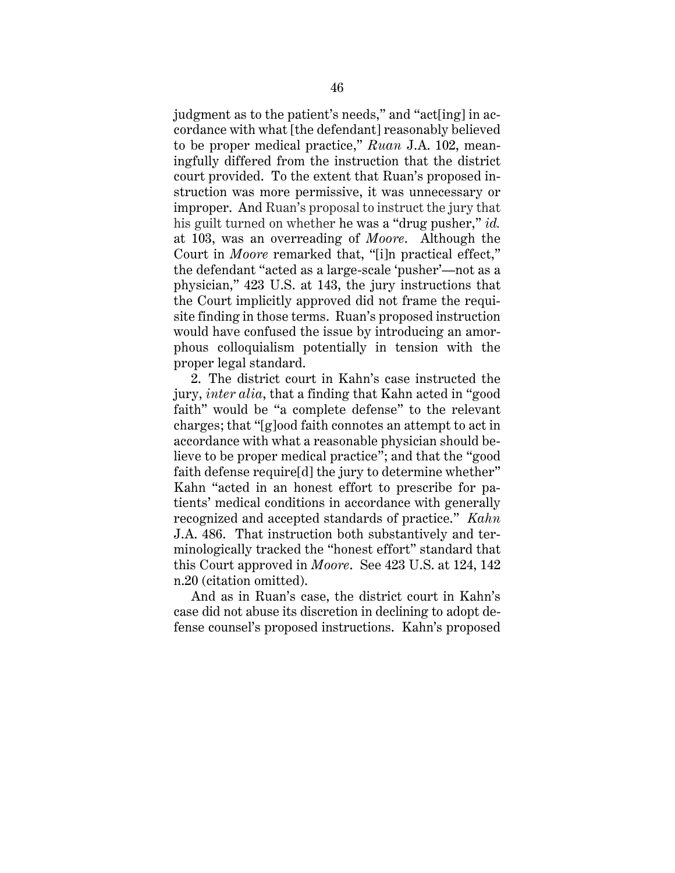judgment as to the patient's needs," and "act[ing] in accordance with what [the defendant] reasonably believed to be proper medical practice," *Ruan* J.A. 102, meaningfully differed from the instruction that the district court provided. To the extent that Ruan's proposed instruction was more permissive, it was unnecessary or improper. And Ruan's proposal to instruct the jury that his guilt turned on whether he was a "drug pusher," *id.* at 103, was an overreading of *Moore*. Although the Court in *Moore* remarked that, "[i]n practical effect," the defendant "acted as a large-scale 'pusher'—not as a physician," 423 U.S. at 143, the jury instructions that the Court implicitly approved did not frame the requisite finding in those terms. Ruan's proposed instruction would have confused the issue by introducing an amorphous colloquialism potentially in tension with the proper legal standard.

 2. The district court in Kahn's case instructed the jury, *inter alia*, that a finding that Kahn acted in "good faith" would be "a complete defense" to the relevant charges; that "[g]ood faith connotes an attempt to act in accordance with what a reasonable physician should believe to be proper medical practice"; and that the "good faith defense require[d] the jury to determine whether" Kahn "acted in an honest effort to prescribe for patients' medical conditions in accordance with generally recognized and accepted standards of practice." *Kahn*  J.A. 486. That instruction both substantively and terminologically tracked the "honest effort" standard that this Court approved in *Moore*. See 423 U.S. at 124, 142 n.20 (citation omitted).

 And as in Ruan's case, the district court in Kahn's case did not abuse its discretion in declining to adopt defense counsel's proposed instructions. Kahn's proposed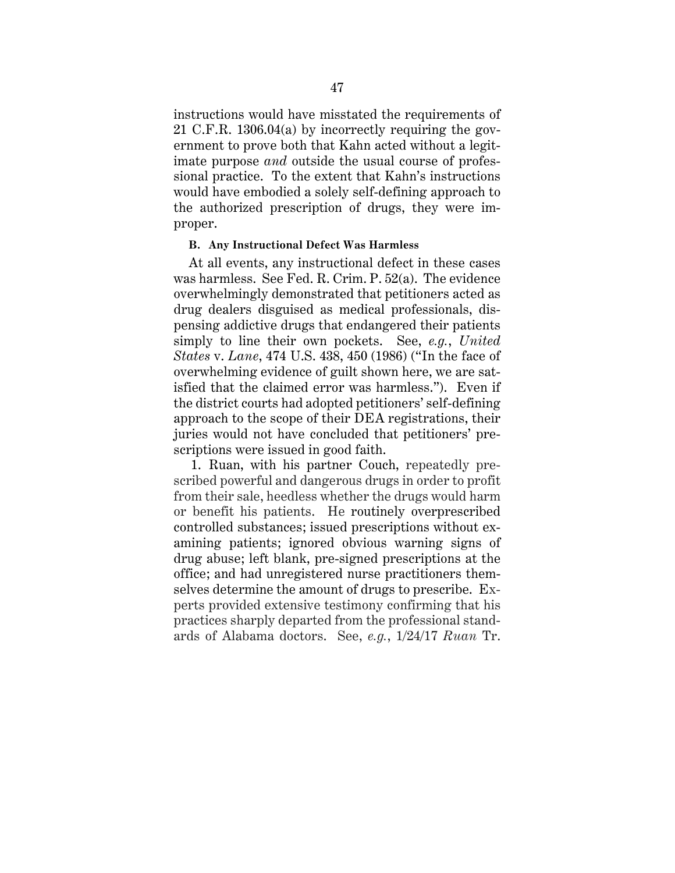instructions would have misstated the requirements of 21 C.F.R. 1306.04(a) by incorrectly requiring the government to prove both that Kahn acted without a legitimate purpose *and* outside the usual course of professional practice. To the extent that Kahn's instructions would have embodied a solely self-defining approach to the authorized prescription of drugs, they were improper.

#### **B. Any Instructional Defect Was Harmless**

At all events, any instructional defect in these cases was harmless. See Fed. R. Crim. P. 52(a). The evidence overwhelmingly demonstrated that petitioners acted as drug dealers disguised as medical professionals, dispensing addictive drugs that endangered their patients simply to line their own pockets. See, *e.g.*, *United States* v. *Lane*, 474 U.S. 438, 450 (1986) ("In the face of overwhelming evidence of guilt shown here, we are satisfied that the claimed error was harmless."). Even if the district courts had adopted petitioners' self-defining approach to the scope of their DEA registrations, their juries would not have concluded that petitioners' prescriptions were issued in good faith.

1. Ruan, with his partner Couch, repeatedly prescribed powerful and dangerous drugs in order to profit from their sale, heedless whether the drugs would harm or benefit his patients. He routinely overprescribed controlled substances; issued prescriptions without examining patients; ignored obvious warning signs of drug abuse; left blank, pre-signed prescriptions at the office; and had unregistered nurse practitioners themselves determine the amount of drugs to prescribe. Experts provided extensive testimony confirming that his practices sharply departed from the professional standards of Alabama doctors. See, *e.g.*, 1/24/17 *Ruan* Tr.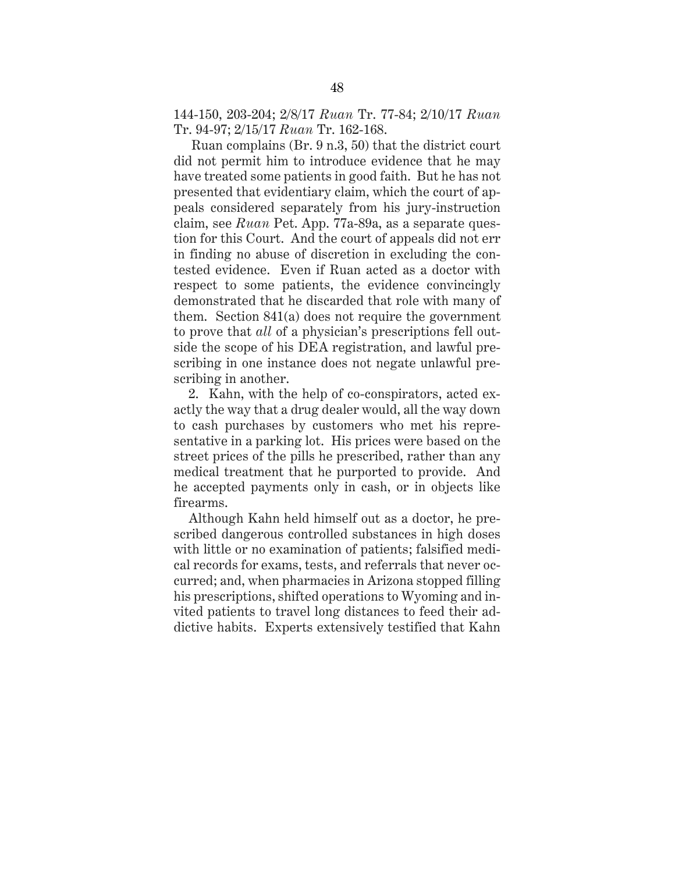144-150, 203-204; 2/8/17 *Ruan* Tr. 77-84; 2/10/17 *Ruan*  Tr. 94-97; 2/15/17 *Ruan* Tr. 162-168.

Ruan complains (Br. 9 n.3, 50) that the district court did not permit him to introduce evidence that he may have treated some patients in good faith. But he has not presented that evidentiary claim, which the court of appeals considered separately from his jury-instruction claim, see *Ruan* Pet. App. 77a-89a, as a separate question for this Court. And the court of appeals did not err in finding no abuse of discretion in excluding the contested evidence. Even if Ruan acted as a doctor with respect to some patients, the evidence convincingly demonstrated that he discarded that role with many of them. Section 841(a) does not require the government to prove that *all* of a physician's prescriptions fell outside the scope of his DEA registration, and lawful prescribing in one instance does not negate unlawful prescribing in another.

2. Kahn, with the help of co-conspirators, acted exactly the way that a drug dealer would, all the way down to cash purchases by customers who met his representative in a parking lot. His prices were based on the street prices of the pills he prescribed, rather than any medical treatment that he purported to provide. And he accepted payments only in cash, or in objects like firearms.

Although Kahn held himself out as a doctor, he prescribed dangerous controlled substances in high doses with little or no examination of patients; falsified medical records for exams, tests, and referrals that never occurred; and, when pharmacies in Arizona stopped filling his prescriptions, shifted operations to Wyoming and invited patients to travel long distances to feed their addictive habits. Experts extensively testified that Kahn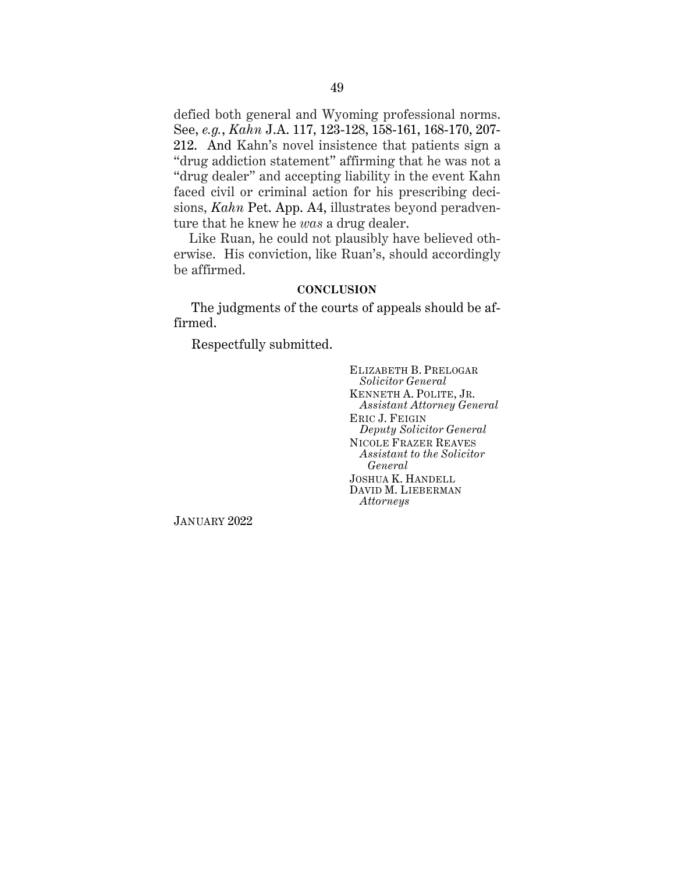defied both general and Wyoming professional norms. See, *e.g.*, *Kahn* J.A. 117, 123-128, 158-161, 168-170, 207- 212. And Kahn's novel insistence that patients sign a "drug addiction statement" affirming that he was not a "drug dealer" and accepting liability in the event Kahn faced civil or criminal action for his prescribing decisions, *Kahn* Pet. App. A4, illustrates beyond peradventure that he knew he *was* a drug dealer.

Like Ruan, he could not plausibly have believed otherwise. His conviction, like Ruan's, should accordingly be affirmed.

#### **CONCLUSION**

The judgments of the courts of appeals should be affirmed.

Respectfully submitted.

ELIZABETH B. PRELOGAR *Solicitor General* KENNETH A. POLITE, JR. *Assistant Attorney General* ERIC J. FEIGIN *Deputy Solicitor General* NICOLE FRAZER REAVES *Assistant to the Solicitor General* JOSHUA K. HANDELL DAVID M. LIEBERMAN *Attorneys*

JANUARY 2022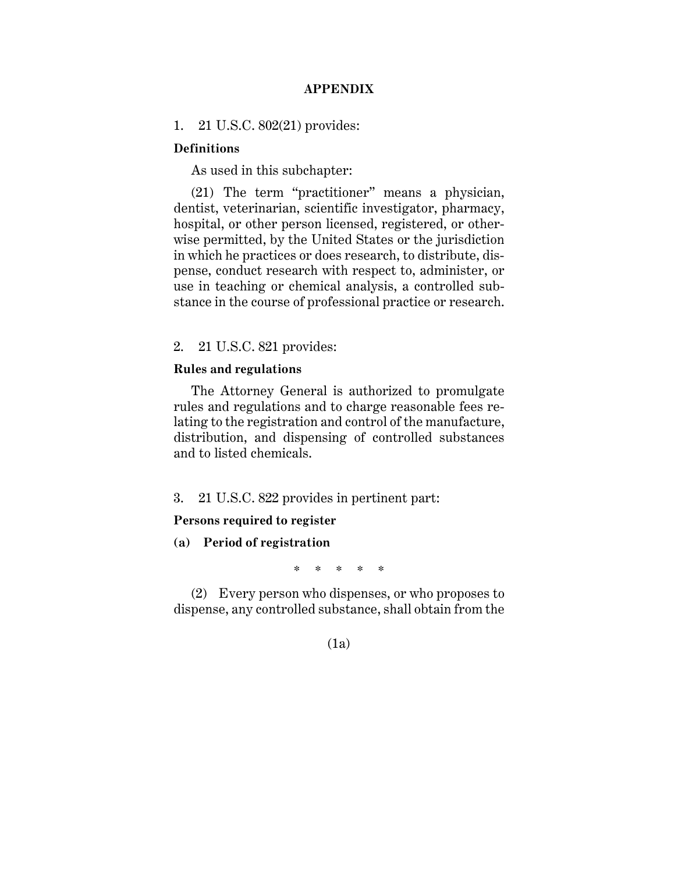## **APPENDIX**

#### 1. 21 U.S.C. 802(21) provides:

#### **Definitions**

As used in this subchapter:

(21) The term "practitioner" means a physician, dentist, veterinarian, scientific investigator, pharmacy, hospital, or other person licensed, registered, or otherwise permitted, by the United States or the jurisdiction in which he practices or does research, to distribute, dispense, conduct research with respect to, administer, or use in teaching or chemical analysis, a controlled substance in the course of professional practice or research.

### 2. 21 U.S.C. 821 provides:

#### **Rules and regulations**

The Attorney General is authorized to promulgate rules and regulations and to charge reasonable fees relating to the registration and control of the manufacture, distribution, and dispensing of controlled substances and to listed chemicals.

3. 21 U.S.C. 822 provides in pertinent part:

#### **Persons required to register**

**(a) Period of registration**

\* \* \* \* \*

(2) Every person who dispenses, or who proposes to dispense, any controlled substance, shall obtain from the

## (1a)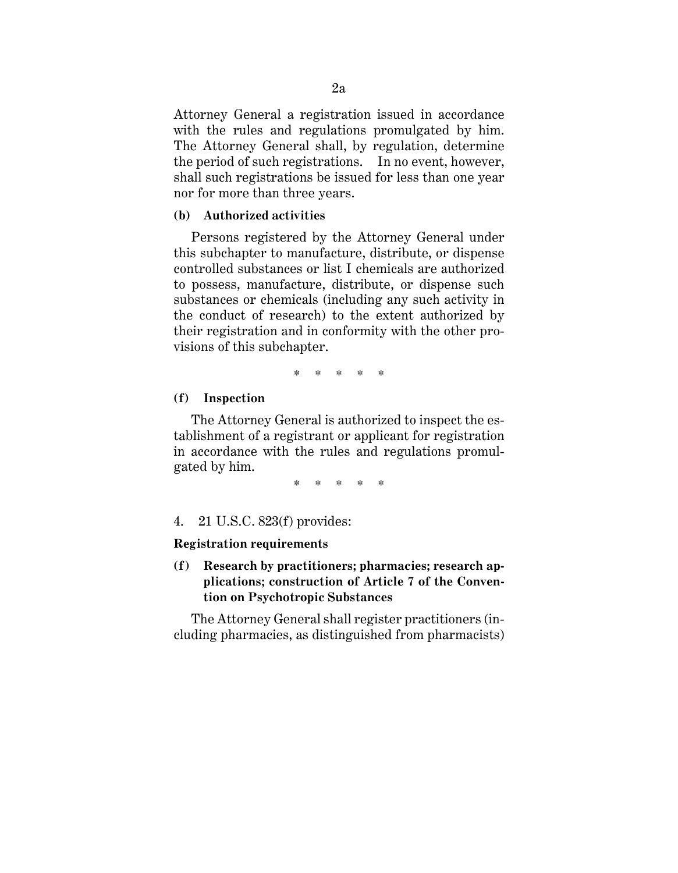Attorney General a registration issued in accordance with the rules and regulations promulgated by him. The Attorney General shall, by regulation, determine the period of such registrations. In no event, however, shall such registrations be issued for less than one year nor for more than three years.

#### **(b) Authorized activities**

Persons registered by the Attorney General under this subchapter to manufacture, distribute, or dispense controlled substances or list I chemicals are authorized to possess, manufacture, distribute, or dispense such substances or chemicals (including any such activity in the conduct of research) to the extent authorized by their registration and in conformity with the other provisions of this subchapter.

\* \* \* \* \*

#### **(f) Inspection**

The Attorney General is authorized to inspect the establishment of a registrant or applicant for registration in accordance with the rules and regulations promulgated by him.

\* \* \* \* \*

#### 4. 21 U.S.C. 823(f) provides:

#### **Registration requirements**

**(f) Research by practitioners; pharmacies; research applications; construction of Article 7 of the Convention on Psychotropic Substances**

The Attorney General shall register practitioners (including pharmacies, as distinguished from pharmacists)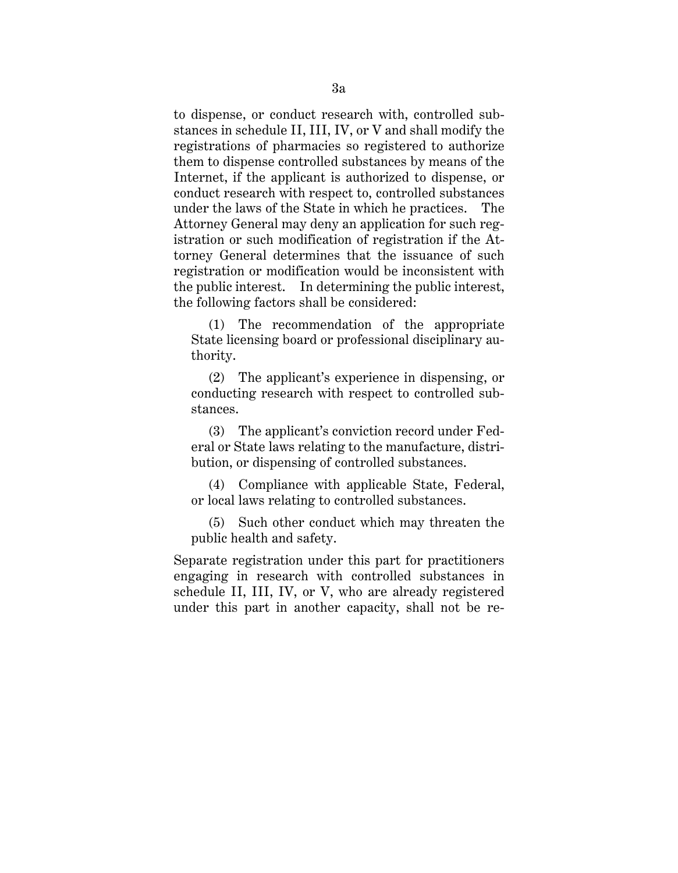to dispense, or conduct research with, controlled substances in schedule II, III, IV, or V and shall modify the registrations of pharmacies so registered to authorize them to dispense controlled substances by means of the Internet, if the applicant is authorized to dispense, or conduct research with respect to, controlled substances under the laws of the State in which he practices. The Attorney General may deny an application for such registration or such modification of registration if the Attorney General determines that the issuance of such registration or modification would be inconsistent with the public interest. In determining the public interest, the following factors shall be considered:

(1) The recommendation of the appropriate State licensing board or professional disciplinary authority.

(2) The applicant's experience in dispensing, or conducting research with respect to controlled substances.

(3) The applicant's conviction record under Federal or State laws relating to the manufacture, distribution, or dispensing of controlled substances.

(4) Compliance with applicable State, Federal, or local laws relating to controlled substances.

 (5) Such other conduct which may threaten the public health and safety.

Separate registration under this part for practitioners engaging in research with controlled substances in schedule II, III, IV, or V, who are already registered under this part in another capacity, shall not be re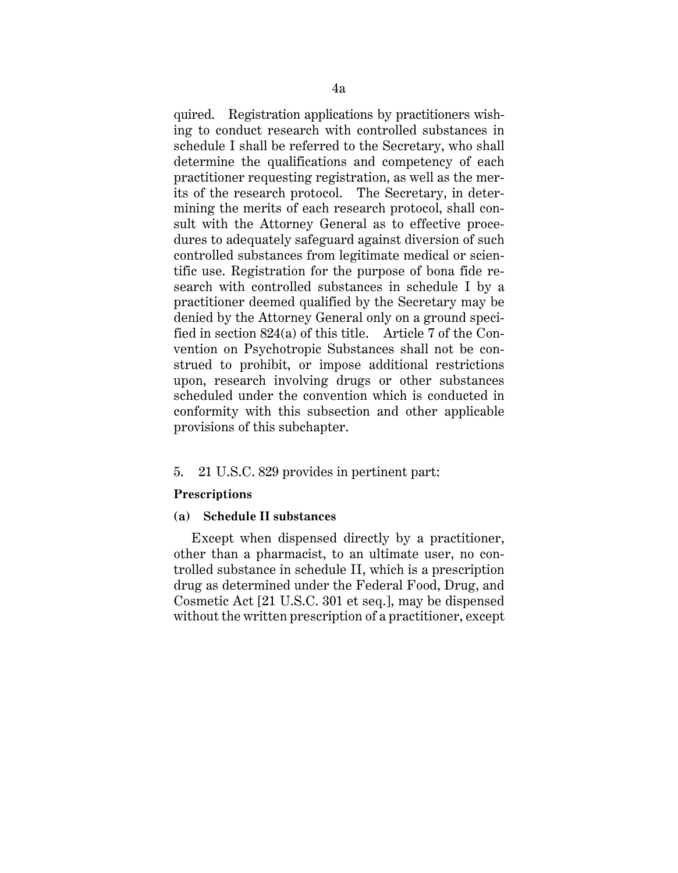quired. Registration applications by practitioners wishing to conduct research with controlled substances in schedule I shall be referred to the Secretary, who shall determine the qualifications and competency of each practitioner requesting registration, as well as the merits of the research protocol. The Secretary, in determining the merits of each research protocol, shall consult with the Attorney General as to effective procedures to adequately safeguard against diversion of such controlled substances from legitimate medical or scientific use. Registration for the purpose of bona fide research with controlled substances in schedule I by a practitioner deemed qualified by the Secretary may be denied by the Attorney General only on a ground specified in section 824(a) of this title. Article 7 of the Convention on Psychotropic Substances shall not be construed to prohibit, or impose additional restrictions upon, research involving drugs or other substances scheduled under the convention which is conducted in conformity with this subsection and other applicable provisions of this subchapter.

#### 5. 21 U.S.C. 829 provides in pertinent part:

#### **Prescriptions**

#### **(a) Schedule II substances**

Except when dispensed directly by a practitioner, other than a pharmacist, to an ultimate user, no controlled substance in schedule II, which is a prescription drug as determined under the Federal Food, Drug, and Cosmetic Act [21 U.S.C. 301 et seq.], may be dispensed without the written prescription of a practitioner, except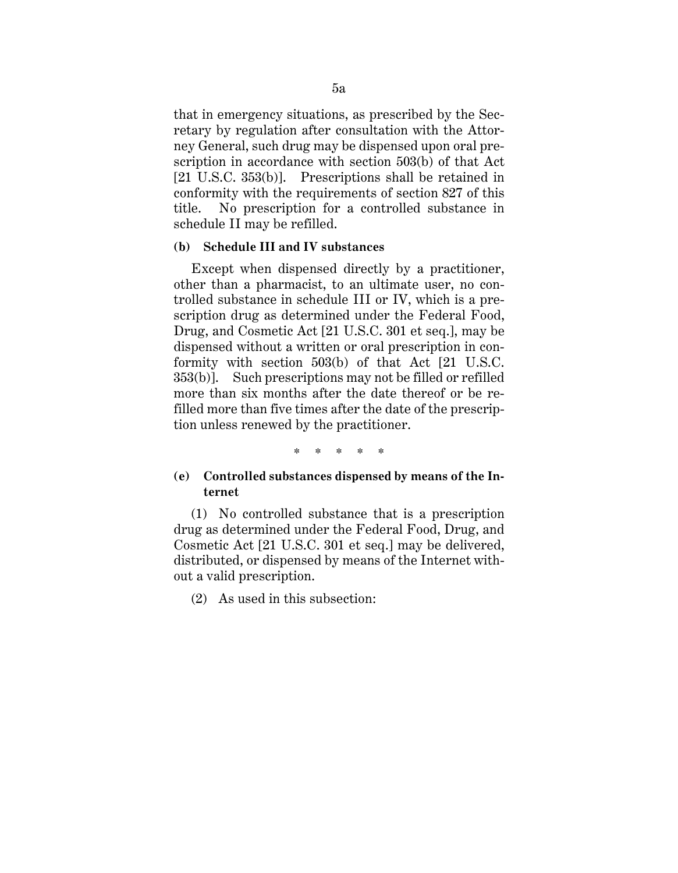that in emergency situations, as prescribed by the Secretary by regulation after consultation with the Attorney General, such drug may be dispensed upon oral prescription in accordance with section 503(b) of that Act [21 U.S.C. 353(b)]. Prescriptions shall be retained in conformity with the requirements of section 827 of this title. No prescription for a controlled substance in schedule II may be refilled.

## **(b) Schedule III and IV substances**

Except when dispensed directly by a practitioner, other than a pharmacist, to an ultimate user, no controlled substance in schedule III or IV, which is a prescription drug as determined under the Federal Food, Drug, and Cosmetic Act [21 U.S.C. 301 et seq.], may be dispensed without a written or oral prescription in conformity with section 503(b) of that Act [21 U.S.C. 353(b)]. Such prescriptions may not be filled or refilled more than six months after the date thereof or be refilled more than five times after the date of the prescription unless renewed by the practitioner.

\* \* \* \* \*

## **(e) Controlled substances dispensed by means of the Internet**

(1) No controlled substance that is a prescription drug as determined under the Federal Food, Drug, and Cosmetic Act [21 U.S.C. 301 et seq.] may be delivered, distributed, or dispensed by means of the Internet without a valid prescription.

(2) As used in this subsection: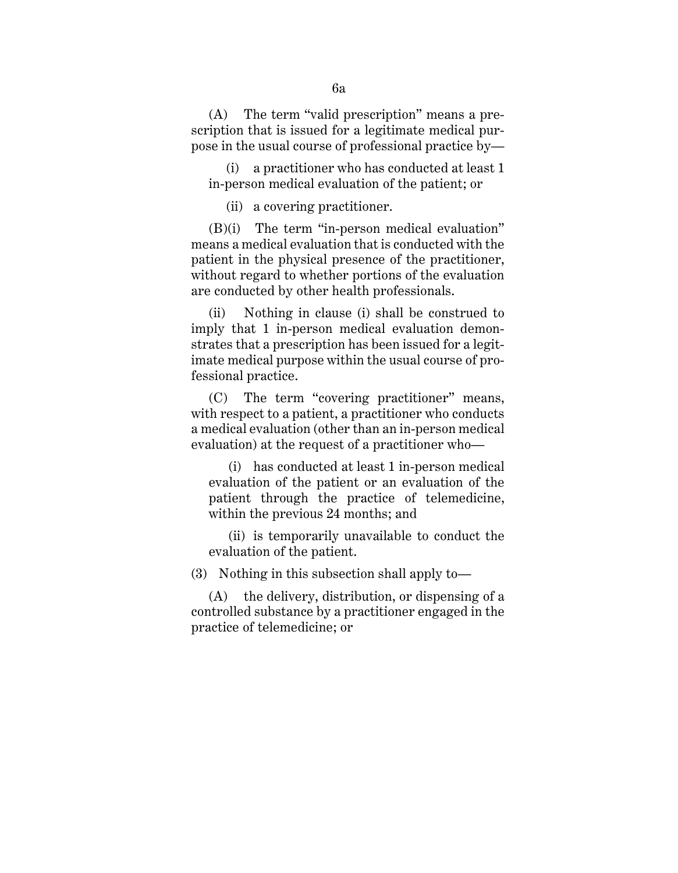(A) The term "valid prescription" means a prescription that is issued for a legitimate medical purpose in the usual course of professional practice by—

(i) a practitioner who has conducted at least 1 in-person medical evaluation of the patient; or

(ii) a covering practitioner.

(B)(i) The term "in-person medical evaluation" means a medical evaluation that is conducted with the patient in the physical presence of the practitioner, without regard to whether portions of the evaluation are conducted by other health professionals.

(ii) Nothing in clause (i) shall be construed to imply that 1 in-person medical evaluation demonstrates that a prescription has been issued for a legitimate medical purpose within the usual course of professional practice.

(C) The term "covering practitioner" means, with respect to a patient, a practitioner who conducts a medical evaluation (other than an in-person medical evaluation) at the request of a practitioner who—

(i) has conducted at least 1 in-person medical evaluation of the patient or an evaluation of the patient through the practice of telemedicine, within the previous 24 months; and

(ii) is temporarily unavailable to conduct the evaluation of the patient.

(3) Nothing in this subsection shall apply to—

(A) the delivery, distribution, or dispensing of a controlled substance by a practitioner engaged in the practice of telemedicine; or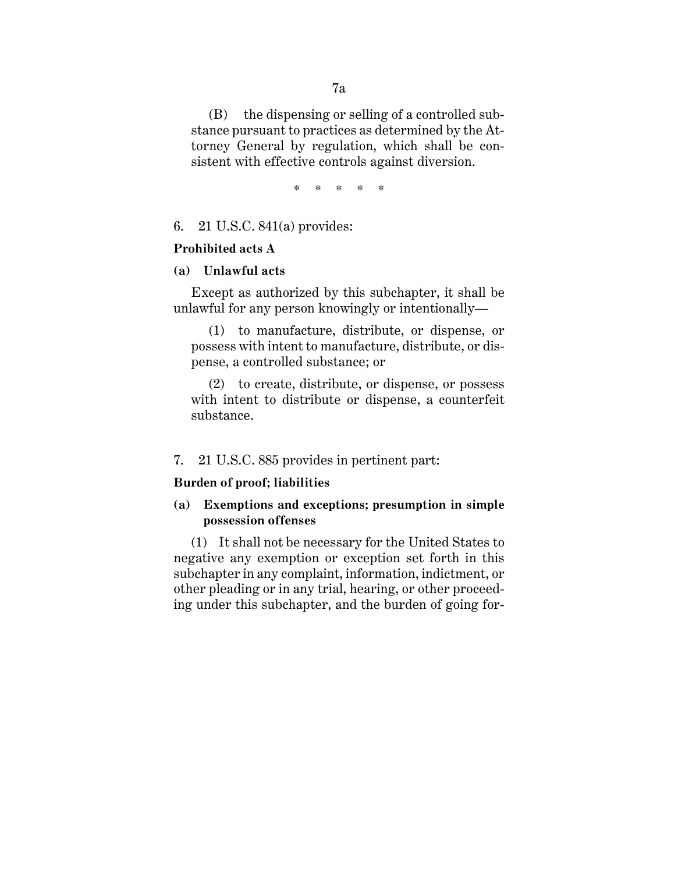(B) the dispensing or selling of a controlled substance pursuant to practices as determined by the Attorney General by regulation, which shall be consistent with effective controls against diversion.

\* \* \* \* \*

## 6. 21 U.S.C. 841(a) provides:

#### **Prohibited acts A**

#### **(a) Unlawful acts**

Except as authorized by this subchapter, it shall be unlawful for any person knowingly or intentionally—

(1) to manufacture, distribute, or dispense, or possess with intent to manufacture, distribute, or dispense, a controlled substance; or

(2) to create, distribute, or dispense, or possess with intent to distribute or dispense, a counterfeit substance.

#### 7. 21 U.S.C. 885 provides in pertinent part:

## **Burden of proof; liabilities**

## **(a) Exemptions and exceptions; presumption in simple possession offenses**

(1) It shall not be necessary for the United States to negative any exemption or exception set forth in this subchapter in any complaint, information, indictment, or other pleading or in any trial, hearing, or other proceeding under this subchapter, and the burden of going for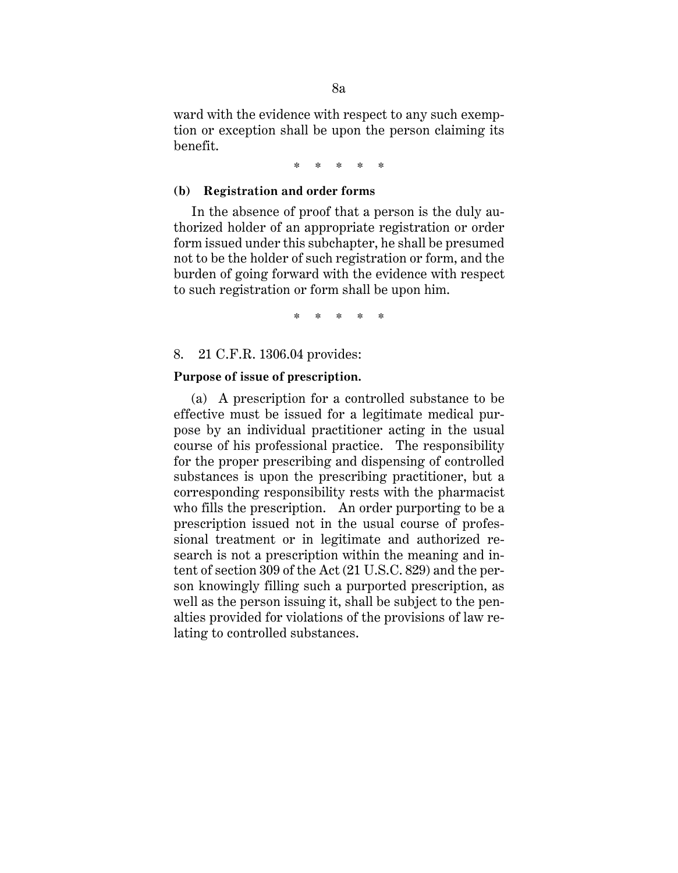ward with the evidence with respect to any such exemption or exception shall be upon the person claiming its benefit.

\* \* \* \* \*

#### **(b) Registration and order forms**

In the absence of proof that a person is the duly authorized holder of an appropriate registration or order form issued under this subchapter, he shall be presumed not to be the holder of such registration or form, and the burden of going forward with the evidence with respect to such registration or form shall be upon him.

\* \* \* \* \*

#### 8. 21 C.F.R. 1306.04 provides:

#### **Purpose of issue of prescription.**

(a) A prescription for a controlled substance to be effective must be issued for a legitimate medical purpose by an individual practitioner acting in the usual course of his professional practice. The responsibility for the proper prescribing and dispensing of controlled substances is upon the prescribing practitioner, but a corresponding responsibility rests with the pharmacist who fills the prescription. An order purporting to be a prescription issued not in the usual course of professional treatment or in legitimate and authorized research is not a prescription within the meaning and intent of section 309 of the Act (21 U.S.C. 829) and the person knowingly filling such a purported prescription, as well as the person issuing it, shall be subject to the penalties provided for violations of the provisions of law relating to controlled substances.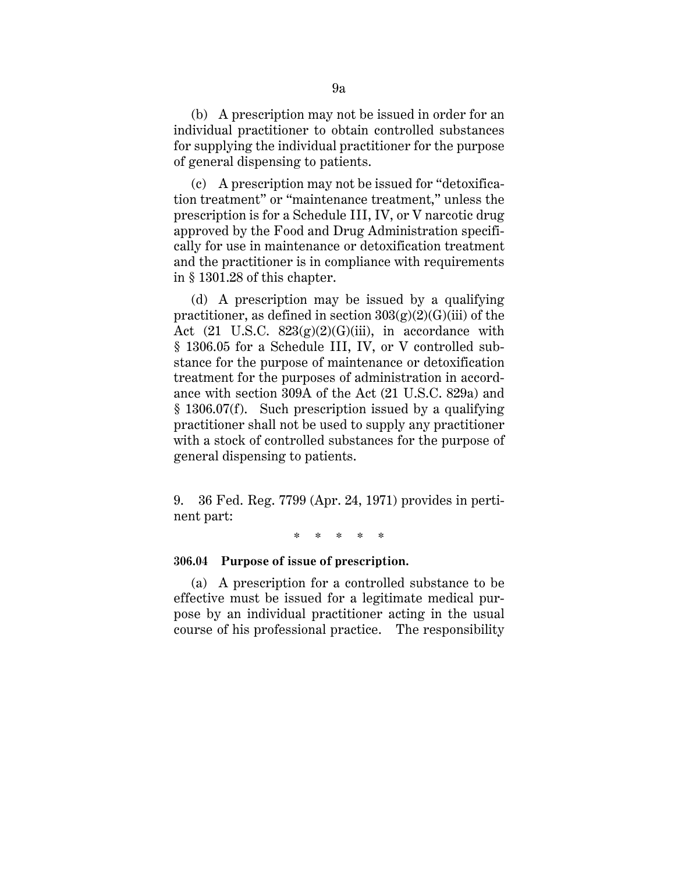(b) A prescription may not be issued in order for an individual practitioner to obtain controlled substances for supplying the individual practitioner for the purpose of general dispensing to patients.

(c) A prescription may not be issued for "detoxification treatment" or "maintenance treatment," unless the prescription is for a Schedule III, IV, or V narcotic drug approved by the Food and Drug Administration specifically for use in maintenance or detoxification treatment and the practitioner is in compliance with requirements in § 1301.28 of this chapter.

(d) A prescription may be issued by a qualifying practitioner, as defined in section  $303(g)(2)(G)(iii)$  of the Act (21 U.S.C.  $823(g)(2)(G)(iii)$ , in accordance with § 1306.05 for a Schedule III, IV, or V controlled substance for the purpose of maintenance or detoxification treatment for the purposes of administration in accordance with section 309A of the Act (21 U.S.C. 829a) and § 1306.07(f). Such prescription issued by a qualifying practitioner shall not be used to supply any practitioner with a stock of controlled substances for the purpose of general dispensing to patients.

9. 36 Fed. Reg. 7799 (Apr. 24, 1971) provides in pertinent part:

\* \* \* \* \*

#### **306.04 Purpose of issue of prescription.**

(a) A prescription for a controlled substance to be effective must be issued for a legitimate medical purpose by an individual practitioner acting in the usual course of his professional practice. The responsibility